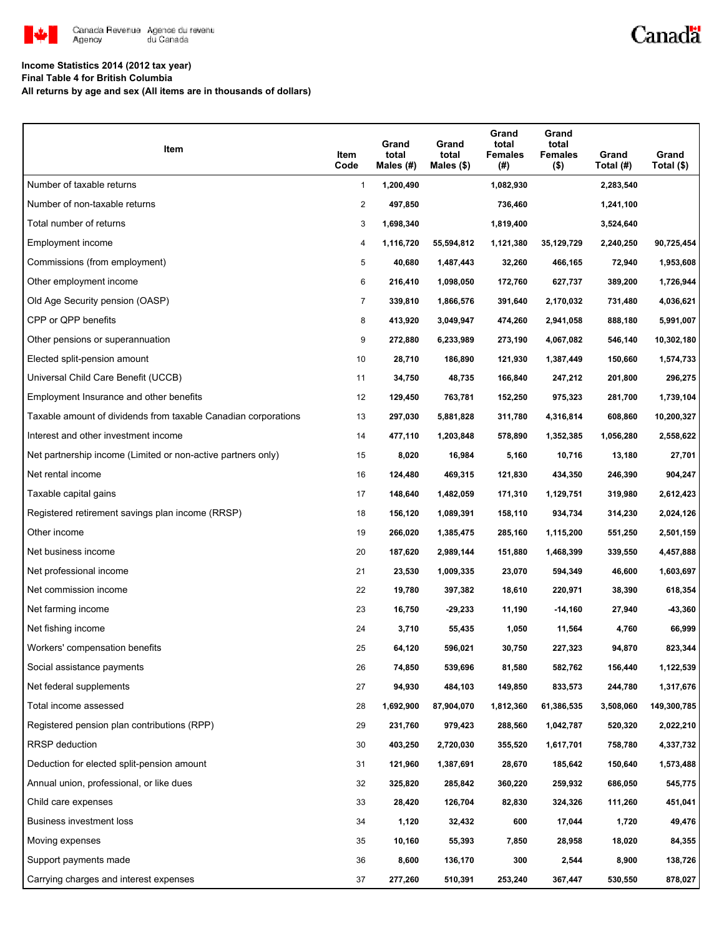

### Canadä

#### **Income Statistics 2014 (2012 tax year)**

**Final Table 4 for British Columbia**

**All returns by age and sex (All items are in thousands of dollars)**

| Item                                                           | Item<br>Code   | Grand<br>total<br>Males $(H)$ | Grand<br>total<br>Males $(\$)$ | Grand<br>total<br><b>Females</b><br>(#) | Grand<br>total<br><b>Females</b><br>$($ \$) | Grand<br>Total (#) | Grand<br>Total (\$) |
|----------------------------------------------------------------|----------------|-------------------------------|--------------------------------|-----------------------------------------|---------------------------------------------|--------------------|---------------------|
| Number of taxable returns                                      | 1              | 1,200,490                     |                                | 1,082,930                               |                                             | 2,283,540          |                     |
| Number of non-taxable returns                                  | $\overline{c}$ | 497,850                       |                                | 736,460                                 |                                             | 1,241,100          |                     |
| Total number of returns                                        | 3              | 1,698,340                     |                                | 1,819,400                               |                                             | 3,524,640          |                     |
| Employment income                                              | 4              | 1,116,720                     | 55,594,812                     | 1,121,380                               | 35,129,729                                  | 2,240,250          | 90,725,454          |
| Commissions (from employment)                                  | 5              | 40,680                        | 1,487,443                      | 32,260                                  | 466,165                                     | 72,940             | 1,953,608           |
| Other employment income                                        | 6              | 216,410                       | 1,098,050                      | 172,760                                 | 627,737                                     | 389,200            | 1,726,944           |
| Old Age Security pension (OASP)                                | $\overline{7}$ | 339,810                       | 1,866,576                      | 391,640                                 | 2,170,032                                   | 731,480            | 4,036,621           |
| CPP or QPP benefits                                            | 8              | 413,920                       | 3,049,947                      | 474,260                                 | 2,941,058                                   | 888,180            | 5,991,007           |
| Other pensions or superannuation                               | 9              | 272,880                       | 6,233,989                      | 273,190                                 | 4,067,082                                   | 546,140            | 10,302,180          |
| Elected split-pension amount                                   | 10             | 28,710                        | 186,890                        | 121,930                                 | 1,387,449                                   | 150,660            | 1,574,733           |
| Universal Child Care Benefit (UCCB)                            | 11             | 34,750                        | 48,735                         | 166,840                                 | 247,212                                     | 201,800            | 296,275             |
| Employment Insurance and other benefits                        | 12             | 129,450                       | 763,781                        | 152,250                                 | 975,323                                     | 281,700            | 1,739,104           |
| Taxable amount of dividends from taxable Canadian corporations | 13             | 297,030                       | 5,881,828                      | 311,780                                 | 4,316,814                                   | 608,860            | 10,200,327          |
| Interest and other investment income                           | 14             | 477,110                       | 1,203,848                      | 578,890                                 | 1,352,385                                   | 1,056,280          | 2,558,622           |
| Net partnership income (Limited or non-active partners only)   | 15             | 8,020                         | 16,984                         | 5,160                                   | 10,716                                      | 13,180             | 27,701              |
| Net rental income                                              | 16             | 124,480                       | 469,315                        | 121,830                                 | 434,350                                     | 246,390            | 904,247             |
| Taxable capital gains                                          | 17             | 148,640                       | 1,482,059                      | 171,310                                 | 1,129,751                                   | 319,980            | 2,612,423           |
| Registered retirement savings plan income (RRSP)               | 18             | 156,120                       | 1,089,391                      | 158,110                                 | 934,734                                     | 314,230            | 2,024,126           |
| Other income                                                   | 19             | 266,020                       | 1,385,475                      | 285,160                                 | 1,115,200                                   | 551,250            | 2,501,159           |
| Net business income                                            | 20             | 187,620                       | 2,989,144                      | 151,880                                 | 1,468,399                                   | 339,550            | 4,457,888           |
| Net professional income                                        | 21             | 23,530                        | 1,009,335                      | 23,070                                  | 594,349                                     | 46,600             | 1,603,697           |
| Net commission income                                          | 22             | 19,780                        | 397,382                        | 18,610                                  | 220,971                                     | 38,390             | 618,354             |
| Net farming income                                             | 23             | 16,750                        | $-29,233$                      | 11,190                                  | $-14,160$                                   | 27,940             | -43,360             |
| Net fishing income                                             | 24             | 3,710                         | 55,435                         | 1,050                                   | 11,564                                      | 4,760              | 66,999              |
| Workers' compensation benefits                                 | 25             | 64,120                        | 596,021                        | 30,750                                  | 227,323                                     | 94,870             | 823,344             |
| Social assistance payments                                     | 26             | 74,850                        | 539,696                        | 81,580                                  | 582,762                                     | 156,440            | 1,122,539           |
| Net federal supplements                                        | 27             | 94,930                        | 484,103                        | 149,850                                 | 833,573                                     | 244,780            | 1,317,676           |
| Total income assessed                                          | 28             | 1,692,900                     | 87,904,070                     | 1,812,360                               | 61,386,535                                  | 3,508,060          | 149,300,785         |
| Registered pension plan contributions (RPP)                    | 29             | 231,760                       | 979,423                        | 288,560                                 | 1,042,787                                   | 520,320            | 2,022,210           |
| <b>RRSP</b> deduction                                          | 30             | 403,250                       | 2,720,030                      | 355,520                                 | 1,617,701                                   | 758,780            | 4,337,732           |
| Deduction for elected split-pension amount                     | 31             | 121,960                       | 1,387,691                      | 28,670                                  | 185,642                                     | 150,640            | 1,573,488           |
| Annual union, professional, or like dues                       | 32             | 325,820                       | 285,842                        | 360,220                                 | 259,932                                     | 686,050            | 545,775             |
| Child care expenses                                            | 33             | 28,420                        | 126,704                        | 82,830                                  | 324,326                                     | 111,260            | 451,041             |
| Business investment loss                                       | 34             | 1,120                         | 32,432                         | 600                                     | 17,044                                      | 1,720              | 49,476              |
| Moving expenses                                                | 35             | 10,160                        | 55,393                         | 7,850                                   | 28,958                                      | 18,020             | 84,355              |
| Support payments made                                          | 36             | 8,600                         | 136,170                        | 300                                     | 2,544                                       | 8,900              | 138,726             |
| Carrying charges and interest expenses                         | 37             | 277,260                       | 510,391                        | 253,240                                 | 367,447                                     | 530,550            | 878,027             |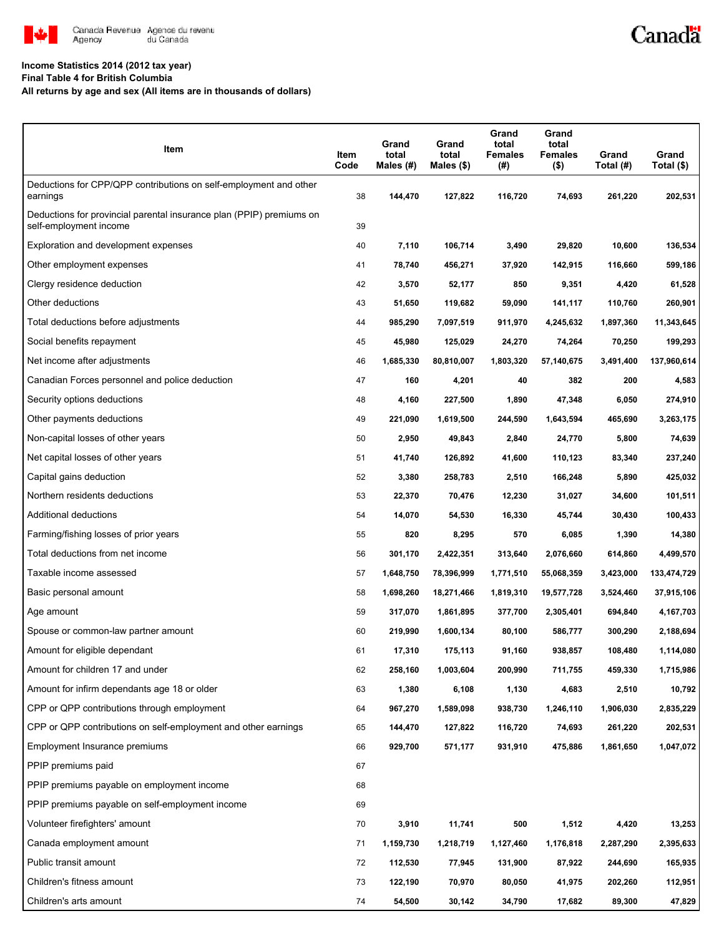

# Canadä

#### **Income Statistics 2014 (2012 tax year)**

**Final Table 4 for British Columbia**

**All returns by age and sex (All items are in thousands of dollars)**

| Item                                                                                           | Item<br>Code | Grand<br>total<br>Males $(H)$ | Grand<br>total<br>Males (\$) | Grand<br>total<br><b>Females</b><br>(#) | Grand<br>total<br>Females<br>$($ \$) | Grand<br>Total (#) | Grand<br>Total (\$) |
|------------------------------------------------------------------------------------------------|--------------|-------------------------------|------------------------------|-----------------------------------------|--------------------------------------|--------------------|---------------------|
| Deductions for CPP/QPP contributions on self-employment and other<br>earnings                  | 38           | 144,470                       | 127,822                      | 116,720                                 | 74,693                               | 261,220            | 202,531             |
| Deductions for provincial parental insurance plan (PPIP) premiums on<br>self-employment income | 39           |                               |                              |                                         |                                      |                    |                     |
| Exploration and development expenses                                                           | 40           | 7,110                         | 106,714                      | 3,490                                   | 29,820                               | 10,600             | 136,534             |
| Other employment expenses                                                                      | 41           | 78,740                        | 456,271                      | 37,920                                  | 142,915                              | 116,660            | 599,186             |
| Clergy residence deduction                                                                     | 42           | 3,570                         | 52,177                       | 850                                     | 9,351                                | 4,420              | 61,528              |
| Other deductions                                                                               | 43           | 51,650                        | 119,682                      | 59,090                                  | 141,117                              | 110,760            | 260,901             |
| Total deductions before adjustments                                                            | 44           | 985,290                       | 7,097,519                    | 911,970                                 | 4,245,632                            | 1,897,360          | 11,343,645          |
| Social benefits repayment                                                                      | 45           | 45,980                        | 125,029                      | 24,270                                  | 74,264                               | 70,250             | 199,293             |
| Net income after adjustments                                                                   | 46           | 1,685,330                     | 80,810,007                   | 1,803,320                               | 57,140,675                           | 3,491,400          | 137,960,614         |
| Canadian Forces personnel and police deduction                                                 | 47           | 160                           | 4,201                        | 40                                      | 382                                  | 200                | 4,583               |
| Security options deductions                                                                    | 48           | 4,160                         | 227,500                      | 1,890                                   | 47,348                               | 6,050              | 274,910             |
| Other payments deductions                                                                      | 49           | 221,090                       | 1,619,500                    | 244,590                                 | 1,643,594                            | 465,690            | 3,263,175           |
| Non-capital losses of other years                                                              | 50           | 2,950                         | 49,843                       | 2,840                                   | 24,770                               | 5,800              | 74,639              |
| Net capital losses of other years                                                              | 51           | 41,740                        | 126,892                      | 41,600                                  | 110,123                              | 83,340             | 237,240             |
| Capital gains deduction                                                                        | 52           | 3,380                         | 258,783                      | 2,510                                   | 166,248                              | 5,890              | 425,032             |
| Northern residents deductions                                                                  | 53           | 22,370                        | 70,476                       | 12,230                                  | 31,027                               | 34,600             | 101,511             |
| Additional deductions                                                                          | 54           | 14,070                        | 54,530                       | 16,330                                  | 45,744                               | 30,430             | 100,433             |
| Farming/fishing losses of prior years                                                          | 55           | 820                           | 8,295                        | 570                                     | 6,085                                | 1,390              | 14,380              |
| Total deductions from net income                                                               | 56           | 301,170                       | 2,422,351                    | 313,640                                 | 2,076,660                            | 614,860            | 4,499,570           |
| Taxable income assessed                                                                        | 57           | 1,648,750                     | 78,396,999                   | 1,771,510                               | 55,068,359                           | 3,423,000          | 133,474,729         |
| Basic personal amount                                                                          | 58           | 1,698,260                     | 18,271,466                   | 1,819,310                               | 19,577,728                           | 3,524,460          | 37,915,106          |
| Age amount                                                                                     | 59           | 317,070                       | 1,861,895                    | 377,700                                 | 2,305,401                            | 694,840            | 4,167,703           |
| Spouse or common-law partner amount                                                            | 60           | 219,990                       | 1,600,134                    | 80,100                                  | 586,777                              | 300,290            | 2,188,694           |
| Amount for eligible dependant                                                                  | 61           | 17,310                        | 175,113                      | 91,160                                  | 938,857                              | 108.480            | 1,114,080           |
| Amount for children 17 and under                                                               | 62           | 258,160                       | 1,003,604                    | 200,990                                 | 711,755                              | 459,330            | 1,715,986           |
| Amount for infirm dependants age 18 or older                                                   | 63           | 1,380                         | 6,108                        | 1,130                                   | 4,683                                | 2,510              | 10,792              |
| CPP or QPP contributions through employment                                                    | 64           | 967,270                       | 1,589,098                    | 938,730                                 | 1,246,110                            | 1,906,030          | 2,835,229           |
| CPP or QPP contributions on self-employment and other earnings                                 | 65           | 144,470                       | 127,822                      | 116,720                                 | 74,693                               | 261,220            | 202,531             |
| Employment Insurance premiums                                                                  | 66           | 929,700                       | 571,177                      | 931,910                                 | 475,886                              | 1,861,650          | 1,047,072           |
| PPIP premiums paid                                                                             | 67           |                               |                              |                                         |                                      |                    |                     |
| PPIP premiums payable on employment income                                                     | 68           |                               |                              |                                         |                                      |                    |                     |
| PPIP premiums payable on self-employment income                                                | 69           |                               |                              |                                         |                                      |                    |                     |
| Volunteer firefighters' amount                                                                 | 70           | 3,910                         | 11,741                       | 500                                     | 1,512                                | 4,420              | 13,253              |
| Canada employment amount                                                                       | 71           | 1,159,730                     | 1,218,719                    | 1,127,460                               | 1,176,818                            | 2,287,290          | 2,395,633           |
| Public transit amount                                                                          | 72           | 112,530                       | 77,945                       | 131,900                                 | 87,922                               | 244,690            | 165,935             |
| Children's fitness amount                                                                      | 73           | 122,190                       | 70,970                       | 80,050                                  | 41,975                               | 202,260            | 112,951             |
| Children's arts amount                                                                         | 74           | 54,500                        | 30,142                       | 34,790                                  | 17,682                               | 89,300             | 47,829              |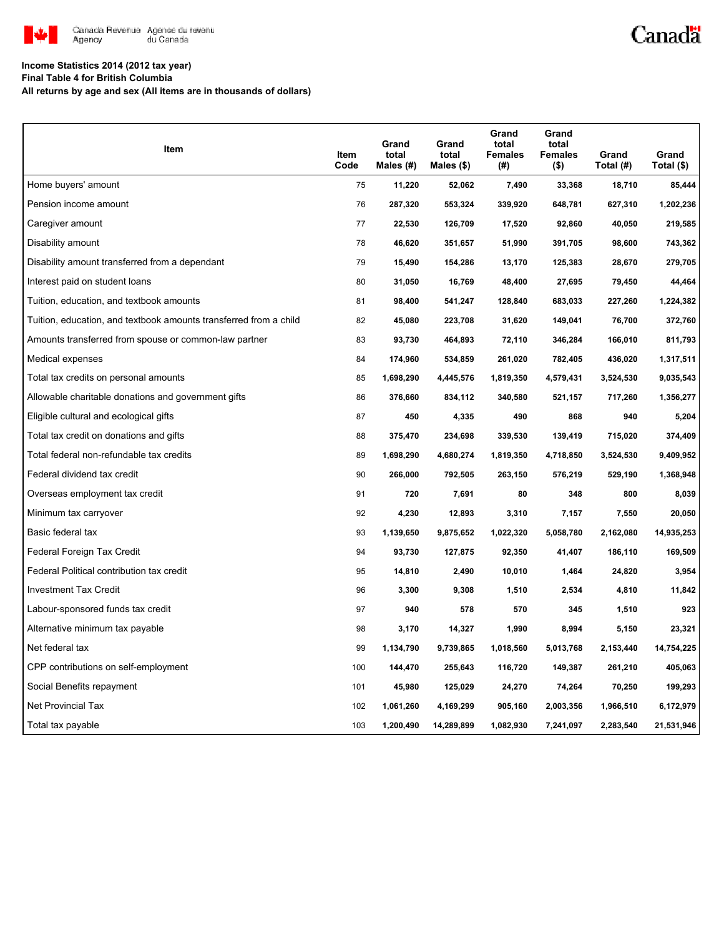

# Canadä

#### **Income Statistics 2014 (2012 tax year)**

**Final Table 4 for British Columbia**

**All returns by age and sex (All items are in thousands of dollars)**

| Item                                                              | Item<br>Code | Grand<br>total<br>Males (#) | Grand<br>total<br>Males $(\$)$ | Grand<br>total<br><b>Females</b><br>(#) | Grand<br>total<br><b>Females</b><br>$($ \$) | Grand<br>Total (#) | Grand<br>Total (\$) |
|-------------------------------------------------------------------|--------------|-----------------------------|--------------------------------|-----------------------------------------|---------------------------------------------|--------------------|---------------------|
| Home buyers' amount                                               | 75           | 11,220                      | 52,062                         | 7,490                                   | 33,368                                      | 18,710             | 85,444              |
| Pension income amount                                             | 76           | 287,320                     | 553,324                        | 339,920                                 | 648,781                                     | 627,310            | 1,202,236           |
| Caregiver amount                                                  | 77           | 22,530                      | 126,709                        | 17,520                                  | 92,860                                      | 40,050             | 219,585             |
| Disability amount                                                 | 78           | 46,620                      | 351,657                        | 51,990                                  | 391,705                                     | 98,600             | 743,362             |
| Disability amount transferred from a dependant                    | 79           | 15,490                      | 154,286                        | 13,170                                  | 125,383                                     | 28,670             | 279,705             |
| Interest paid on student loans                                    | 80           | 31,050                      | 16,769                         | 48,400                                  | 27,695                                      | 79,450             | 44,464              |
| Tuition, education, and textbook amounts                          | 81           | 98,400                      | 541,247                        | 128,840                                 | 683,033                                     | 227,260            | 1,224,382           |
| Tuition, education, and textbook amounts transferred from a child | 82           | 45,080                      | 223,708                        | 31,620                                  | 149,041                                     | 76,700             | 372,760             |
| Amounts transferred from spouse or common-law partner             | 83           | 93,730                      | 464,893                        | 72,110                                  | 346,284                                     | 166,010            | 811,793             |
| Medical expenses                                                  | 84           | 174,960                     | 534,859                        | 261,020                                 | 782,405                                     | 436,020            | 1,317,511           |
| Total tax credits on personal amounts                             | 85           | 1,698,290                   | 4,445,576                      | 1,819,350                               | 4,579,431                                   | 3,524,530          | 9,035,543           |
| Allowable charitable donations and government gifts               | 86           | 376,660                     | 834,112                        | 340,580                                 | 521,157                                     | 717,260            | 1,356,277           |
| Eligible cultural and ecological gifts                            | 87           | 450                         | 4,335                          | 490                                     | 868                                         | 940                | 5,204               |
| Total tax credit on donations and gifts                           | 88           | 375,470                     | 234,698                        | 339,530                                 | 139,419                                     | 715,020            | 374,409             |
| Total federal non-refundable tax credits                          | 89           | 1,698,290                   | 4,680,274                      | 1,819,350                               | 4,718,850                                   | 3,524,530          | 9,409,952           |
| Federal dividend tax credit                                       | 90           | 266,000                     | 792,505                        | 263,150                                 | 576,219                                     | 529,190            | 1,368,948           |
| Overseas employment tax credit                                    | 91           | 720                         | 7,691                          | 80                                      | 348                                         | 800                | 8,039               |
| Minimum tax carryover                                             | 92           | 4,230                       | 12,893                         | 3,310                                   | 7,157                                       | 7,550              | 20,050              |
| Basic federal tax                                                 | 93           | 1,139,650                   | 9,875,652                      | 1,022,320                               | 5,058,780                                   | 2,162,080          | 14,935,253          |
| Federal Foreign Tax Credit                                        | 94           | 93,730                      | 127,875                        | 92,350                                  | 41,407                                      | 186,110            | 169,509             |
| Federal Political contribution tax credit                         | 95           | 14,810                      | 2,490                          | 10,010                                  | 1,464                                       | 24,820             | 3,954               |
| <b>Investment Tax Credit</b>                                      | 96           | 3,300                       | 9,308                          | 1,510                                   | 2,534                                       | 4,810              | 11,842              |
| Labour-sponsored funds tax credit                                 | 97           | 940                         | 578                            | 570                                     | 345                                         | 1,510              | 923                 |
| Alternative minimum tax payable                                   | 98           | 3,170                       | 14,327                         | 1,990                                   | 8,994                                       | 5,150              | 23,321              |
| Net federal tax                                                   | 99           | 1,134,790                   | 9,739,865                      | 1,018,560                               | 5,013,768                                   | 2,153,440          | 14,754,225          |
| CPP contributions on self-employment                              | 100          | 144,470                     | 255,643                        | 116,720                                 | 149,387                                     | 261,210            | 405,063             |
| Social Benefits repayment                                         | 101          | 45,980                      | 125,029                        | 24,270                                  | 74,264                                      | 70,250             | 199,293             |
| Net Provincial Tax                                                | 102          | 1,061,260                   | 4,169,299                      | 905,160                                 | 2,003,356                                   | 1,966,510          | 6,172,979           |
| Total tax payable                                                 | 103          | 1,200,490                   | 14,289,899                     | 1,082,930                               | 7,241,097                                   | 2,283,540          | 21,531,946          |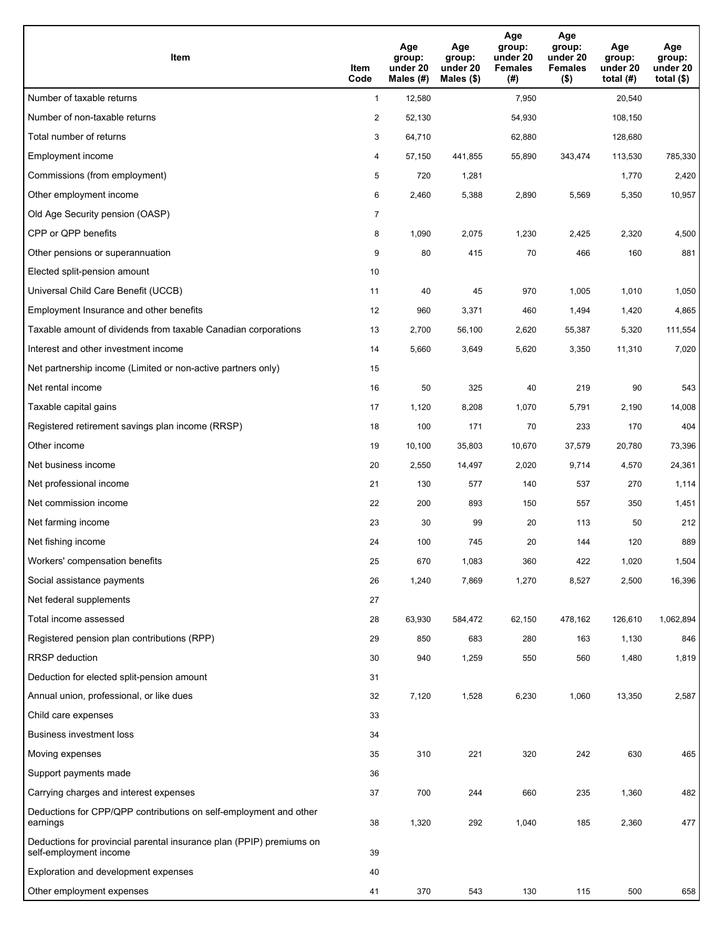| Item                                                                                           | Item<br>Code   | Age<br>group:<br>under 20<br>Males (#) | Age<br>group:<br>under 20<br>Males (\$) | Age<br>group:<br>under 20<br><b>Females</b><br>(#) | Age<br>group:<br>under 20<br><b>Females</b><br>$($ \$) | Age<br>group:<br>under 20<br>total $(#)$ | Age<br>group:<br>under 20<br>total $($)$ |
|------------------------------------------------------------------------------------------------|----------------|----------------------------------------|-----------------------------------------|----------------------------------------------------|--------------------------------------------------------|------------------------------------------|------------------------------------------|
| Number of taxable returns                                                                      | $\mathbf{1}$   | 12,580                                 |                                         | 7,950                                              |                                                        | 20,540                                   |                                          |
| Number of non-taxable returns                                                                  | $\overline{c}$ | 52,130                                 |                                         | 54,930                                             |                                                        | 108,150                                  |                                          |
| Total number of returns                                                                        | 3              | 64,710                                 |                                         | 62,880                                             |                                                        | 128,680                                  |                                          |
| Employment income                                                                              | 4              | 57,150                                 | 441,855                                 | 55,890                                             | 343,474                                                | 113,530                                  | 785,330                                  |
| Commissions (from employment)                                                                  | 5              | 720                                    | 1,281                                   |                                                    |                                                        | 1,770                                    | 2,420                                    |
| Other employment income                                                                        | 6              | 2,460                                  | 5,388                                   | 2,890                                              | 5,569                                                  | 5,350                                    | 10,957                                   |
| Old Age Security pension (OASP)                                                                | $\overline{7}$ |                                        |                                         |                                                    |                                                        |                                          |                                          |
| CPP or QPP benefits                                                                            | 8              | 1,090                                  | 2,075                                   | 1,230                                              | 2,425                                                  | 2,320                                    | 4,500                                    |
| Other pensions or superannuation                                                               | 9              | 80                                     | 415                                     | 70                                                 | 466                                                    | 160                                      | 881                                      |
| Elected split-pension amount                                                                   | 10             |                                        |                                         |                                                    |                                                        |                                          |                                          |
| Universal Child Care Benefit (UCCB)                                                            | 11             | 40                                     | 45                                      | 970                                                | 1,005                                                  | 1,010                                    | 1,050                                    |
| Employment Insurance and other benefits                                                        | 12             | 960                                    | 3,371                                   | 460                                                | 1,494                                                  | 1,420                                    | 4,865                                    |
| Taxable amount of dividends from taxable Canadian corporations                                 | 13             | 2,700                                  | 56,100                                  | 2,620                                              | 55,387                                                 | 5,320                                    | 111,554                                  |
| Interest and other investment income                                                           | 14             | 5,660                                  | 3,649                                   | 5,620                                              | 3,350                                                  | 11,310                                   | 7,020                                    |
| Net partnership income (Limited or non-active partners only)                                   | 15             |                                        |                                         |                                                    |                                                        |                                          |                                          |
| Net rental income                                                                              | 16             | 50                                     | 325                                     | 40                                                 | 219                                                    | 90                                       | 543                                      |
| Taxable capital gains                                                                          | 17             | 1,120                                  | 8,208                                   | 1,070                                              | 5,791                                                  | 2,190                                    | 14,008                                   |
| Registered retirement savings plan income (RRSP)                                               | 18             | 100                                    | 171                                     | 70                                                 | 233                                                    | 170                                      | 404                                      |
| Other income                                                                                   | 19             | 10,100                                 | 35,803                                  | 10,670                                             | 37,579                                                 | 20,780                                   | 73,396                                   |
| Net business income                                                                            | 20             | 2,550                                  | 14,497                                  | 2,020                                              | 9,714                                                  | 4,570                                    | 24,361                                   |
| Net professional income                                                                        | 21             | 130                                    | 577                                     | 140                                                | 537                                                    | 270                                      | 1,114                                    |
| Net commission income                                                                          | 22             | 200                                    | 893                                     | 150                                                | 557                                                    | 350                                      | 1,451                                    |
| Net farming income                                                                             | 23             | 30                                     | 99                                      | 20                                                 | 113                                                    | 50                                       | 212                                      |
| Net fishing income                                                                             | 24             | 100                                    | 745                                     | 20                                                 | 144                                                    | 120                                      | 889                                      |
| Workers' compensation benefits                                                                 | 25             | 670                                    | 1,083                                   | 360                                                | 422                                                    | 1,020                                    | 1,504                                    |
| Social assistance payments                                                                     | 26             | 1,240                                  | 7,869                                   | 1,270                                              | 8,527                                                  | 2,500                                    | 16,396                                   |
| Net federal supplements                                                                        | 27             |                                        |                                         |                                                    |                                                        |                                          |                                          |
| Total income assessed                                                                          | 28             | 63,930                                 | 584,472                                 | 62,150                                             | 478,162                                                | 126,610                                  | 1,062,894                                |
| Registered pension plan contributions (RPP)                                                    | 29             | 850                                    | 683                                     | 280                                                | 163                                                    | 1,130                                    | 846                                      |
| RRSP deduction                                                                                 | 30             | 940                                    | 1,259                                   | 550                                                | 560                                                    | 1,480                                    | 1,819                                    |
| Deduction for elected split-pension amount                                                     | 31             |                                        |                                         |                                                    |                                                        |                                          |                                          |
| Annual union, professional, or like dues                                                       | 32             | 7,120                                  | 1,528                                   | 6,230                                              | 1,060                                                  | 13,350                                   | 2,587                                    |
| Child care expenses                                                                            | 33             |                                        |                                         |                                                    |                                                        |                                          |                                          |
| Business investment loss                                                                       | 34             |                                        |                                         |                                                    |                                                        |                                          |                                          |
| Moving expenses                                                                                | 35             | 310                                    | 221                                     | 320                                                | 242                                                    | 630                                      | 465                                      |
| Support payments made                                                                          | 36             |                                        |                                         |                                                    |                                                        |                                          |                                          |
| Carrying charges and interest expenses                                                         | 37             | 700                                    | 244                                     | 660                                                | 235                                                    | 1,360                                    | 482                                      |
| Deductions for CPP/QPP contributions on self-employment and other<br>earnings                  | 38             | 1,320                                  | 292                                     | 1,040                                              | 185                                                    | 2,360                                    | 477                                      |
| Deductions for provincial parental insurance plan (PPIP) premiums on<br>self-employment income | 39             |                                        |                                         |                                                    |                                                        |                                          |                                          |
| Exploration and development expenses                                                           | 40             |                                        |                                         |                                                    |                                                        |                                          |                                          |
| Other employment expenses                                                                      | 41             | 370                                    | 543                                     | 130                                                | 115                                                    | 500                                      | 658                                      |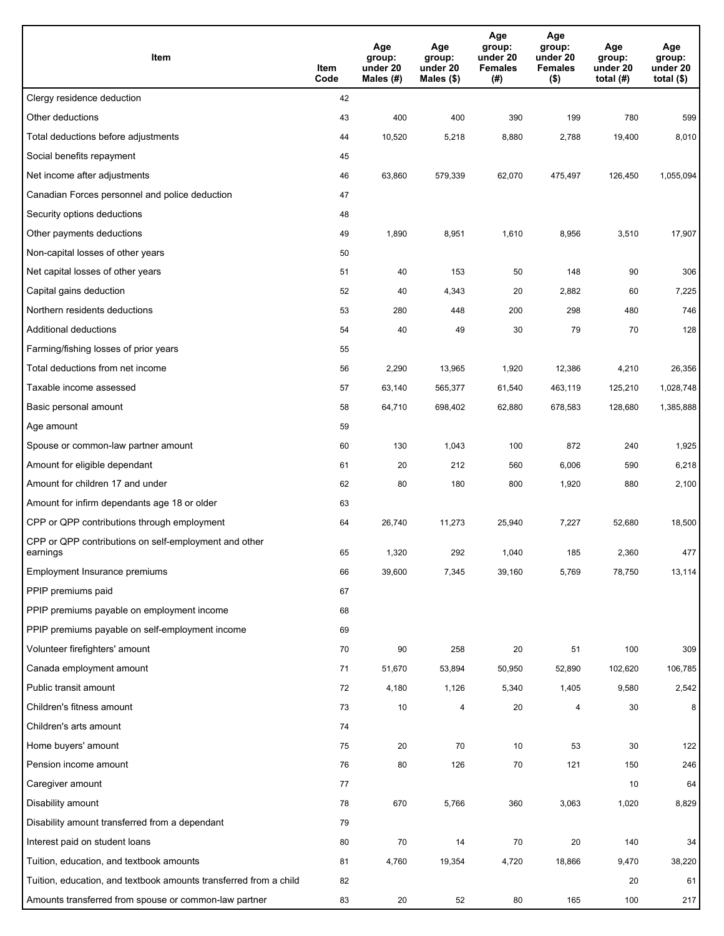| Item                                                              | Item<br>Code | Age<br>group:<br>under 20<br>Males $(H)$ | Age<br>group:<br>under 20<br>Males (\$) | Age<br>group:<br>under 20<br><b>Females</b><br>(#) | Age<br>group:<br>under 20<br><b>Females</b><br>$($ \$) | Age<br>group:<br>under 20<br>total $(H)$ | Age<br>group:<br>under 20<br>total $($)$ |
|-------------------------------------------------------------------|--------------|------------------------------------------|-----------------------------------------|----------------------------------------------------|--------------------------------------------------------|------------------------------------------|------------------------------------------|
| Clergy residence deduction                                        | 42           |                                          |                                         |                                                    |                                                        |                                          |                                          |
| Other deductions                                                  | 43           | 400                                      | 400                                     | 390                                                | 199                                                    | 780                                      | 599                                      |
| Total deductions before adjustments                               | 44           | 10,520                                   | 5,218                                   | 8,880                                              | 2,788                                                  | 19,400                                   | 8,010                                    |
| Social benefits repayment                                         | 45           |                                          |                                         |                                                    |                                                        |                                          |                                          |
| Net income after adjustments                                      | 46           | 63,860                                   | 579,339                                 | 62,070                                             | 475,497                                                | 126,450                                  | 1,055,094                                |
| Canadian Forces personnel and police deduction                    | 47           |                                          |                                         |                                                    |                                                        |                                          |                                          |
| Security options deductions                                       | 48           |                                          |                                         |                                                    |                                                        |                                          |                                          |
| Other payments deductions                                         | 49           | 1,890                                    | 8,951                                   | 1,610                                              | 8,956                                                  | 3,510                                    | 17,907                                   |
| Non-capital losses of other years                                 | 50           |                                          |                                         |                                                    |                                                        |                                          |                                          |
| Net capital losses of other years                                 | 51           | 40                                       | 153                                     | 50                                                 | 148                                                    | 90                                       | 306                                      |
| Capital gains deduction                                           | 52           | 40                                       | 4,343                                   | 20                                                 | 2,882                                                  | 60                                       | 7,225                                    |
| Northern residents deductions                                     | 53           | 280                                      | 448                                     | 200                                                | 298                                                    | 480                                      | 746                                      |
| Additional deductions                                             | 54           | 40                                       | 49                                      | 30                                                 | 79                                                     | 70                                       | 128                                      |
| Farming/fishing losses of prior years                             | 55           |                                          |                                         |                                                    |                                                        |                                          |                                          |
| Total deductions from net income                                  | 56           | 2,290                                    | 13,965                                  | 1,920                                              | 12,386                                                 | 4,210                                    | 26,356                                   |
| Taxable income assessed                                           | 57           | 63,140                                   | 565,377                                 | 61,540                                             | 463,119                                                | 125,210                                  | 1,028,748                                |
| Basic personal amount                                             | 58           | 64,710                                   | 698,402                                 | 62,880                                             | 678,583                                                | 128,680                                  | 1,385,888                                |
| Age amount                                                        | 59           |                                          |                                         |                                                    |                                                        |                                          |                                          |
| Spouse or common-law partner amount                               | 60           | 130                                      | 1,043                                   | 100                                                | 872                                                    | 240                                      | 1,925                                    |
| Amount for eligible dependant                                     | 61           | 20                                       | 212                                     | 560                                                | 6,006                                                  | 590                                      | 6,218                                    |
| Amount for children 17 and under                                  | 62           | 80                                       | 180                                     | 800                                                | 1,920                                                  | 880                                      | 2,100                                    |
| Amount for infirm dependants age 18 or older                      | 63           |                                          |                                         |                                                    |                                                        |                                          |                                          |
| CPP or QPP contributions through employment                       | 64           | 26,740                                   | 11,273                                  | 25,940                                             | 7,227                                                  | 52,680                                   | 18,500                                   |
| CPP or QPP contributions on self-employment and other<br>earnings | 65           | 1,320                                    | 292                                     | 1,040                                              | 185                                                    | 2,360                                    | 477                                      |
| Employment Insurance premiums                                     | 66           | 39,600                                   | 7,345                                   | 39,160                                             | 5,769                                                  | 78,750                                   | 13,114                                   |
| PPIP premiums paid                                                | 67           |                                          |                                         |                                                    |                                                        |                                          |                                          |
| PPIP premiums payable on employment income                        | 68           |                                          |                                         |                                                    |                                                        |                                          |                                          |
| PPIP premiums payable on self-employment income                   | 69           |                                          |                                         |                                                    |                                                        |                                          |                                          |
| Volunteer firefighters' amount                                    | 70           | 90                                       | 258                                     | 20                                                 | 51                                                     | 100                                      | 309                                      |
| Canada employment amount                                          | 71           | 51,670                                   | 53,894                                  | 50,950                                             | 52,890                                                 | 102,620                                  | 106,785                                  |
| Public transit amount                                             | 72           | 4,180                                    | 1,126                                   | 5,340                                              | 1,405                                                  | 9,580                                    | 2,542                                    |
| Children's fitness amount                                         | 73           | 10                                       | 4                                       | 20                                                 | $\overline{4}$                                         | 30                                       | 8                                        |
| Children's arts amount                                            | 74           |                                          |                                         |                                                    |                                                        |                                          |                                          |
| Home buyers' amount                                               | 75           | 20                                       | 70                                      | 10                                                 | 53                                                     | 30                                       | 122                                      |
| Pension income amount                                             | 76           | 80                                       | 126                                     | 70                                                 | 121                                                    | 150                                      | 246                                      |
| Caregiver amount                                                  | 77           |                                          |                                         |                                                    |                                                        | 10                                       | 64                                       |
| Disability amount                                                 | 78           | 670                                      | 5,766                                   | 360                                                | 3,063                                                  | 1,020                                    | 8,829                                    |
| Disability amount transferred from a dependant                    | 79           |                                          |                                         |                                                    |                                                        |                                          |                                          |
| Interest paid on student loans                                    | 80           | 70                                       | 14                                      | 70                                                 | 20                                                     | 140                                      | 34                                       |
| Tuition, education, and textbook amounts                          | 81           | 4,760                                    | 19,354                                  | 4,720                                              | 18,866                                                 | 9,470                                    | 38,220                                   |
| Tuition, education, and textbook amounts transferred from a child | 82           |                                          |                                         |                                                    |                                                        | 20                                       | 61                                       |
| Amounts transferred from spouse or common-law partner             | 83           | 20                                       | 52                                      | 80                                                 | 165                                                    | 100                                      | 217                                      |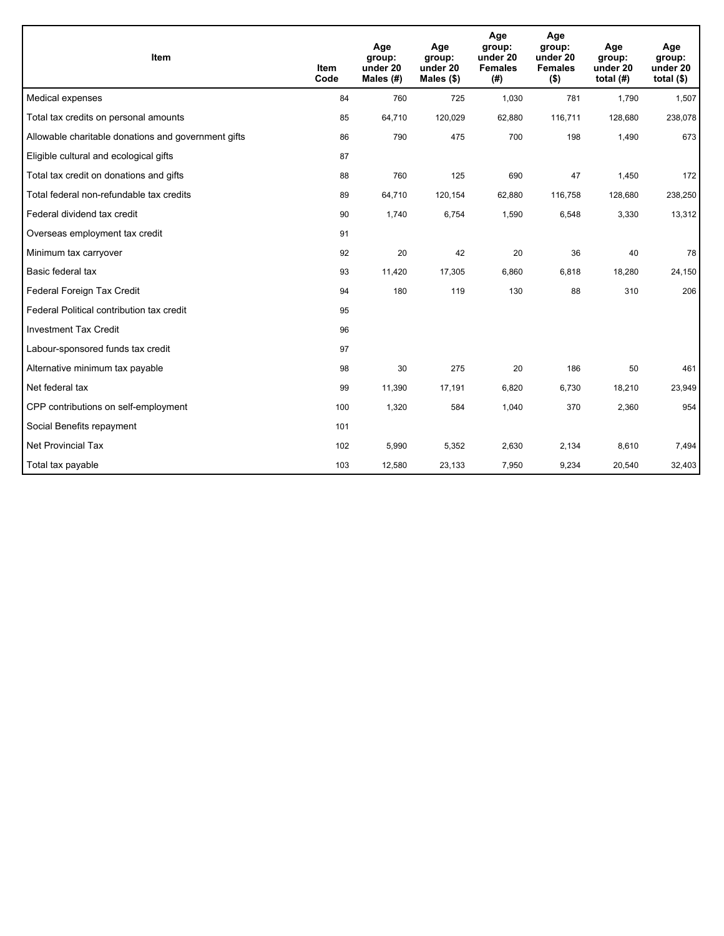| Item                                                | <b>Item</b><br>Code | Age<br>group:<br>under 20<br>Males (#) | Age<br>group:<br>under 20<br>Males $(\$)$ | Age<br>group:<br>under 20<br><b>Females</b><br>(#) | Age<br>group:<br>under 20<br><b>Females</b><br>$($ \$) | Age<br>group:<br>under 20<br>total $(H)$ | Age<br>group:<br>under 20<br>total $($)$ |
|-----------------------------------------------------|---------------------|----------------------------------------|-------------------------------------------|----------------------------------------------------|--------------------------------------------------------|------------------------------------------|------------------------------------------|
| Medical expenses                                    | 84                  | 760                                    | 725                                       | 1,030                                              | 781                                                    | 1,790                                    | 1,507                                    |
| Total tax credits on personal amounts               | 85                  | 64,710                                 | 120,029                                   | 62,880                                             | 116,711                                                | 128,680                                  | 238,078                                  |
| Allowable charitable donations and government gifts | 86                  | 790                                    | 475                                       | 700                                                | 198                                                    | 1,490                                    | 673                                      |
| Eligible cultural and ecological gifts              | 87                  |                                        |                                           |                                                    |                                                        |                                          |                                          |
| Total tax credit on donations and gifts             | 88                  | 760                                    | 125                                       | 690                                                | 47                                                     | 1,450                                    | 172                                      |
| Total federal non-refundable tax credits            | 89                  | 64,710                                 | 120,154                                   | 62,880                                             | 116,758                                                | 128,680                                  | 238,250                                  |
| Federal dividend tax credit                         | 90                  | 1,740                                  | 6,754                                     | 1,590                                              | 6,548                                                  | 3,330                                    | 13,312                                   |
| Overseas employment tax credit                      | 91                  |                                        |                                           |                                                    |                                                        |                                          |                                          |
| Minimum tax carryover                               | 92                  | 20                                     | 42                                        | 20                                                 | 36                                                     | 40                                       | 78                                       |
| Basic federal tax                                   | 93                  | 11,420                                 | 17,305                                    | 6,860                                              | 6,818                                                  | 18,280                                   | 24,150                                   |
| Federal Foreign Tax Credit                          | 94                  | 180                                    | 119                                       | 130                                                | 88                                                     | 310                                      | 206                                      |
| Federal Political contribution tax credit           | 95                  |                                        |                                           |                                                    |                                                        |                                          |                                          |
| <b>Investment Tax Credit</b>                        | 96                  |                                        |                                           |                                                    |                                                        |                                          |                                          |
| Labour-sponsored funds tax credit                   | 97                  |                                        |                                           |                                                    |                                                        |                                          |                                          |
| Alternative minimum tax payable                     | 98                  | 30                                     | 275                                       | 20                                                 | 186                                                    | 50                                       | 461                                      |
| Net federal tax                                     | 99                  | 11,390                                 | 17,191                                    | 6,820                                              | 6,730                                                  | 18,210                                   | 23,949                                   |
| CPP contributions on self-employment                | 100                 | 1,320                                  | 584                                       | 1,040                                              | 370                                                    | 2,360                                    | 954                                      |
| Social Benefits repayment                           | 101                 |                                        |                                           |                                                    |                                                        |                                          |                                          |
| Net Provincial Tax                                  | 102                 | 5,990                                  | 5,352                                     | 2,630                                              | 2,134                                                  | 8,610                                    | 7,494                                    |
| Total tax payable                                   | 103                 | 12,580                                 | 23,133                                    | 7,950                                              | 9,234                                                  | 20,540                                   | 32,403                                   |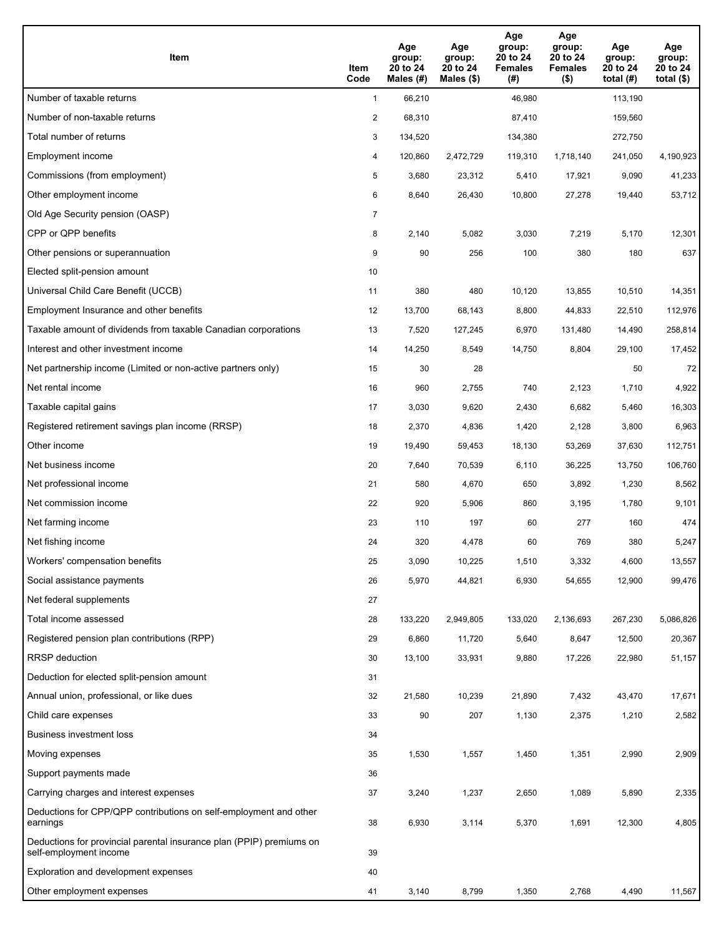| Item                                                                                           | Item<br>Code   | Age<br>group:<br>20 to 24<br>Males (#) | Age<br>group:<br>20 to 24<br>Males $(\$)$ | Age<br>group:<br>20 to 24<br><b>Females</b><br>(#) | Age<br>group:<br>20 to 24<br><b>Females</b><br>$($ \$) | Age<br>group:<br>20 to 24<br>total $(H)$ | Age<br>group:<br>20 to 24<br>total $($ |
|------------------------------------------------------------------------------------------------|----------------|----------------------------------------|-------------------------------------------|----------------------------------------------------|--------------------------------------------------------|------------------------------------------|----------------------------------------|
| Number of taxable returns                                                                      | $\mathbf{1}$   | 66,210                                 |                                           | 46,980                                             |                                                        | 113,190                                  |                                        |
| Number of non-taxable returns                                                                  | $\overline{a}$ | 68,310                                 |                                           | 87,410                                             |                                                        | 159,560                                  |                                        |
| Total number of returns                                                                        | 3              | 134,520                                |                                           | 134,380                                            |                                                        | 272,750                                  |                                        |
| Employment income                                                                              | 4              | 120,860                                | 2,472,729                                 | 119,310                                            | 1,718,140                                              | 241,050                                  | 4,190,923                              |
| Commissions (from employment)                                                                  | 5              | 3,680                                  | 23,312                                    | 5,410                                              | 17,921                                                 | 9,090                                    | 41,233                                 |
| Other employment income                                                                        | 6              | 8,640                                  | 26,430                                    | 10,800                                             | 27,278                                                 | 19,440                                   | 53,712                                 |
| Old Age Security pension (OASP)                                                                | 7              |                                        |                                           |                                                    |                                                        |                                          |                                        |
| CPP or QPP benefits                                                                            | 8              | 2,140                                  | 5,082                                     | 3,030                                              | 7,219                                                  | 5,170                                    | 12,301                                 |
| Other pensions or superannuation                                                               | 9              | 90                                     | 256                                       | 100                                                | 380                                                    | 180                                      | 637                                    |
| Elected split-pension amount                                                                   | 10             |                                        |                                           |                                                    |                                                        |                                          |                                        |
| Universal Child Care Benefit (UCCB)                                                            | 11             | 380                                    | 480                                       | 10,120                                             | 13,855                                                 | 10,510                                   | 14,351                                 |
| Employment Insurance and other benefits                                                        | 12             | 13,700                                 | 68,143                                    | 8,800                                              | 44,833                                                 | 22,510                                   | 112,976                                |
| Taxable amount of dividends from taxable Canadian corporations                                 | 13             | 7,520                                  | 127,245                                   | 6,970                                              | 131,480                                                | 14,490                                   | 258,814                                |
| Interest and other investment income                                                           | 14             | 14,250                                 | 8,549                                     | 14,750                                             | 8,804                                                  | 29,100                                   | 17,452                                 |
| Net partnership income (Limited or non-active partners only)                                   | 15             | 30                                     | 28                                        |                                                    |                                                        | 50                                       | 72                                     |
| Net rental income                                                                              | 16             | 960                                    | 2,755                                     | 740                                                | 2,123                                                  | 1,710                                    | 4,922                                  |
| Taxable capital gains                                                                          | 17             | 3,030                                  | 9,620                                     | 2,430                                              | 6,682                                                  | 5,460                                    | 16,303                                 |
| Registered retirement savings plan income (RRSP)                                               | 18             | 2,370                                  | 4,836                                     | 1,420                                              | 2,128                                                  | 3,800                                    | 6,963                                  |
| Other income                                                                                   | 19             | 19,490                                 | 59,453                                    | 18,130                                             | 53,269                                                 | 37,630                                   | 112,751                                |
| Net business income                                                                            | 20             | 7,640                                  | 70,539                                    | 6,110                                              | 36,225                                                 | 13,750                                   | 106,760                                |
| Net professional income                                                                        | 21             | 580                                    | 4,670                                     | 650                                                | 3,892                                                  | 1,230                                    | 8,562                                  |
| Net commission income                                                                          | 22             | 920                                    | 5,906                                     | 860                                                | 3,195                                                  | 1,780                                    | 9,101                                  |
| Net farming income                                                                             | 23             | 110                                    | 197                                       | 60                                                 | 277                                                    | 160                                      | 474                                    |
| Net fishing income                                                                             | 24             | 320                                    | 4,478                                     | 60                                                 | 769                                                    | 380                                      | 5,247                                  |
| Workers' compensation benefits                                                                 | 25             | 3,090                                  | 10,225                                    | 1,510                                              | 3,332                                                  | 4,600                                    | 13,557                                 |
| Social assistance payments                                                                     | 26             | 5,970                                  | 44,821                                    | 6,930                                              | 54,655                                                 | 12,900                                   | 99,476                                 |
| Net federal supplements                                                                        | 27             |                                        |                                           |                                                    |                                                        |                                          |                                        |
| Total income assessed                                                                          | 28             | 133,220                                | 2,949,805                                 | 133,020                                            | 2,136,693                                              | 267,230                                  | 5,086,826                              |
| Registered pension plan contributions (RPP)                                                    | 29             | 6,860                                  | 11,720                                    | 5,640                                              | 8,647                                                  | 12,500                                   | 20,367                                 |
| <b>RRSP</b> deduction                                                                          | 30             | 13,100                                 | 33,931                                    | 9,880                                              | 17,226                                                 | 22,980                                   | 51,157                                 |
| Deduction for elected split-pension amount                                                     | 31             |                                        |                                           |                                                    |                                                        |                                          |                                        |
| Annual union, professional, or like dues                                                       | 32             | 21,580                                 | 10,239                                    | 21,890                                             | 7,432                                                  | 43,470                                   | 17,671                                 |
| Child care expenses                                                                            | 33             | 90                                     | 207                                       | 1,130                                              | 2,375                                                  | 1,210                                    | 2,582                                  |
| Business investment loss                                                                       | 34             |                                        |                                           |                                                    |                                                        |                                          |                                        |
| Moving expenses                                                                                | 35             | 1,530                                  | 1,557                                     | 1,450                                              | 1,351                                                  | 2,990                                    | 2,909                                  |
| Support payments made                                                                          | 36             |                                        |                                           |                                                    |                                                        |                                          |                                        |
| Carrying charges and interest expenses                                                         | 37             | 3,240                                  | 1,237                                     | 2,650                                              | 1,089                                                  | 5,890                                    | 2,335                                  |
| Deductions for CPP/QPP contributions on self-employment and other<br>earnings                  | 38             | 6,930                                  | 3,114                                     | 5,370                                              | 1,691                                                  | 12,300                                   | 4,805                                  |
| Deductions for provincial parental insurance plan (PPIP) premiums on<br>self-employment income | 39             |                                        |                                           |                                                    |                                                        |                                          |                                        |
| Exploration and development expenses                                                           | 40             |                                        |                                           |                                                    |                                                        |                                          |                                        |
| Other employment expenses                                                                      | 41             | 3,140                                  | 8,799                                     | 1,350                                              | 2,768                                                  | 4,490                                    | 11,567                                 |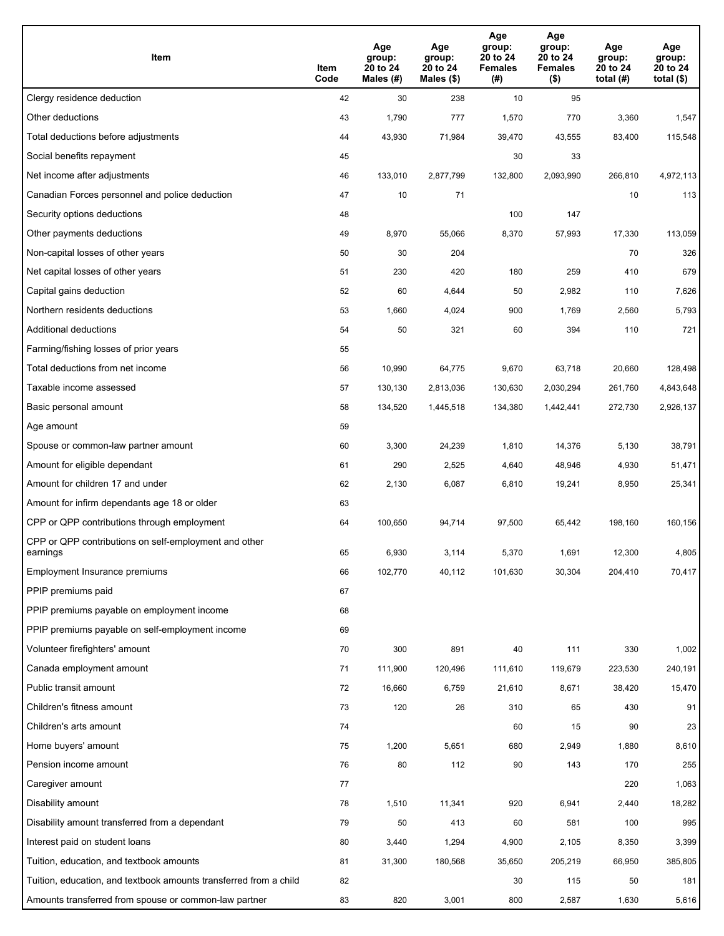| Item                                                              | Item<br>Code | Age<br>group:<br>20 to 24<br>Males (#) | Age<br>group:<br>20 to 24<br>Males (\$) | Age<br>group:<br>20 to 24<br><b>Females</b><br>(# ) | Age<br>group:<br>20 to 24<br><b>Females</b><br>$($ \$) | Age<br>group:<br>20 to 24<br>total $(H)$ | Age<br>group:<br>20 to 24<br>total $($)$ |
|-------------------------------------------------------------------|--------------|----------------------------------------|-----------------------------------------|-----------------------------------------------------|--------------------------------------------------------|------------------------------------------|------------------------------------------|
| Clergy residence deduction                                        | 42           | 30                                     | 238                                     | 10                                                  | 95                                                     |                                          |                                          |
| Other deductions                                                  | 43           | 1,790                                  | 777                                     | 1,570                                               | 770                                                    | 3,360                                    | 1,547                                    |
| Total deductions before adjustments                               | 44           | 43,930                                 | 71,984                                  | 39,470                                              | 43,555                                                 | 83,400                                   | 115,548                                  |
| Social benefits repayment                                         | 45           |                                        |                                         | 30                                                  | 33                                                     |                                          |                                          |
| Net income after adjustments                                      | 46           | 133,010                                | 2,877,799                               | 132,800                                             | 2,093,990                                              | 266,810                                  | 4,972,113                                |
| Canadian Forces personnel and police deduction                    | 47           | 10                                     | 71                                      |                                                     |                                                        | 10                                       | 113                                      |
| Security options deductions                                       | 48           |                                        |                                         | 100                                                 | 147                                                    |                                          |                                          |
| Other payments deductions                                         | 49           | 8,970                                  | 55,066                                  | 8,370                                               | 57,993                                                 | 17,330                                   | 113,059                                  |
| Non-capital losses of other years                                 | 50           | 30                                     | 204                                     |                                                     |                                                        | 70                                       | 326                                      |
| Net capital losses of other years                                 | 51           | 230                                    | 420                                     | 180                                                 | 259                                                    | 410                                      | 679                                      |
| Capital gains deduction                                           | 52           | 60                                     | 4,644                                   | 50                                                  | 2,982                                                  | 110                                      | 7,626                                    |
| Northern residents deductions                                     | 53           | 1,660                                  | 4,024                                   | 900                                                 | 1,769                                                  | 2,560                                    | 5,793                                    |
| Additional deductions                                             | 54           | 50                                     | 321                                     | 60                                                  | 394                                                    | 110                                      | 721                                      |
| Farming/fishing losses of prior years                             | 55           |                                        |                                         |                                                     |                                                        |                                          |                                          |
| Total deductions from net income                                  | 56           | 10,990                                 | 64,775                                  | 9,670                                               | 63,718                                                 | 20,660                                   | 128,498                                  |
| Taxable income assessed                                           | 57           | 130,130                                | 2,813,036                               | 130,630                                             | 2,030,294                                              | 261,760                                  | 4,843,648                                |
| Basic personal amount                                             | 58           | 134,520                                | 1,445,518                               | 134,380                                             | 1,442,441                                              | 272,730                                  | 2,926,137                                |
| Age amount                                                        | 59           |                                        |                                         |                                                     |                                                        |                                          |                                          |
| Spouse or common-law partner amount                               | 60           | 3,300                                  | 24,239                                  | 1,810                                               | 14,376                                                 | 5,130                                    | 38,791                                   |
| Amount for eligible dependant                                     | 61           | 290                                    | 2,525                                   | 4,640                                               | 48,946                                                 | 4,930                                    | 51,471                                   |
| Amount for children 17 and under                                  | 62           | 2,130                                  | 6,087                                   | 6,810                                               | 19,241                                                 | 8,950                                    | 25,341                                   |
| Amount for infirm dependants age 18 or older                      | 63           |                                        |                                         |                                                     |                                                        |                                          |                                          |
| CPP or QPP contributions through employment                       | 64           | 100,650                                | 94,714                                  | 97,500                                              | 65,442                                                 | 198,160                                  | 160,156                                  |
| CPP or QPP contributions on self-employment and other<br>earnings | 65           | 6,930                                  | 3,114                                   | 5,370                                               | 1,691                                                  | 12,300                                   | 4,805                                    |
| Employment Insurance premiums                                     | 66           | 102,770                                | 40,112                                  | 101,630                                             | 30,304                                                 | 204,410                                  | 70,417                                   |
| PPIP premiums paid                                                | 67           |                                        |                                         |                                                     |                                                        |                                          |                                          |
| PPIP premiums payable on employment income                        | 68           |                                        |                                         |                                                     |                                                        |                                          |                                          |
| PPIP premiums payable on self-employment income                   | 69           |                                        |                                         |                                                     |                                                        |                                          |                                          |
| Volunteer firefighters' amount                                    | 70           | 300                                    | 891                                     | 40                                                  | 111                                                    | 330                                      | 1,002                                    |
| Canada employment amount                                          | 71           | 111,900                                | 120,496                                 | 111,610                                             | 119,679                                                | 223,530                                  | 240,191                                  |
| Public transit amount                                             | 72           | 16,660                                 | 6,759                                   | 21,610                                              | 8,671                                                  | 38,420                                   | 15,470                                   |
| Children's fitness amount                                         | 73           | 120                                    | 26                                      | 310                                                 | 65                                                     | 430                                      | 91                                       |
| Children's arts amount                                            | 74           |                                        |                                         | 60                                                  | 15                                                     | 90                                       | 23                                       |
| Home buyers' amount                                               | 75           | 1,200                                  | 5,651                                   | 680                                                 | 2,949                                                  | 1,880                                    | 8,610                                    |
| Pension income amount                                             | 76           | 80                                     | 112                                     | 90                                                  | 143                                                    | 170                                      | 255                                      |
| Caregiver amount                                                  | 77           |                                        |                                         |                                                     |                                                        | 220                                      | 1,063                                    |
| Disability amount                                                 | 78           | 1,510                                  | 11,341                                  | 920                                                 | 6,941                                                  | 2,440                                    | 18,282                                   |
| Disability amount transferred from a dependant                    | 79           | 50                                     | 413                                     | 60                                                  | 581                                                    | 100                                      | 995                                      |
| Interest paid on student loans                                    | 80           | 3,440                                  | 1,294                                   | 4,900                                               | 2,105                                                  | 8,350                                    | 3,399                                    |
| Tuition, education, and textbook amounts                          | 81           | 31,300                                 | 180,568                                 | 35,650                                              | 205,219                                                | 66,950                                   | 385,805                                  |
| Tuition, education, and textbook amounts transferred from a child | 82           |                                        |                                         | 30                                                  | 115                                                    | 50                                       | 181                                      |
| Amounts transferred from spouse or common-law partner             | 83           | 820                                    | 3,001                                   | 800                                                 | 2,587                                                  | 1,630                                    | 5,616                                    |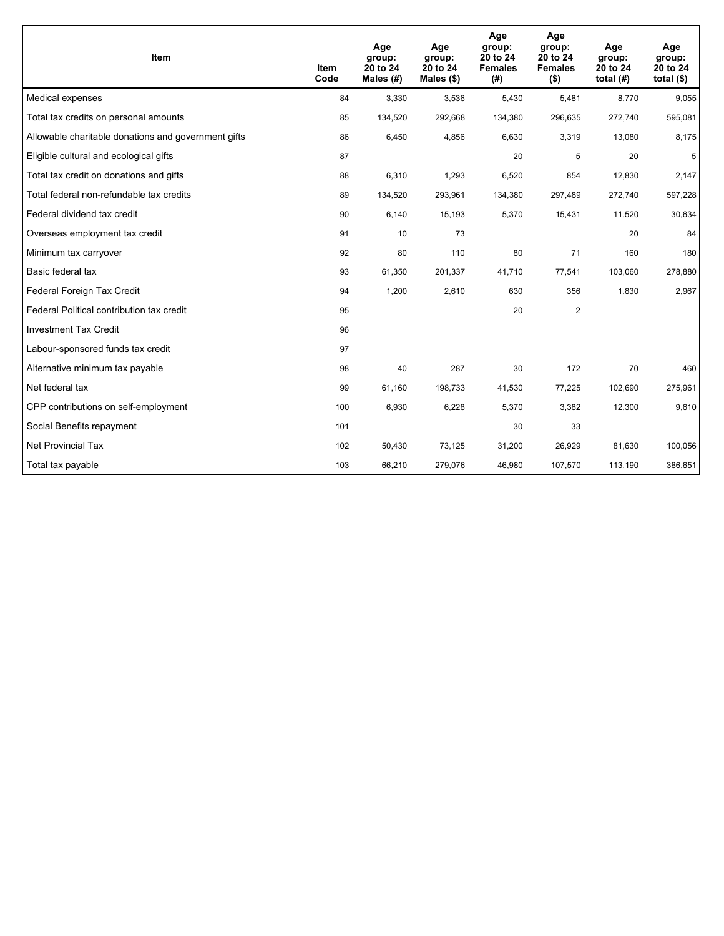| Item                                                | <b>Item</b><br>Code | Age<br>group:<br>20 to 24<br>Males (#) | Age<br>group:<br>20 to 24<br>Males $(\$)$ | Age<br>group:<br>20 to 24<br><b>Females</b><br>(#) | Age<br>group:<br>20 to 24<br><b>Females</b><br>$($ \$) | Age<br>group:<br>20 to 24<br>total $(H)$ | Age<br>group:<br>20 to 24<br>total $($)$ |
|-----------------------------------------------------|---------------------|----------------------------------------|-------------------------------------------|----------------------------------------------------|--------------------------------------------------------|------------------------------------------|------------------------------------------|
| Medical expenses                                    | 84                  | 3,330                                  | 3,536                                     | 5,430                                              | 5,481                                                  | 8,770                                    | 9,055                                    |
| Total tax credits on personal amounts               | 85                  | 134,520                                | 292,668                                   | 134,380                                            | 296,635                                                | 272,740                                  | 595,081                                  |
| Allowable charitable donations and government gifts | 86                  | 6,450                                  | 4,856                                     | 6,630                                              | 3,319                                                  | 13,080                                   | 8,175                                    |
| Eligible cultural and ecological gifts              | 87                  |                                        |                                           | 20                                                 | 5                                                      | 20                                       | 5                                        |
| Total tax credit on donations and gifts             | 88                  | 6,310                                  | 1,293                                     | 6,520                                              | 854                                                    | 12,830                                   | 2,147                                    |
| Total federal non-refundable tax credits            | 89                  | 134,520                                | 293,961                                   | 134,380                                            | 297,489                                                | 272,740                                  | 597,228                                  |
| Federal dividend tax credit                         | 90                  | 6,140                                  | 15,193                                    | 5,370                                              | 15,431                                                 | 11,520                                   | 30,634                                   |
| Overseas employment tax credit                      | 91                  | 10                                     | 73                                        |                                                    |                                                        | 20                                       | 84                                       |
| Minimum tax carryover                               | 92                  | 80                                     | 110                                       | 80                                                 | 71                                                     | 160                                      | 180                                      |
| Basic federal tax                                   | 93                  | 61,350                                 | 201,337                                   | 41,710                                             | 77,541                                                 | 103,060                                  | 278,880                                  |
| Federal Foreign Tax Credit                          | 94                  | 1,200                                  | 2,610                                     | 630                                                | 356                                                    | 1,830                                    | 2,967                                    |
| Federal Political contribution tax credit           | 95                  |                                        |                                           | 20                                                 | $\overline{2}$                                         |                                          |                                          |
| <b>Investment Tax Credit</b>                        | 96                  |                                        |                                           |                                                    |                                                        |                                          |                                          |
| Labour-sponsored funds tax credit                   | 97                  |                                        |                                           |                                                    |                                                        |                                          |                                          |
| Alternative minimum tax payable                     | 98                  | 40                                     | 287                                       | 30                                                 | 172                                                    | 70                                       | 460                                      |
| Net federal tax                                     | 99                  | 61,160                                 | 198,733                                   | 41,530                                             | 77,225                                                 | 102,690                                  | 275,961                                  |
| CPP contributions on self-employment                | 100                 | 6,930                                  | 6,228                                     | 5,370                                              | 3,382                                                  | 12,300                                   | 9,610                                    |
| Social Benefits repayment                           | 101                 |                                        |                                           | 30                                                 | 33                                                     |                                          |                                          |
| <b>Net Provincial Tax</b>                           | 102                 | 50,430                                 | 73,125                                    | 31,200                                             | 26,929                                                 | 81,630                                   | 100,056                                  |
| Total tax payable                                   | 103                 | 66,210                                 | 279,076                                   | 46,980                                             | 107,570                                                | 113,190                                  | 386,651                                  |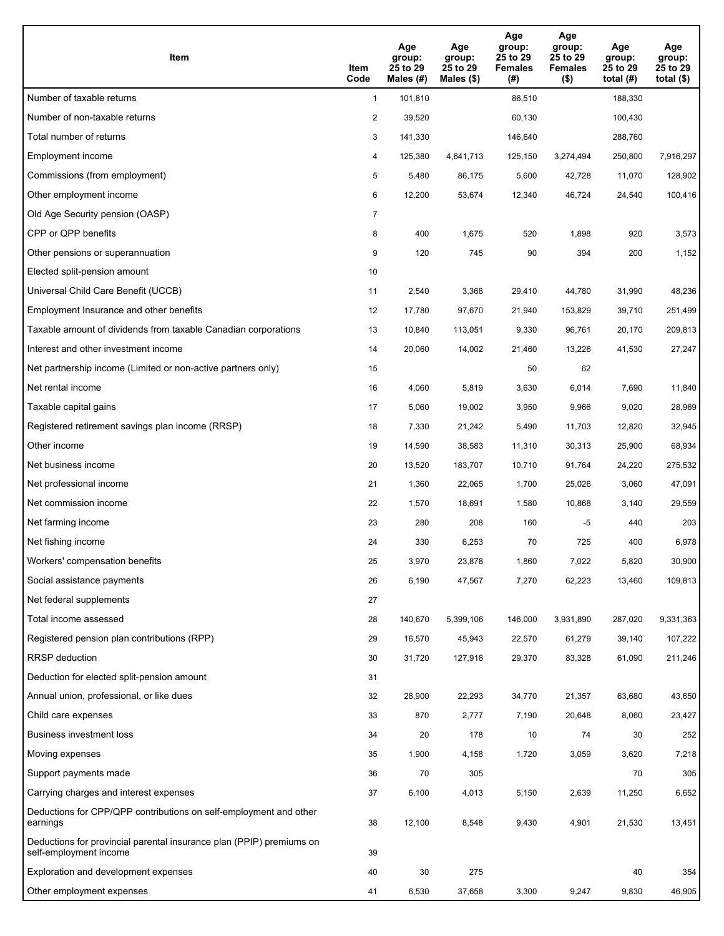| Item                                                                                           | Item<br>Code   | Age<br>group:<br>25 to 29<br>Males (#) | Age<br>group:<br>25 to 29<br>Males $(\$)$ | Age<br>group:<br>25 to 29<br><b>Females</b><br>(#) | Age<br>group:<br>25 to 29<br><b>Females</b><br>$($ \$) | Age<br>group:<br>25 to 29<br>total $(H)$ | Age<br>group:<br>25 to 29<br>total $($ |
|------------------------------------------------------------------------------------------------|----------------|----------------------------------------|-------------------------------------------|----------------------------------------------------|--------------------------------------------------------|------------------------------------------|----------------------------------------|
| Number of taxable returns                                                                      | $\mathbf{1}$   | 101,810                                |                                           | 86,510                                             |                                                        | 188,330                                  |                                        |
| Number of non-taxable returns                                                                  | $\overline{2}$ | 39,520                                 |                                           | 60,130                                             |                                                        | 100,430                                  |                                        |
| Total number of returns                                                                        | 3              | 141,330                                |                                           | 146,640                                            |                                                        | 288,760                                  |                                        |
| Employment income                                                                              | 4              | 125,380                                | 4,641,713                                 | 125,150                                            | 3,274,494                                              | 250,800                                  | 7,916,297                              |
| Commissions (from employment)                                                                  | 5              | 5,480                                  | 86,175                                    | 5,600                                              | 42,728                                                 | 11,070                                   | 128,902                                |
| Other employment income                                                                        | 6              | 12,200                                 | 53,674                                    | 12,340                                             | 46,724                                                 | 24,540                                   | 100,416                                |
| Old Age Security pension (OASP)                                                                | 7              |                                        |                                           |                                                    |                                                        |                                          |                                        |
| CPP or QPP benefits                                                                            | 8              | 400                                    | 1,675                                     | 520                                                | 1,898                                                  | 920                                      | 3,573                                  |
| Other pensions or superannuation                                                               | 9              | 120                                    | 745                                       | 90                                                 | 394                                                    | 200                                      | 1,152                                  |
| Elected split-pension amount                                                                   | 10             |                                        |                                           |                                                    |                                                        |                                          |                                        |
| Universal Child Care Benefit (UCCB)                                                            | 11             | 2,540                                  | 3,368                                     | 29,410                                             | 44,780                                                 | 31,990                                   | 48,236                                 |
| Employment Insurance and other benefits                                                        | 12             | 17,780                                 | 97,670                                    | 21,940                                             | 153,829                                                | 39,710                                   | 251,499                                |
| Taxable amount of dividends from taxable Canadian corporations                                 | 13             | 10,840                                 | 113,051                                   | 9,330                                              | 96,761                                                 | 20,170                                   | 209,813                                |
| Interest and other investment income                                                           | 14             | 20,060                                 | 14,002                                    | 21,460                                             | 13,226                                                 | 41,530                                   | 27,247                                 |
| Net partnership income (Limited or non-active partners only)                                   | 15             |                                        |                                           | 50                                                 | 62                                                     |                                          |                                        |
| Net rental income                                                                              | 16             | 4,060                                  | 5,819                                     | 3,630                                              | 6,014                                                  | 7,690                                    | 11,840                                 |
| Taxable capital gains                                                                          | 17             | 5,060                                  | 19,002                                    | 3,950                                              | 9,966                                                  | 9,020                                    | 28,969                                 |
| Registered retirement savings plan income (RRSP)                                               | 18             | 7,330                                  | 21,242                                    | 5,490                                              | 11,703                                                 | 12,820                                   | 32,945                                 |
| Other income                                                                                   | 19             | 14,590                                 | 38,583                                    | 11,310                                             | 30,313                                                 | 25,900                                   | 68,934                                 |
| Net business income                                                                            | 20             | 13,520                                 | 183,707                                   | 10,710                                             | 91,764                                                 | 24,220                                   | 275,532                                |
| Net professional income                                                                        | 21             | 1,360                                  | 22,065                                    | 1,700                                              | 25,026                                                 | 3,060                                    | 47,091                                 |
| Net commission income                                                                          | 22             | 1,570                                  | 18,691                                    | 1,580                                              | 10,868                                                 | 3,140                                    | 29,559                                 |
| Net farming income                                                                             | 23             | 280                                    | 208                                       | 160                                                | -5                                                     | 440                                      | 203                                    |
| Net fishing income                                                                             | 24             | 330                                    | 6,253                                     | 70                                                 | 725                                                    | 400                                      | 6,978                                  |
| Workers' compensation benefits                                                                 | 25             | 3,970                                  | 23,878                                    | 1,860                                              | 7,022                                                  | 5,820                                    | 30,900                                 |
| Social assistance payments                                                                     | 26             | 6,190                                  | 47,567                                    | 7,270                                              | 62,223                                                 | 13,460                                   | 109,813                                |
| Net federal supplements                                                                        | 27             |                                        |                                           |                                                    |                                                        |                                          |                                        |
| Total income assessed                                                                          | 28             | 140,670                                | 5,399,106                                 | 146,000                                            | 3,931,890                                              | 287,020                                  | 9,331,363                              |
| Registered pension plan contributions (RPP)                                                    | 29             | 16,570                                 | 45,943                                    | 22,570                                             | 61,279                                                 | 39,140                                   | 107,222                                |
| <b>RRSP</b> deduction                                                                          | 30             | 31,720                                 | 127,918                                   | 29,370                                             | 83,328                                                 | 61,090                                   | 211,246                                |
| Deduction for elected split-pension amount                                                     | 31             |                                        |                                           |                                                    |                                                        |                                          |                                        |
| Annual union, professional, or like dues                                                       | 32             | 28,900                                 | 22,293                                    | 34,770                                             | 21,357                                                 | 63,680                                   | 43,650                                 |
| Child care expenses                                                                            | 33             | 870                                    | 2,777                                     | 7,190                                              | 20,648                                                 | 8,060                                    | 23,427                                 |
| Business investment loss                                                                       | 34             | 20                                     | 178                                       | 10                                                 | 74                                                     | 30                                       | 252                                    |
| Moving expenses                                                                                | 35             | 1,900                                  | 4,158                                     | 1,720                                              | 3,059                                                  | 3,620                                    | 7,218                                  |
| Support payments made                                                                          | 36             | 70                                     | 305                                       |                                                    |                                                        | 70                                       | 305                                    |
| Carrying charges and interest expenses                                                         | 37             | 6,100                                  | 4,013                                     | 5,150                                              | 2,639                                                  | 11,250                                   | 6,652                                  |
| Deductions for CPP/QPP contributions on self-employment and other<br>earnings                  | 38             | 12,100                                 | 8,548                                     | 9,430                                              | 4,901                                                  | 21,530                                   | 13,451                                 |
| Deductions for provincial parental insurance plan (PPIP) premiums on<br>self-employment income | 39             |                                        |                                           |                                                    |                                                        |                                          |                                        |
| Exploration and development expenses                                                           | 40             | 30                                     | 275                                       |                                                    |                                                        | 40                                       | 354                                    |
| Other employment expenses                                                                      | 41             | 6,530                                  | 37,658                                    | 3,300                                              | 9,247                                                  | 9,830                                    | 46,905                                 |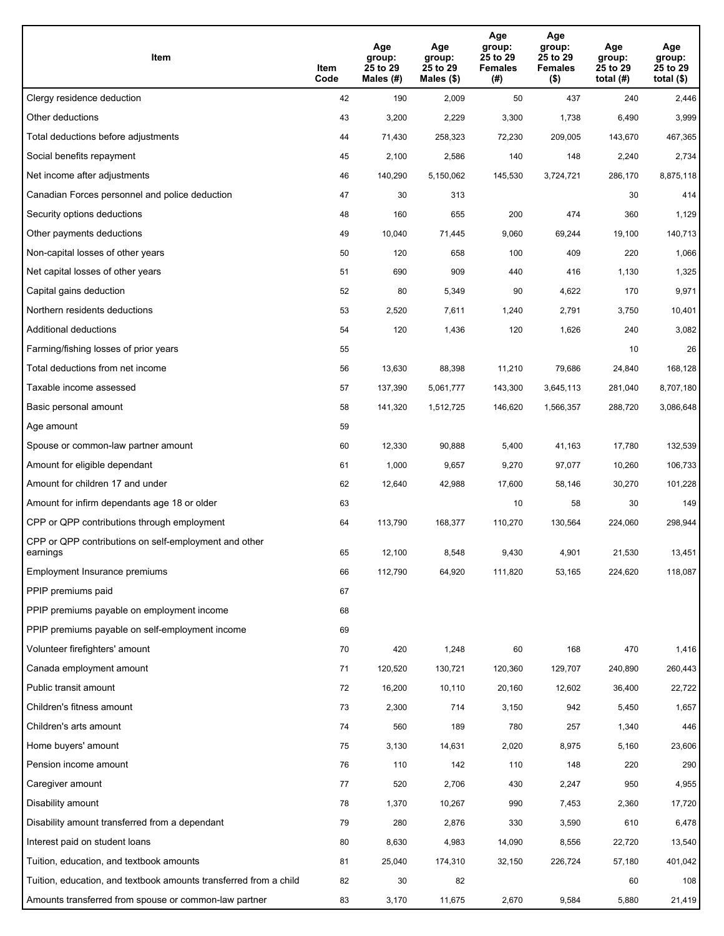| Item                                                              | Item<br>Code | Age<br>group:<br>25 to 29<br>Males (#) | Age<br>group:<br>25 to 29<br>Males (\$) | Age<br>group:<br>25 to 29<br><b>Females</b><br>(# ) | Age<br>group:<br>25 to 29<br><b>Females</b><br>$($ \$) | Age<br>group:<br>25 to 29<br>total $(#)$ | Age<br>group:<br>25 to 29<br>total $($)$ |
|-------------------------------------------------------------------|--------------|----------------------------------------|-----------------------------------------|-----------------------------------------------------|--------------------------------------------------------|------------------------------------------|------------------------------------------|
| Clergy residence deduction                                        | 42           | 190                                    | 2,009                                   | 50                                                  | 437                                                    | 240                                      | 2,446                                    |
| Other deductions                                                  | 43           | 3,200                                  | 2,229                                   | 3,300                                               | 1,738                                                  | 6,490                                    | 3,999                                    |
| Total deductions before adjustments                               | 44           | 71,430                                 | 258,323                                 | 72,230                                              | 209,005                                                | 143,670                                  | 467,365                                  |
| Social benefits repayment                                         | 45           | 2,100                                  | 2,586                                   | 140                                                 | 148                                                    | 2,240                                    | 2,734                                    |
| Net income after adjustments                                      | 46           | 140,290                                | 5,150,062                               | 145,530                                             | 3,724,721                                              | 286,170                                  | 8,875,118                                |
| Canadian Forces personnel and police deduction                    | 47           | 30                                     | 313                                     |                                                     |                                                        | 30                                       | 414                                      |
| Security options deductions                                       | 48           | 160                                    | 655                                     | 200                                                 | 474                                                    | 360                                      | 1,129                                    |
| Other payments deductions                                         | 49           | 10,040                                 | 71,445                                  | 9,060                                               | 69,244                                                 | 19,100                                   | 140,713                                  |
| Non-capital losses of other years                                 | 50           | 120                                    | 658                                     | 100                                                 | 409                                                    | 220                                      | 1,066                                    |
| Net capital losses of other years                                 | 51           | 690                                    | 909                                     | 440                                                 | 416                                                    | 1,130                                    | 1,325                                    |
| Capital gains deduction                                           | 52           | 80                                     | 5,349                                   | 90                                                  | 4,622                                                  | 170                                      | 9,971                                    |
| Northern residents deductions                                     | 53           | 2,520                                  | 7,611                                   | 1,240                                               | 2,791                                                  | 3,750                                    | 10,401                                   |
| Additional deductions                                             | 54           | 120                                    | 1,436                                   | 120                                                 | 1,626                                                  | 240                                      | 3,082                                    |
| Farming/fishing losses of prior years                             | 55           |                                        |                                         |                                                     |                                                        | 10                                       | 26                                       |
| Total deductions from net income                                  | 56           | 13,630                                 | 88,398                                  | 11,210                                              | 79,686                                                 | 24,840                                   | 168,128                                  |
| Taxable income assessed                                           | 57           | 137,390                                | 5,061,777                               | 143,300                                             | 3,645,113                                              | 281,040                                  | 8,707,180                                |
| Basic personal amount                                             | 58           | 141,320                                | 1,512,725                               | 146,620                                             | 1,566,357                                              | 288,720                                  | 3,086,648                                |
| Age amount                                                        | 59           |                                        |                                         |                                                     |                                                        |                                          |                                          |
| Spouse or common-law partner amount                               | 60           | 12,330                                 | 90,888                                  | 5,400                                               | 41,163                                                 | 17,780                                   | 132,539                                  |
| Amount for eligible dependant                                     | 61           | 1,000                                  | 9,657                                   | 9,270                                               | 97,077                                                 | 10,260                                   | 106,733                                  |
| Amount for children 17 and under                                  | 62           | 12,640                                 | 42,988                                  | 17,600                                              | 58,146                                                 | 30,270                                   | 101,228                                  |
| Amount for infirm dependants age 18 or older                      | 63           |                                        |                                         | 10                                                  | 58                                                     | 30                                       | 149                                      |
| CPP or QPP contributions through employment                       | 64           | 113,790                                | 168,377                                 | 110,270                                             | 130,564                                                | 224,060                                  | 298,944                                  |
| CPP or QPP contributions on self-employment and other<br>earnings | 65           | 12.100                                 | 8,548                                   | 9,430                                               | 4,901                                                  | 21,530                                   | 13,451                                   |
| Employment Insurance premiums                                     | 66           | 112,790                                | 64,920                                  | 111,820                                             | 53,165                                                 | 224,620                                  | 118,087                                  |
| PPIP premiums paid                                                | 67           |                                        |                                         |                                                     |                                                        |                                          |                                          |
| PPIP premiums payable on employment income                        | 68           |                                        |                                         |                                                     |                                                        |                                          |                                          |
| PPIP premiums payable on self-employment income                   | 69           |                                        |                                         |                                                     |                                                        |                                          |                                          |
| Volunteer firefighters' amount                                    | 70           | 420                                    | 1,248                                   | 60                                                  | 168                                                    | 470                                      | 1,416                                    |
| Canada employment amount                                          | 71           | 120,520                                | 130,721                                 | 120,360                                             | 129,707                                                | 240,890                                  | 260,443                                  |
| Public transit amount                                             | 72           | 16,200                                 | 10,110                                  | 20,160                                              | 12,602                                                 | 36,400                                   | 22,722                                   |
| Children's fitness amount                                         | 73           | 2,300                                  | 714                                     | 3,150                                               | 942                                                    | 5,450                                    | 1,657                                    |
| Children's arts amount                                            | 74           | 560                                    | 189                                     | 780                                                 | 257                                                    | 1,340                                    | 446                                      |
| Home buyers' amount                                               | 75           | 3,130                                  | 14,631                                  | 2,020                                               | 8,975                                                  | 5,160                                    | 23,606                                   |
| Pension income amount                                             | 76           | 110                                    | 142                                     | 110                                                 | 148                                                    | 220                                      | 290                                      |
| Caregiver amount                                                  | $77\,$       | 520                                    | 2,706                                   | 430                                                 | 2,247                                                  | 950                                      | 4,955                                    |
| Disability amount                                                 | 78           | 1,370                                  | 10,267                                  | 990                                                 | 7,453                                                  | 2,360                                    | 17,720                                   |
| Disability amount transferred from a dependant                    | 79           | 280                                    | 2,876                                   | 330                                                 | 3,590                                                  | 610                                      | 6,478                                    |
| Interest paid on student loans                                    | 80           | 8,630                                  | 4,983                                   | 14,090                                              | 8,556                                                  | 22,720                                   | 13,540                                   |
| Tuition, education, and textbook amounts                          | 81           | 25,040                                 | 174,310                                 | 32,150                                              | 226,724                                                | 57,180                                   | 401,042                                  |
| Tuition, education, and textbook amounts transferred from a child | 82           | 30                                     | 82                                      |                                                     |                                                        | 60                                       | 108                                      |
| Amounts transferred from spouse or common-law partner             | 83           | 3,170                                  | 11,675                                  | 2,670                                               | 9,584                                                  | 5,880                                    | 21,419                                   |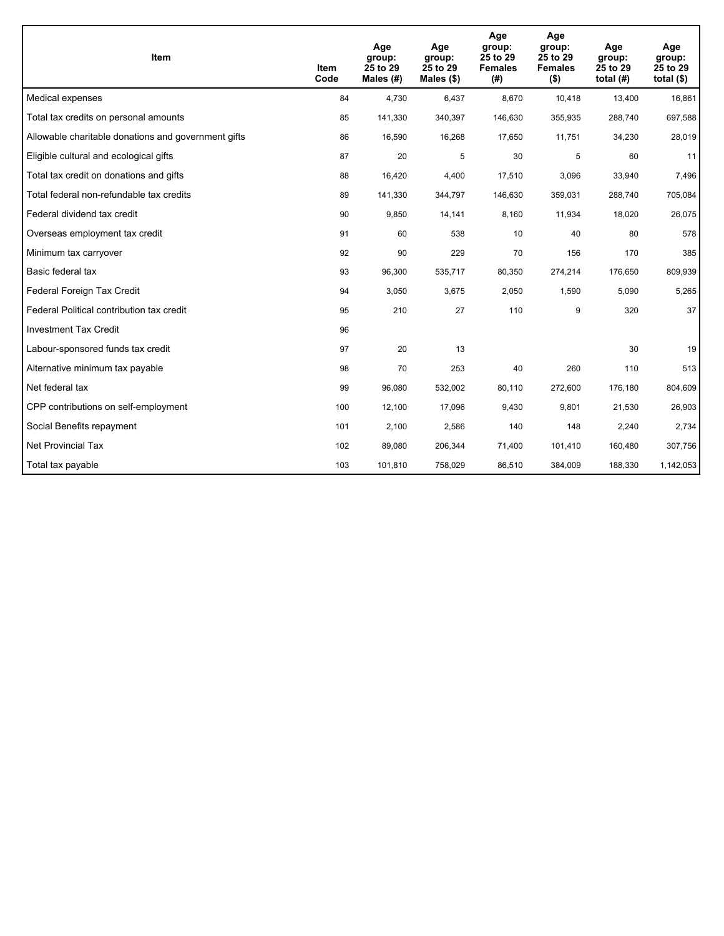| <b>Item</b>                                         | Item<br>Code | Age<br>group:<br>25 to 29<br>Males $(H)$ | Age<br>group:<br>25 to 29<br>Males $(\$)$ | Age<br>group:<br>25 to 29<br><b>Females</b><br>(# ) | Age<br>group:<br>25 to 29<br><b>Females</b><br>$($ \$) | Age<br>group:<br>25 to 29<br>total $(H)$ | Age<br>group:<br>25 to 29<br>total $($)$ |
|-----------------------------------------------------|--------------|------------------------------------------|-------------------------------------------|-----------------------------------------------------|--------------------------------------------------------|------------------------------------------|------------------------------------------|
| Medical expenses                                    | 84           | 4,730                                    | 6,437                                     | 8,670                                               | 10,418                                                 | 13,400                                   | 16,861                                   |
| Total tax credits on personal amounts               | 85           | 141,330                                  | 340,397                                   | 146,630                                             | 355,935                                                | 288,740                                  | 697,588                                  |
| Allowable charitable donations and government gifts | 86           | 16,590                                   | 16,268                                    | 17,650                                              | 11,751                                                 | 34,230                                   | 28,019                                   |
| Eligible cultural and ecological gifts              | 87           | 20                                       | 5                                         | 30                                                  | 5                                                      | 60                                       | 11                                       |
| Total tax credit on donations and gifts             | 88           | 16,420                                   | 4,400                                     | 17,510                                              | 3,096                                                  | 33,940                                   | 7,496                                    |
| Total federal non-refundable tax credits            | 89           | 141,330                                  | 344,797                                   | 146,630                                             | 359,031                                                | 288,740                                  | 705,084                                  |
| Federal dividend tax credit                         | 90           | 9,850                                    | 14,141                                    | 8,160                                               | 11,934                                                 | 18,020                                   | 26,075                                   |
| Overseas employment tax credit                      | 91           | 60                                       | 538                                       | 10                                                  | 40                                                     | 80                                       | 578                                      |
| Minimum tax carryover                               | 92           | 90                                       | 229                                       | 70                                                  | 156                                                    | 170                                      | 385                                      |
| Basic federal tax                                   | 93           | 96,300                                   | 535,717                                   | 80,350                                              | 274,214                                                | 176.650                                  | 809,939                                  |
| Federal Foreign Tax Credit                          | 94           | 3,050                                    | 3,675                                     | 2,050                                               | 1,590                                                  | 5,090                                    | 5,265                                    |
| Federal Political contribution tax credit           | 95           | 210                                      | 27                                        | 110                                                 | 9                                                      | 320                                      | 37                                       |
| <b>Investment Tax Credit</b>                        | 96           |                                          |                                           |                                                     |                                                        |                                          |                                          |
| Labour-sponsored funds tax credit                   | 97           | 20                                       | 13                                        |                                                     |                                                        | 30                                       | 19                                       |
| Alternative minimum tax payable                     | 98           | 70                                       | 253                                       | 40                                                  | 260                                                    | 110                                      | 513                                      |
| Net federal tax                                     | 99           | 96,080                                   | 532,002                                   | 80,110                                              | 272,600                                                | 176,180                                  | 804,609                                  |
| CPP contributions on self-employment                | 100          | 12,100                                   | 17,096                                    | 9,430                                               | 9,801                                                  | 21,530                                   | 26,903                                   |
| Social Benefits repayment                           | 101          | 2,100                                    | 2,586                                     | 140                                                 | 148                                                    | 2,240                                    | 2,734                                    |
| <b>Net Provincial Tax</b>                           | 102          | 89,080                                   | 206,344                                   | 71,400                                              | 101,410                                                | 160,480                                  | 307,756                                  |
| Total tax payable                                   | 103          | 101,810                                  | 758,029                                   | 86,510                                              | 384,009                                                | 188,330                                  | 1,142,053                                |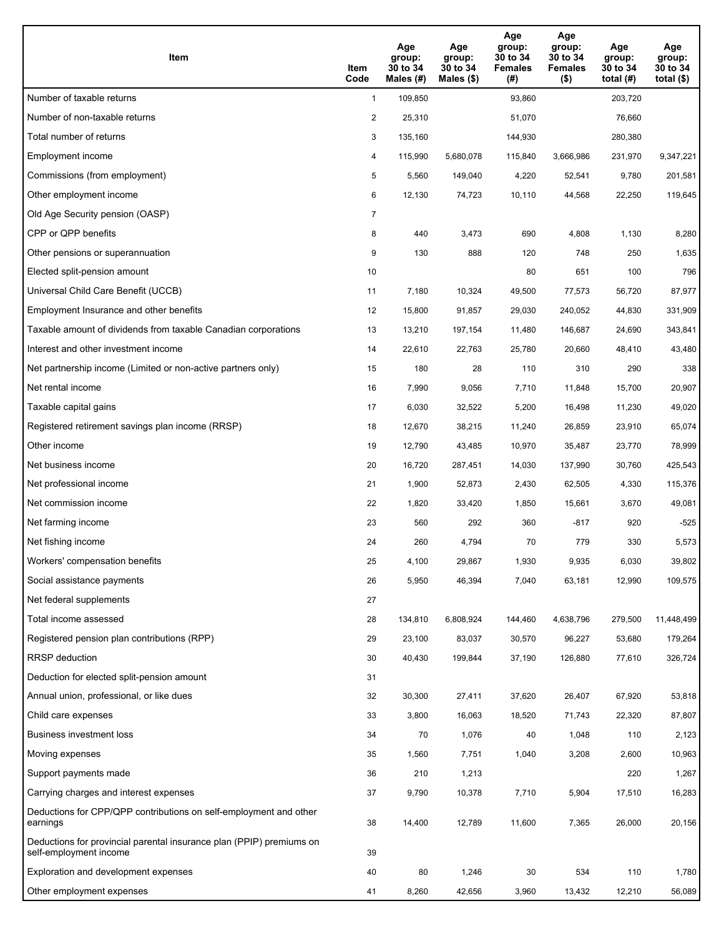| <b>Item</b>                                                                                    | Item<br>Code   | Age<br>group:<br>30 to 34<br>Males (#) | Age<br>group:<br>30 to 34<br>Males (\$) | Age<br>group:<br>30 to 34<br><b>Females</b><br>(#) | Age<br>group:<br>30 to 34<br><b>Females</b><br>$($ \$) | Age<br>group:<br>30 to 34<br>total $(H)$ | Age<br>group:<br>30 to 34<br>total $(\$)$ |
|------------------------------------------------------------------------------------------------|----------------|----------------------------------------|-----------------------------------------|----------------------------------------------------|--------------------------------------------------------|------------------------------------------|-------------------------------------------|
| Number of taxable returns                                                                      | $\mathbf{1}$   | 109,850                                |                                         | 93,860                                             |                                                        | 203,720                                  |                                           |
| Number of non-taxable returns                                                                  | $\overline{2}$ | 25,310                                 |                                         | 51,070                                             |                                                        | 76,660                                   |                                           |
| Total number of returns                                                                        | 3              | 135,160                                |                                         | 144,930                                            |                                                        | 280,380                                  |                                           |
| Employment income                                                                              | 4              | 115,990                                | 5,680,078                               | 115,840                                            | 3.666.986                                              | 231,970                                  | 9,347,221                                 |
| Commissions (from employment)                                                                  | 5              | 5,560                                  | 149,040                                 | 4,220                                              | 52,541                                                 | 9,780                                    | 201,581                                   |
| Other employment income                                                                        | 6              | 12,130                                 | 74,723                                  | 10,110                                             | 44,568                                                 | 22,250                                   | 119,645                                   |
| Old Age Security pension (OASP)                                                                | $\overline{7}$ |                                        |                                         |                                                    |                                                        |                                          |                                           |
| CPP or QPP benefits                                                                            | 8              | 440                                    | 3,473                                   | 690                                                | 4,808                                                  | 1,130                                    | 8,280                                     |
| Other pensions or superannuation                                                               | 9              | 130                                    | 888                                     | 120                                                | 748                                                    | 250                                      | 1,635                                     |
| Elected split-pension amount                                                                   | 10             |                                        |                                         | 80                                                 | 651                                                    | 100                                      | 796                                       |
| Universal Child Care Benefit (UCCB)                                                            | 11             | 7,180                                  | 10,324                                  | 49,500                                             | 77,573                                                 | 56,720                                   | 87,977                                    |
| Employment Insurance and other benefits                                                        | 12             | 15,800                                 | 91,857                                  | 29,030                                             | 240,052                                                | 44,830                                   | 331,909                                   |
| Taxable amount of dividends from taxable Canadian corporations                                 | 13             | 13,210                                 | 197,154                                 | 11,480                                             | 146,687                                                | 24,690                                   | 343,841                                   |
| Interest and other investment income                                                           | 14             | 22,610                                 | 22,763                                  | 25,780                                             | 20,660                                                 | 48,410                                   | 43,480                                    |
| Net partnership income (Limited or non-active partners only)                                   | 15             | 180                                    | 28                                      | 110                                                | 310                                                    | 290                                      | 338                                       |
| Net rental income                                                                              | 16             | 7,990                                  | 9,056                                   | 7,710                                              | 11,848                                                 | 15,700                                   | 20,907                                    |
| Taxable capital gains                                                                          | 17             | 6,030                                  | 32,522                                  | 5,200                                              | 16,498                                                 | 11,230                                   | 49,020                                    |
| Registered retirement savings plan income (RRSP)                                               | 18             | 12,670                                 | 38,215                                  | 11,240                                             | 26,859                                                 | 23,910                                   | 65,074                                    |
| Other income                                                                                   | 19             | 12,790                                 | 43,485                                  | 10,970                                             | 35,487                                                 | 23,770                                   | 78,999                                    |
| Net business income                                                                            | 20             | 16,720                                 | 287,451                                 | 14,030                                             | 137,990                                                | 30,760                                   | 425,543                                   |
| Net professional income                                                                        | 21             | 1,900                                  | 52,873                                  | 2,430                                              | 62,505                                                 | 4,330                                    | 115,376                                   |
| Net commission income                                                                          | 22             | 1,820                                  | 33,420                                  | 1,850                                              | 15,661                                                 | 3,670                                    | 49,081                                    |
| Net farming income                                                                             | 23             | 560                                    | 292                                     | 360                                                | -817                                                   | 920                                      | $-525$                                    |
| Net fishing income                                                                             | 24             | 260                                    | 4,794                                   | 70                                                 | 779                                                    | 330                                      | 5,573                                     |
| Workers' compensation benefits                                                                 | 25             | 4,100                                  | 29,867                                  | 1,930                                              | 9,935                                                  | 6,030                                    | 39,802                                    |
| Social assistance payments                                                                     | 26             | 5,950                                  | 46,394                                  | 7,040                                              | 63,181                                                 | 12,990                                   | 109,575                                   |
| Net federal supplements                                                                        | 27             |                                        |                                         |                                                    |                                                        |                                          |                                           |
| Total income assessed                                                                          | 28             | 134,810                                | 6,808,924                               | 144,460                                            | 4,638,796                                              | 279,500                                  | 11,448,499                                |
| Registered pension plan contributions (RPP)                                                    | 29             | 23,100                                 | 83,037                                  | 30,570                                             | 96,227                                                 | 53,680                                   | 179,264                                   |
| <b>RRSP</b> deduction                                                                          | 30             | 40,430                                 | 199,844                                 | 37,190                                             | 126,880                                                | 77,610                                   | 326,724                                   |
| Deduction for elected split-pension amount                                                     | 31             |                                        |                                         |                                                    |                                                        |                                          |                                           |
| Annual union, professional, or like dues                                                       | 32             | 30,300                                 | 27,411                                  | 37,620                                             | 26,407                                                 | 67,920                                   | 53,818                                    |
| Child care expenses                                                                            | 33             | 3,800                                  | 16,063                                  | 18,520                                             | 71,743                                                 | 22,320                                   | 87,807                                    |
| <b>Business investment loss</b>                                                                | 34             | 70                                     | 1,076                                   | 40                                                 | 1,048                                                  | 110                                      | 2,123                                     |
| Moving expenses                                                                                | 35             | 1,560                                  | 7,751                                   | 1,040                                              | 3,208                                                  | 2,600                                    | 10,963                                    |
| Support payments made                                                                          | 36             | 210                                    | 1,213                                   |                                                    |                                                        | 220                                      | 1,267                                     |
| Carrying charges and interest expenses                                                         | 37             | 9,790                                  | 10,378                                  | 7,710                                              | 5,904                                                  | 17,510                                   | 16,283                                    |
| Deductions for CPP/QPP contributions on self-employment and other<br>earnings                  | 38             | 14,400                                 | 12,789                                  | 11,600                                             | 7,365                                                  | 26,000                                   | 20,156                                    |
| Deductions for provincial parental insurance plan (PPIP) premiums on<br>self-employment income | 39             |                                        |                                         |                                                    |                                                        |                                          |                                           |
| Exploration and development expenses                                                           | 40             | 80                                     | 1,246                                   | 30                                                 | 534                                                    | 110                                      | 1,780                                     |
| Other employment expenses                                                                      | 41             | 8,260                                  | 42,656                                  | 3,960                                              | 13,432                                                 | 12,210                                   | 56,089                                    |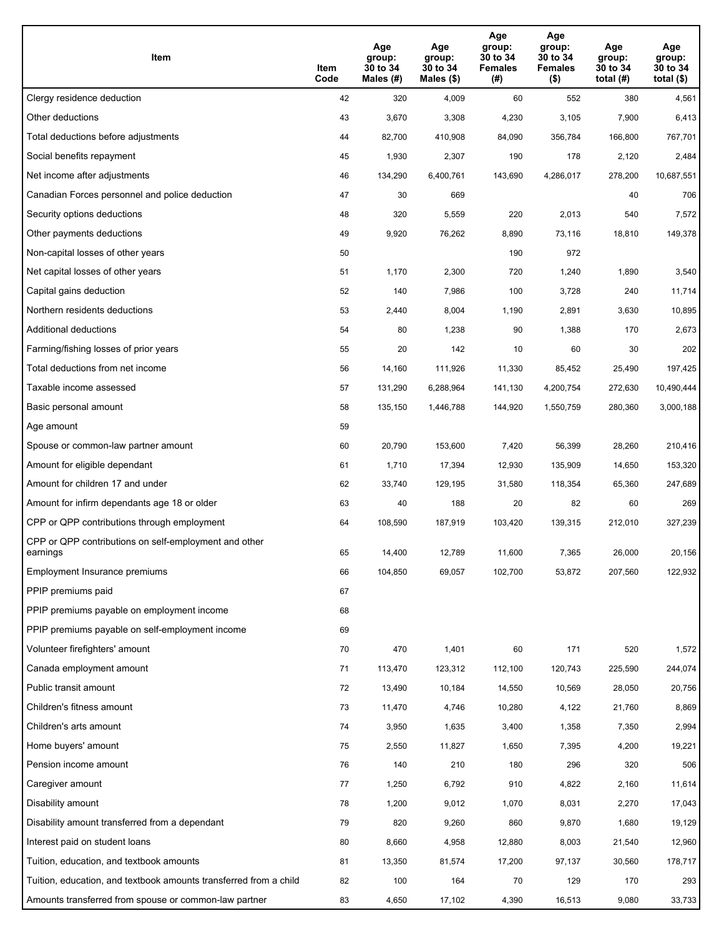| Item                                                              | Item<br>Code | Age<br>group:<br>30 to 34<br>Males (#) | Age<br>group:<br>30 to 34<br>Males (\$) | Age<br>group:<br>30 to 34<br><b>Females</b><br>(# ) | Age<br>group:<br>30 to 34<br><b>Females</b><br>$($ \$) | Age<br>group:<br>30 to 34<br>total $(H)$ | Age<br>group:<br>30 to 34<br>total $($)$ |
|-------------------------------------------------------------------|--------------|----------------------------------------|-----------------------------------------|-----------------------------------------------------|--------------------------------------------------------|------------------------------------------|------------------------------------------|
| Clergy residence deduction                                        | 42           | 320                                    | 4,009                                   | 60                                                  | 552                                                    | 380                                      | 4,561                                    |
| Other deductions                                                  | 43           | 3,670                                  | 3,308                                   | 4,230                                               | 3,105                                                  | 7,900                                    | 6,413                                    |
| Total deductions before adjustments                               | 44           | 82,700                                 | 410,908                                 | 84,090                                              | 356,784                                                | 166,800                                  | 767,701                                  |
| Social benefits repayment                                         | 45           | 1,930                                  | 2,307                                   | 190                                                 | 178                                                    | 2,120                                    | 2,484                                    |
| Net income after adjustments                                      | 46           | 134,290                                | 6,400,761                               | 143,690                                             | 4,286,017                                              | 278,200                                  | 10,687,551                               |
| Canadian Forces personnel and police deduction                    | 47           | 30                                     | 669                                     |                                                     |                                                        | 40                                       | 706                                      |
| Security options deductions                                       | 48           | 320                                    | 5,559                                   | 220                                                 | 2,013                                                  | 540                                      | 7,572                                    |
| Other payments deductions                                         | 49           | 9,920                                  | 76,262                                  | 8,890                                               | 73,116                                                 | 18,810                                   | 149,378                                  |
| Non-capital losses of other years                                 | 50           |                                        |                                         | 190                                                 | 972                                                    |                                          |                                          |
| Net capital losses of other years                                 | 51           | 1,170                                  | 2,300                                   | 720                                                 | 1,240                                                  | 1,890                                    | 3,540                                    |
| Capital gains deduction                                           | 52           | 140                                    | 7,986                                   | 100                                                 | 3,728                                                  | 240                                      | 11,714                                   |
| Northern residents deductions                                     | 53           | 2,440                                  | 8,004                                   | 1,190                                               | 2,891                                                  | 3,630                                    | 10,895                                   |
| Additional deductions                                             | 54           | 80                                     | 1,238                                   | 90                                                  | 1,388                                                  | 170                                      | 2,673                                    |
| Farming/fishing losses of prior years                             | 55           | 20                                     | 142                                     | 10                                                  | 60                                                     | 30                                       | 202                                      |
| Total deductions from net income                                  | 56           | 14,160                                 | 111,926                                 | 11,330                                              | 85,452                                                 | 25,490                                   | 197,425                                  |
| Taxable income assessed                                           | 57           | 131,290                                | 6,288,964                               | 141,130                                             | 4,200,754                                              | 272,630                                  | 10,490,444                               |
| Basic personal amount                                             | 58           | 135,150                                | 1,446,788                               | 144,920                                             | 1,550,759                                              | 280,360                                  | 3,000,188                                |
| Age amount                                                        | 59           |                                        |                                         |                                                     |                                                        |                                          |                                          |
| Spouse or common-law partner amount                               | 60           | 20,790                                 | 153,600                                 | 7,420                                               | 56,399                                                 | 28,260                                   | 210,416                                  |
| Amount for eligible dependant                                     | 61           | 1,710                                  | 17,394                                  | 12,930                                              | 135,909                                                | 14,650                                   | 153,320                                  |
| Amount for children 17 and under                                  | 62           | 33,740                                 | 129,195                                 | 31,580                                              | 118,354                                                | 65,360                                   | 247,689                                  |
| Amount for infirm dependants age 18 or older                      | 63           | 40                                     | 188                                     | 20                                                  | 82                                                     | 60                                       | 269                                      |
| CPP or QPP contributions through employment                       | 64           | 108,590                                | 187,919                                 | 103,420                                             | 139,315                                                | 212,010                                  | 327,239                                  |
| CPP or QPP contributions on self-employment and other<br>earnings | 65           | 14,400                                 | 12,789                                  | 11,600                                              | 7.365                                                  | 26,000                                   | 20,156                                   |
| Employment Insurance premiums                                     | 66           | 104,850                                | 69,057                                  | 102,700                                             | 53,872                                                 | 207,560                                  | 122,932                                  |
| PPIP premiums paid                                                | 67           |                                        |                                         |                                                     |                                                        |                                          |                                          |
| PPIP premiums payable on employment income                        | 68           |                                        |                                         |                                                     |                                                        |                                          |                                          |
| PPIP premiums payable on self-employment income                   | 69           |                                        |                                         |                                                     |                                                        |                                          |                                          |
| Volunteer firefighters' amount                                    | 70           | 470                                    | 1,401                                   | 60                                                  | 171                                                    | 520                                      | 1,572                                    |
| Canada employment amount                                          | 71           | 113,470                                | 123,312                                 | 112,100                                             | 120,743                                                | 225,590                                  | 244,074                                  |
| Public transit amount                                             | 72           | 13,490                                 | 10,184                                  | 14,550                                              | 10,569                                                 | 28,050                                   | 20,756                                   |
| Children's fitness amount                                         | 73           | 11,470                                 | 4,746                                   | 10,280                                              | 4,122                                                  | 21,760                                   | 8,869                                    |
| Children's arts amount                                            | 74           | 3,950                                  | 1,635                                   | 3,400                                               | 1,358                                                  | 7,350                                    | 2,994                                    |
| Home buyers' amount                                               | 75           | 2,550                                  | 11,827                                  | 1,650                                               | 7,395                                                  | 4,200                                    | 19,221                                   |
| Pension income amount                                             | 76           | 140                                    | 210                                     | 180                                                 | 296                                                    | 320                                      | 506                                      |
| Caregiver amount                                                  | $77\,$       | 1,250                                  | 6,792                                   | 910                                                 | 4,822                                                  | 2,160                                    | 11,614                                   |
| Disability amount                                                 | 78           | 1,200                                  | 9,012                                   | 1,070                                               | 8,031                                                  | 2,270                                    | 17,043                                   |
| Disability amount transferred from a dependant                    | 79           | 820                                    | 9,260                                   | 860                                                 | 9,870                                                  | 1,680                                    | 19,129                                   |
| Interest paid on student loans                                    | 80           | 8,660                                  | 4,958                                   | 12,880                                              | 8,003                                                  | 21,540                                   | 12,960                                   |
| Tuition, education, and textbook amounts                          | 81           | 13,350                                 | 81,574                                  | 17,200                                              | 97,137                                                 | 30,560                                   | 178,717                                  |
| Tuition, education, and textbook amounts transferred from a child | 82           | 100                                    | 164                                     | 70                                                  | 129                                                    | 170                                      | 293                                      |
| Amounts transferred from spouse or common-law partner             | 83           | 4,650                                  | 17,102                                  | 4,390                                               | 16,513                                                 | 9,080                                    | 33,733                                   |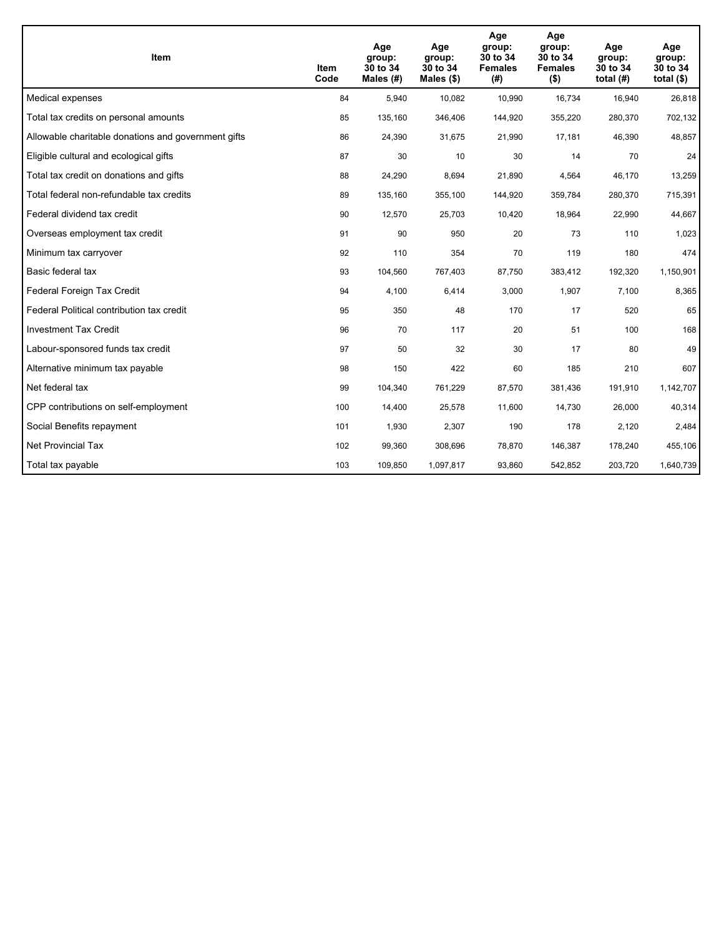| Item                                                | Item<br>Code | Age<br>group:<br>30 to 34<br>Males $(H)$ | Age<br>group:<br>30 to 34<br>Males $(\$)$ | Age<br>group:<br>30 to 34<br><b>Females</b><br>(# ) | Age<br>group:<br>30 to 34<br><b>Females</b><br>$($ \$) | Age<br>group:<br>30 to 34<br>total $(H)$ | Age<br>group:<br>30 to 34<br>total $($)$ |
|-----------------------------------------------------|--------------|------------------------------------------|-------------------------------------------|-----------------------------------------------------|--------------------------------------------------------|------------------------------------------|------------------------------------------|
| Medical expenses                                    | 84           | 5,940                                    | 10,082                                    | 10,990                                              | 16,734                                                 | 16,940                                   | 26,818                                   |
| Total tax credits on personal amounts               | 85           | 135,160                                  | 346,406                                   | 144,920                                             | 355,220                                                | 280,370                                  | 702,132                                  |
| Allowable charitable donations and government gifts | 86           | 24,390                                   | 31,675                                    | 21,990                                              | 17,181                                                 | 46,390                                   | 48,857                                   |
| Eligible cultural and ecological gifts              | 87           | 30                                       | 10                                        | 30                                                  | 14                                                     | 70                                       | 24                                       |
| Total tax credit on donations and gifts             | 88           | 24,290                                   | 8,694                                     | 21,890                                              | 4,564                                                  | 46,170                                   | 13,259                                   |
| Total federal non-refundable tax credits            | 89           | 135,160                                  | 355,100                                   | 144,920                                             | 359,784                                                | 280,370                                  | 715,391                                  |
| Federal dividend tax credit                         | 90           | 12,570                                   | 25,703                                    | 10,420                                              | 18,964                                                 | 22,990                                   | 44,667                                   |
| Overseas employment tax credit                      | 91           | 90                                       | 950                                       | 20                                                  | 73                                                     | 110                                      | 1,023                                    |
| Minimum tax carryover                               | 92           | 110                                      | 354                                       | 70                                                  | 119                                                    | 180                                      | 474                                      |
| Basic federal tax                                   | 93           | 104,560                                  | 767,403                                   | 87,750                                              | 383,412                                                | 192,320                                  | 1,150,901                                |
| Federal Foreign Tax Credit                          | 94           | 4,100                                    | 6,414                                     | 3,000                                               | 1,907                                                  | 7,100                                    | 8,365                                    |
| Federal Political contribution tax credit           | 95           | 350                                      | 48                                        | 170                                                 | 17                                                     | 520                                      | 65                                       |
| <b>Investment Tax Credit</b>                        | 96           | 70                                       | 117                                       | 20                                                  | 51                                                     | 100                                      | 168                                      |
| Labour-sponsored funds tax credit                   | 97           | 50                                       | 32                                        | 30                                                  | 17                                                     | 80                                       | 49                                       |
| Alternative minimum tax payable                     | 98           | 150                                      | 422                                       | 60                                                  | 185                                                    | 210                                      | 607                                      |
| Net federal tax                                     | 99           | 104,340                                  | 761,229                                   | 87,570                                              | 381,436                                                | 191,910                                  | 1,142,707                                |
| CPP contributions on self-employment                | 100          | 14,400                                   | 25,578                                    | 11,600                                              | 14,730                                                 | 26,000                                   | 40,314                                   |
| Social Benefits repayment                           | 101          | 1,930                                    | 2,307                                     | 190                                                 | 178                                                    | 2,120                                    | 2,484                                    |
| <b>Net Provincial Tax</b>                           | 102          | 99,360                                   | 308,696                                   | 78,870                                              | 146,387                                                | 178,240                                  | 455,106                                  |
| Total tax payable                                   | 103          | 109,850                                  | 1,097,817                                 | 93,860                                              | 542,852                                                | 203,720                                  | 1,640,739                                |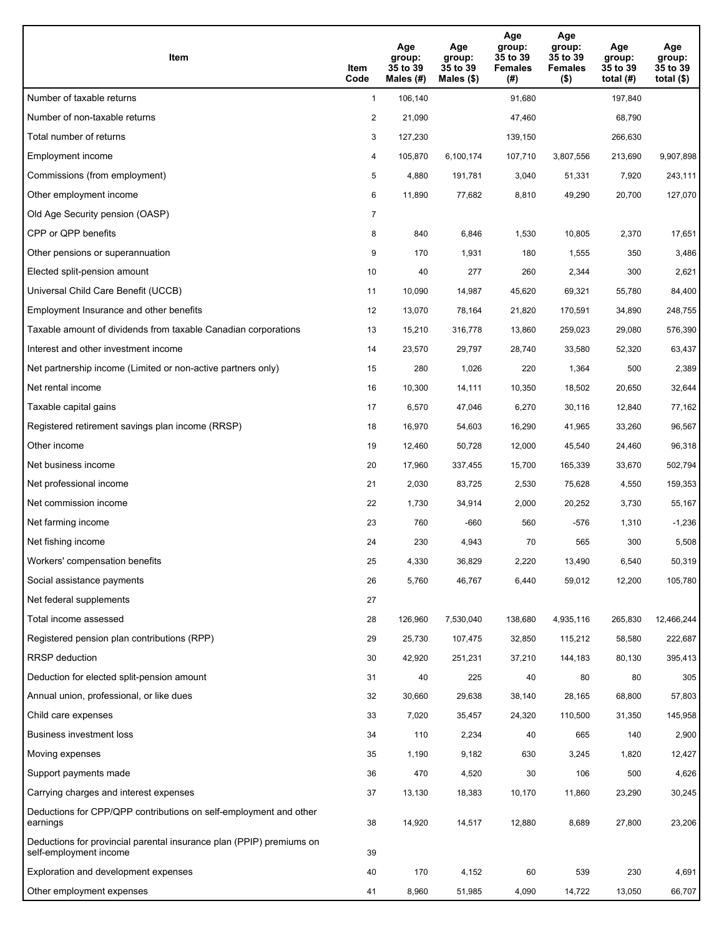| <b>Item</b>                                                                                    | Item<br>Code   | Age<br>group:<br>35 to 39<br>Males $(H)$ | Age<br>group:<br>35 to 39<br>Males (\$) | Age<br>group:<br>35 to 39<br><b>Females</b><br>(#) | Age<br>group:<br>35 to 39<br><b>Females</b><br>$($ \$) | Age<br>group:<br>35 to 39<br>total $(H)$ | Age<br>group:<br>35 to 39<br>total $(\$)$ |
|------------------------------------------------------------------------------------------------|----------------|------------------------------------------|-----------------------------------------|----------------------------------------------------|--------------------------------------------------------|------------------------------------------|-------------------------------------------|
| Number of taxable returns                                                                      | $\mathbf{1}$   | 106,140                                  |                                         | 91,680                                             |                                                        | 197,840                                  |                                           |
| Number of non-taxable returns                                                                  | $\overline{2}$ | 21,090                                   |                                         | 47,460                                             |                                                        | 68,790                                   |                                           |
| Total number of returns                                                                        | 3              | 127,230                                  |                                         | 139,150                                            |                                                        | 266,630                                  |                                           |
| Employment income                                                                              | 4              | 105,870                                  | 6,100,174                               | 107,710                                            | 3,807,556                                              | 213,690                                  | 9,907,898                                 |
| Commissions (from employment)                                                                  | 5              | 4,880                                    | 191,781                                 | 3,040                                              | 51,331                                                 | 7,920                                    | 243,111                                   |
| Other employment income                                                                        | 6              | 11,890                                   | 77,682                                  | 8,810                                              | 49,290                                                 | 20,700                                   | 127,070                                   |
| Old Age Security pension (OASP)                                                                | $\overline{7}$ |                                          |                                         |                                                    |                                                        |                                          |                                           |
| CPP or QPP benefits                                                                            | 8              | 840                                      | 6,846                                   | 1,530                                              | 10,805                                                 | 2,370                                    | 17,651                                    |
| Other pensions or superannuation                                                               | 9              | 170                                      | 1,931                                   | 180                                                | 1,555                                                  | 350                                      | 3,486                                     |
| Elected split-pension amount                                                                   | 10             | 40                                       | 277                                     | 260                                                | 2,344                                                  | 300                                      | 2,621                                     |
| Universal Child Care Benefit (UCCB)                                                            | 11             | 10,090                                   | 14,987                                  | 45,620                                             | 69,321                                                 | 55,780                                   | 84,400                                    |
| Employment Insurance and other benefits                                                        | 12             | 13,070                                   | 78,164                                  | 21,820                                             | 170,591                                                | 34,890                                   | 248,755                                   |
| Taxable amount of dividends from taxable Canadian corporations                                 | 13             | 15,210                                   | 316,778                                 | 13,860                                             | 259,023                                                | 29,080                                   | 576,390                                   |
| Interest and other investment income                                                           | 14             | 23,570                                   | 29,797                                  | 28,740                                             | 33,580                                                 | 52,320                                   | 63,437                                    |
| Net partnership income (Limited or non-active partners only)                                   | 15             | 280                                      | 1,026                                   | 220                                                | 1,364                                                  | 500                                      | 2,389                                     |
| Net rental income                                                                              | 16             | 10,300                                   | 14,111                                  | 10,350                                             | 18,502                                                 | 20,650                                   | 32,644                                    |
| Taxable capital gains                                                                          | 17             | 6,570                                    | 47,046                                  | 6,270                                              | 30,116                                                 | 12,840                                   | 77,162                                    |
| Registered retirement savings plan income (RRSP)                                               | 18             | 16,970                                   | 54,603                                  | 16,290                                             | 41,965                                                 | 33,260                                   | 96,567                                    |
| Other income                                                                                   | 19             | 12,460                                   | 50,728                                  | 12,000                                             | 45,540                                                 | 24,460                                   | 96,318                                    |
| Net business income                                                                            | 20             | 17,960                                   | 337,455                                 | 15,700                                             | 165,339                                                | 33,670                                   | 502,794                                   |
| Net professional income                                                                        | 21             | 2,030                                    | 83,725                                  | 2,530                                              | 75,628                                                 | 4,550                                    | 159,353                                   |
| Net commission income                                                                          | 22             | 1,730                                    | 34,914                                  | 2,000                                              | 20,252                                                 | 3,730                                    | 55,167                                    |
| Net farming income                                                                             | 23             | 760                                      | -660                                    | 560                                                | -576                                                   | 1,310                                    | -1,236                                    |
| Net fishing income                                                                             | 24             | 230                                      | 4,943                                   | 70                                                 | 565                                                    | 300                                      | 5,508                                     |
| Workers' compensation benefits                                                                 | 25             | 4,330                                    | 36,829                                  | 2,220                                              | 13,490                                                 | 6,540                                    | 50,319                                    |
| Social assistance payments                                                                     | 26             | 5,760                                    | 46,767                                  | 6,440                                              | 59,012                                                 | 12,200                                   | 105,780                                   |
| Net federal supplements                                                                        | 27             |                                          |                                         |                                                    |                                                        |                                          |                                           |
| Total income assessed                                                                          | 28             | 126,960                                  | 7,530,040                               | 138,680                                            | 4,935,116                                              | 265,830                                  | 12,466,244                                |
| Registered pension plan contributions (RPP)                                                    | 29             | 25,730                                   | 107,475                                 | 32,850                                             | 115,212                                                | 58,580                                   | 222,687                                   |
| RRSP deduction                                                                                 | 30             | 42,920                                   | 251,231                                 | 37,210                                             | 144,183                                                | 80,130                                   | 395,413                                   |
| Deduction for elected split-pension amount                                                     | 31             | 40                                       | 225                                     | 40                                                 | 80                                                     | 80                                       | 305                                       |
| Annual union, professional, or like dues                                                       | 32             | 30,660                                   | 29,638                                  | 38,140                                             | 28,165                                                 | 68,800                                   | 57,803                                    |
| Child care expenses                                                                            | 33             | 7,020                                    | 35,457                                  | 24,320                                             | 110,500                                                | 31,350                                   | 145,958                                   |
| Business investment loss                                                                       | 34             | 110                                      | 2,234                                   | 40                                                 | 665                                                    | 140                                      | 2,900                                     |
| Moving expenses                                                                                | 35             | 1,190                                    | 9,182                                   | 630                                                | 3,245                                                  | 1,820                                    | 12,427                                    |
| Support payments made                                                                          | 36             | 470                                      | 4,520                                   | 30                                                 | 106                                                    | 500                                      | 4,626                                     |
| Carrying charges and interest expenses                                                         | 37             | 13,130                                   | 18,383                                  | 10,170                                             | 11,860                                                 | 23,290                                   | 30,245                                    |
| Deductions for CPP/QPP contributions on self-employment and other<br>earnings                  | 38             | 14,920                                   | 14,517                                  | 12,880                                             | 8,689                                                  | 27,800                                   | 23,206                                    |
| Deductions for provincial parental insurance plan (PPIP) premiums on<br>self-employment income | 39             |                                          |                                         |                                                    |                                                        |                                          |                                           |
| Exploration and development expenses                                                           | 40             | 170                                      | 4,152                                   | 60                                                 | 539                                                    | 230                                      | 4,691                                     |
| Other employment expenses                                                                      | 41             | 8,960                                    | 51,985                                  | 4,090                                              | 14,722                                                 | 13,050                                   | 66,707                                    |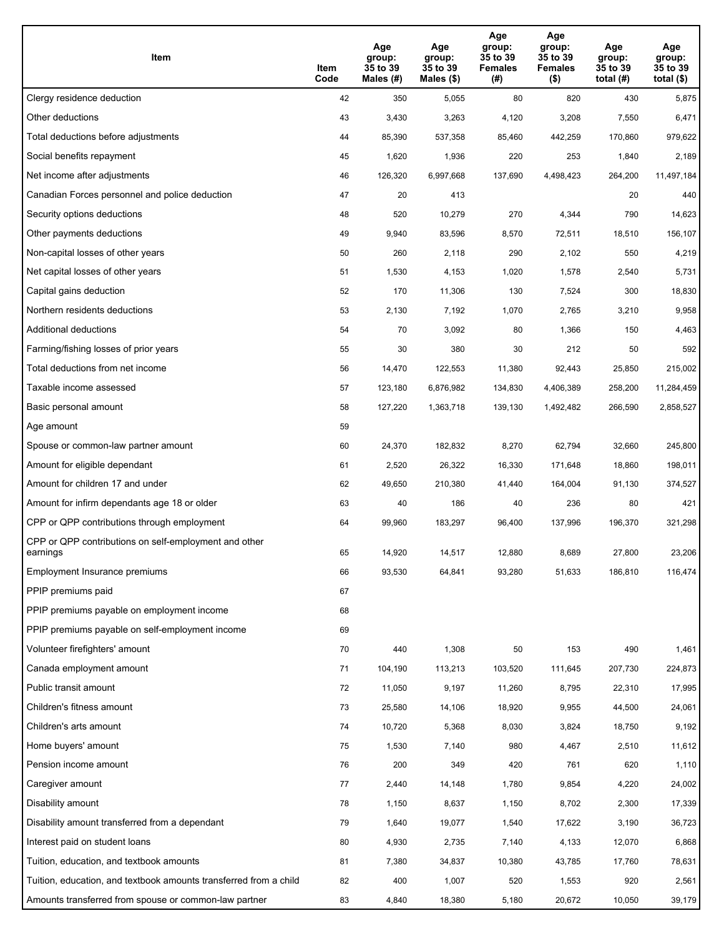| Item                                                              | Item<br>Code | Age<br>group:<br>35 to 39<br>Males (#) | Age<br>group:<br>35 to 39<br>Males (\$) | Age<br>group:<br>35 to 39<br><b>Females</b><br>(# ) | Age<br>group:<br>35 to 39<br><b>Females</b><br>$($ \$) | Age<br>group:<br>35 to 39<br>total $(H)$ | Age<br>group:<br>35 to 39<br>total $($)$ |
|-------------------------------------------------------------------|--------------|----------------------------------------|-----------------------------------------|-----------------------------------------------------|--------------------------------------------------------|------------------------------------------|------------------------------------------|
| Clergy residence deduction                                        | 42           | 350                                    | 5,055                                   | 80                                                  | 820                                                    | 430                                      | 5,875                                    |
| Other deductions                                                  | 43           | 3,430                                  | 3,263                                   | 4,120                                               | 3,208                                                  | 7,550                                    | 6,471                                    |
| Total deductions before adjustments                               | 44           | 85,390                                 | 537,358                                 | 85,460                                              | 442,259                                                | 170,860                                  | 979,622                                  |
| Social benefits repayment                                         | 45           | 1,620                                  | 1,936                                   | 220                                                 | 253                                                    | 1,840                                    | 2,189                                    |
| Net income after adjustments                                      | 46           | 126,320                                | 6,997,668                               | 137,690                                             | 4,498,423                                              | 264,200                                  | 11,497,184                               |
| Canadian Forces personnel and police deduction                    | 47           | 20                                     | 413                                     |                                                     |                                                        | 20                                       | 440                                      |
| Security options deductions                                       | 48           | 520                                    | 10,279                                  | 270                                                 | 4,344                                                  | 790                                      | 14,623                                   |
| Other payments deductions                                         | 49           | 9,940                                  | 83,596                                  | 8,570                                               | 72,511                                                 | 18,510                                   | 156,107                                  |
| Non-capital losses of other years                                 | 50           | 260                                    | 2,118                                   | 290                                                 | 2,102                                                  | 550                                      | 4,219                                    |
| Net capital losses of other years                                 | 51           | 1,530                                  | 4,153                                   | 1,020                                               | 1,578                                                  | 2,540                                    | 5,731                                    |
| Capital gains deduction                                           | 52           | 170                                    | 11,306                                  | 130                                                 | 7,524                                                  | 300                                      | 18,830                                   |
| Northern residents deductions                                     | 53           | 2,130                                  | 7,192                                   | 1,070                                               | 2,765                                                  | 3,210                                    | 9,958                                    |
| Additional deductions                                             | 54           | 70                                     | 3,092                                   | 80                                                  | 1,366                                                  | 150                                      | 4,463                                    |
| Farming/fishing losses of prior years                             | 55           | 30                                     | 380                                     | 30                                                  | 212                                                    | 50                                       | 592                                      |
| Total deductions from net income                                  | 56           | 14,470                                 | 122,553                                 | 11,380                                              | 92,443                                                 | 25,850                                   | 215,002                                  |
| Taxable income assessed                                           | 57           | 123,180                                | 6,876,982                               | 134,830                                             | 4,406,389                                              | 258,200                                  | 11,284,459                               |
| Basic personal amount                                             | 58           | 127,220                                | 1,363,718                               | 139,130                                             | 1,492,482                                              | 266,590                                  | 2,858,527                                |
| Age amount                                                        | 59           |                                        |                                         |                                                     |                                                        |                                          |                                          |
| Spouse or common-law partner amount                               | 60           | 24,370                                 | 182,832                                 | 8,270                                               | 62,794                                                 | 32,660                                   | 245,800                                  |
| Amount for eligible dependant                                     | 61           | 2,520                                  | 26,322                                  | 16,330                                              | 171,648                                                | 18,860                                   | 198,011                                  |
| Amount for children 17 and under                                  | 62           | 49,650                                 | 210,380                                 | 41,440                                              | 164,004                                                | 91,130                                   | 374,527                                  |
| Amount for infirm dependants age 18 or older                      | 63           | 40                                     | 186                                     | 40                                                  | 236                                                    | 80                                       | 421                                      |
| CPP or QPP contributions through employment                       | 64           | 99,960                                 | 183,297                                 | 96,400                                              | 137,996                                                | 196,370                                  | 321,298                                  |
| CPP or QPP contributions on self-employment and other<br>earnings | 65           | 14,920                                 | 14,517                                  | 12,880                                              | 8,689                                                  | 27,800                                   | 23,206                                   |
| Employment Insurance premiums                                     | 66           | 93,530                                 | 64,841                                  | 93,280                                              | 51,633                                                 | 186,810                                  | 116,474                                  |
| PPIP premiums paid                                                | 67           |                                        |                                         |                                                     |                                                        |                                          |                                          |
| PPIP premiums payable on employment income                        | 68           |                                        |                                         |                                                     |                                                        |                                          |                                          |
| PPIP premiums payable on self-employment income                   | 69           |                                        |                                         |                                                     |                                                        |                                          |                                          |
| Volunteer firefighters' amount                                    | 70           | 440                                    | 1,308                                   | 50                                                  | 153                                                    | 490                                      | 1,461                                    |
| Canada employment amount                                          | 71           | 104,190                                | 113,213                                 | 103,520                                             | 111,645                                                | 207,730                                  | 224,873                                  |
| Public transit amount                                             | 72           | 11,050                                 | 9,197                                   | 11,260                                              | 8,795                                                  | 22,310                                   | 17,995                                   |
| Children's fitness amount                                         | 73           | 25,580                                 | 14,106                                  | 18,920                                              | 9,955                                                  | 44,500                                   | 24,061                                   |
| Children's arts amount                                            | 74           | 10,720                                 | 5,368                                   | 8,030                                               | 3,824                                                  | 18,750                                   | 9,192                                    |
| Home buyers' amount                                               | 75           | 1,530                                  | 7,140                                   | 980                                                 | 4,467                                                  | 2,510                                    | 11,612                                   |
| Pension income amount                                             | 76           | 200                                    | 349                                     | 420                                                 | 761                                                    | 620                                      | 1,110                                    |
| Caregiver amount                                                  | $77\,$       | 2,440                                  | 14,148                                  | 1,780                                               | 9,854                                                  | 4,220                                    | 24,002                                   |
| Disability amount                                                 | 78           | 1,150                                  | 8,637                                   | 1,150                                               | 8,702                                                  | 2,300                                    | 17,339                                   |
| Disability amount transferred from a dependant                    | 79           | 1,640                                  | 19,077                                  | 1,540                                               | 17,622                                                 | 3,190                                    | 36,723                                   |
| Interest paid on student loans                                    | 80           | 4,930                                  | 2,735                                   | 7,140                                               | 4,133                                                  | 12,070                                   | 6,868                                    |
| Tuition, education, and textbook amounts                          | 81           | 7,380                                  | 34,837                                  | 10,380                                              | 43,785                                                 | 17,760                                   | 78,631                                   |
| Tuition, education, and textbook amounts transferred from a child | 82           | 400                                    | 1,007                                   | 520                                                 | 1,553                                                  | 920                                      | 2,561                                    |
| Amounts transferred from spouse or common-law partner             | 83           | 4,840                                  | 18,380                                  | 5,180                                               | 20,672                                                 | 10,050                                   | 39,179                                   |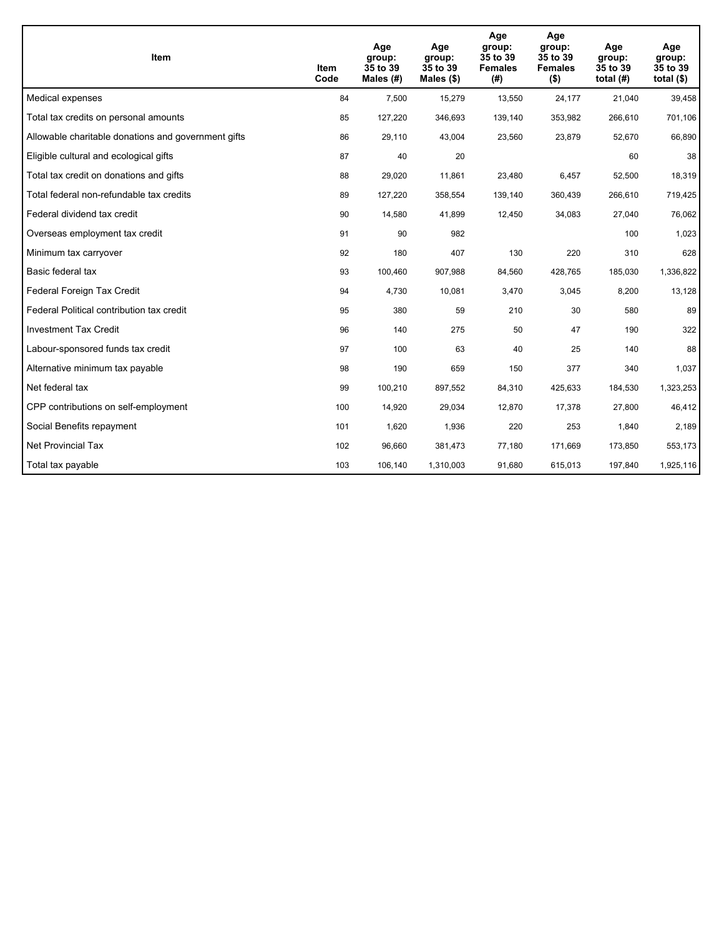| <b>Item</b>                                         | Item<br>Code | Age<br>group:<br>35 to 39<br>Males (#) | Age<br>group:<br>35 to 39<br>Males $(\$)$ | Age<br>group:<br>35 to 39<br><b>Females</b><br>(#) | Age<br>group:<br>35 to 39<br><b>Females</b><br>$($ \$) | Age<br>group:<br>35 to 39<br>total $(H)$ | Age<br>group:<br>35 to 39<br>total $($)$ |
|-----------------------------------------------------|--------------|----------------------------------------|-------------------------------------------|----------------------------------------------------|--------------------------------------------------------|------------------------------------------|------------------------------------------|
| Medical expenses                                    | 84           | 7,500                                  | 15,279                                    | 13,550                                             | 24,177                                                 | 21,040                                   | 39,458                                   |
| Total tax credits on personal amounts               | 85           | 127,220                                | 346,693                                   | 139,140                                            | 353,982                                                | 266,610                                  | 701,106                                  |
| Allowable charitable donations and government gifts | 86           | 29,110                                 | 43,004                                    | 23,560                                             | 23,879                                                 | 52,670                                   | 66,890                                   |
| Eligible cultural and ecological gifts              | 87           | 40                                     | 20                                        |                                                    |                                                        | 60                                       | 38                                       |
| Total tax credit on donations and gifts             | 88           | 29,020                                 | 11,861                                    | 23,480                                             | 6,457                                                  | 52,500                                   | 18,319                                   |
| Total federal non-refundable tax credits            | 89           | 127,220                                | 358,554                                   | 139,140                                            | 360,439                                                | 266,610                                  | 719,425                                  |
| Federal dividend tax credit                         | 90           | 14,580                                 | 41,899                                    | 12,450                                             | 34,083                                                 | 27,040                                   | 76,062                                   |
| Overseas employment tax credit                      | 91           | 90                                     | 982                                       |                                                    |                                                        | 100                                      | 1,023                                    |
| Minimum tax carryover                               | 92           | 180                                    | 407                                       | 130                                                | 220                                                    | 310                                      | 628                                      |
| Basic federal tax                                   | 93           | 100,460                                | 907,988                                   | 84,560                                             | 428,765                                                | 185,030                                  | 1,336,822                                |
| Federal Foreign Tax Credit                          | 94           | 4,730                                  | 10,081                                    | 3,470                                              | 3,045                                                  | 8,200                                    | 13,128                                   |
| Federal Political contribution tax credit           | 95           | 380                                    | 59                                        | 210                                                | 30                                                     | 580                                      | 89                                       |
| <b>Investment Tax Credit</b>                        | 96           | 140                                    | 275                                       | 50                                                 | 47                                                     | 190                                      | 322                                      |
| Labour-sponsored funds tax credit                   | 97           | 100                                    | 63                                        | 40                                                 | 25                                                     | 140                                      | 88                                       |
| Alternative minimum tax payable                     | 98           | 190                                    | 659                                       | 150                                                | 377                                                    | 340                                      | 1,037                                    |
| Net federal tax                                     | 99           | 100,210                                | 897,552                                   | 84,310                                             | 425,633                                                | 184,530                                  | 1,323,253                                |
| CPP contributions on self-employment                | 100          | 14,920                                 | 29,034                                    | 12,870                                             | 17,378                                                 | 27,800                                   | 46,412                                   |
| Social Benefits repayment                           | 101          | 1,620                                  | 1,936                                     | 220                                                | 253                                                    | 1,840                                    | 2,189                                    |
| <b>Net Provincial Tax</b>                           | 102          | 96,660                                 | 381,473                                   | 77,180                                             | 171.669                                                | 173,850                                  | 553,173                                  |
| Total tax payable                                   | 103          | 106,140                                | 1,310,003                                 | 91,680                                             | 615,013                                                | 197,840                                  | 1,925,116                                |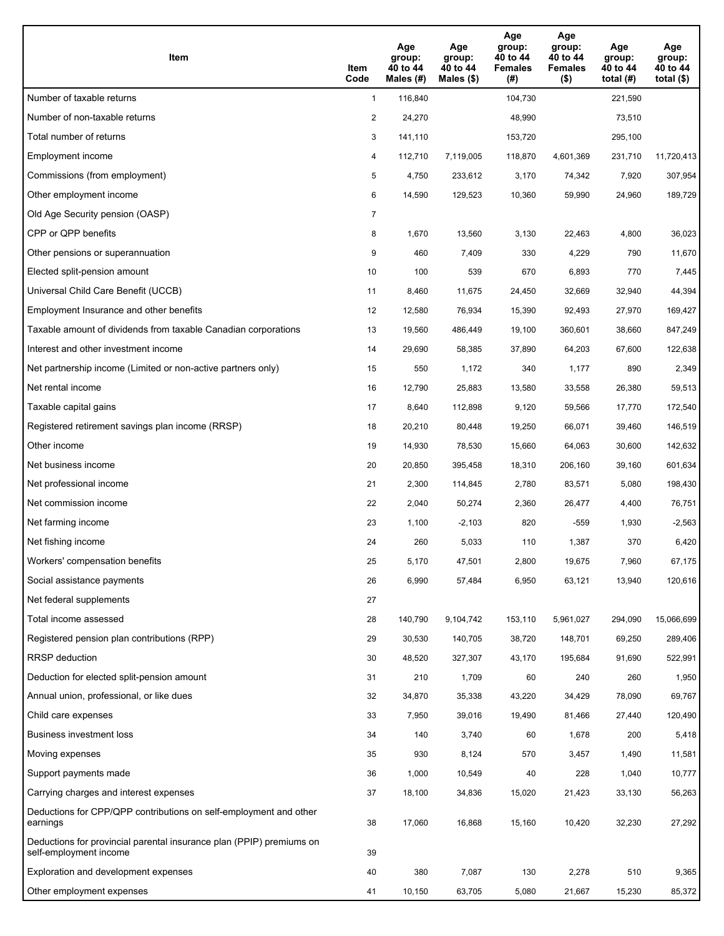| <b>Item</b>                                                                                    | Item<br>Code   | Age<br>group:<br>40 to 44<br>Males $(H)$ | Age<br>group:<br>40 to 44<br>Males (\$) | Age<br>group:<br>40 to 44<br><b>Females</b><br>(#) | Age<br>group:<br>40 to 44<br><b>Females</b><br>$($ \$) | Age<br>group:<br>40 to 44<br>total $(H)$ | Age<br>group:<br>40 to 44<br>total $($ |
|------------------------------------------------------------------------------------------------|----------------|------------------------------------------|-----------------------------------------|----------------------------------------------------|--------------------------------------------------------|------------------------------------------|----------------------------------------|
| Number of taxable returns                                                                      | $\mathbf{1}$   | 116,840                                  |                                         | 104,730                                            |                                                        | 221,590                                  |                                        |
| Number of non-taxable returns                                                                  | $\overline{2}$ | 24,270                                   |                                         | 48,990                                             |                                                        | 73,510                                   |                                        |
| Total number of returns                                                                        | 3              | 141,110                                  |                                         | 153,720                                            |                                                        | 295,100                                  |                                        |
| Employment income                                                                              | 4              | 112,710                                  | 7,119,005                               | 118,870                                            | 4,601,369                                              | 231,710                                  | 11,720,413                             |
| Commissions (from employment)                                                                  | 5              | 4,750                                    | 233,612                                 | 3,170                                              | 74,342                                                 | 7,920                                    | 307,954                                |
| Other employment income                                                                        | 6              | 14,590                                   | 129,523                                 | 10,360                                             | 59,990                                                 | 24,960                                   | 189,729                                |
| Old Age Security pension (OASP)                                                                | $\overline{7}$ |                                          |                                         |                                                    |                                                        |                                          |                                        |
| CPP or QPP benefits                                                                            | 8              | 1,670                                    | 13,560                                  | 3,130                                              | 22,463                                                 | 4,800                                    | 36,023                                 |
| Other pensions or superannuation                                                               | 9              | 460                                      | 7,409                                   | 330                                                | 4,229                                                  | 790                                      | 11,670                                 |
| Elected split-pension amount                                                                   | 10             | 100                                      | 539                                     | 670                                                | 6,893                                                  | 770                                      | 7,445                                  |
| Universal Child Care Benefit (UCCB)                                                            | 11             | 8,460                                    | 11,675                                  | 24,450                                             | 32,669                                                 | 32,940                                   | 44,394                                 |
| Employment Insurance and other benefits                                                        | 12             | 12,580                                   | 76,934                                  | 15,390                                             | 92,493                                                 | 27,970                                   | 169,427                                |
| Taxable amount of dividends from taxable Canadian corporations                                 | 13             | 19,560                                   | 486,449                                 | 19,100                                             | 360,601                                                | 38,660                                   | 847,249                                |
| Interest and other investment income                                                           | 14             | 29,690                                   | 58,385                                  | 37,890                                             | 64,203                                                 | 67,600                                   | 122,638                                |
| Net partnership income (Limited or non-active partners only)                                   | 15             | 550                                      | 1,172                                   | 340                                                | 1,177                                                  | 890                                      | 2,349                                  |
| Net rental income                                                                              | 16             | 12,790                                   | 25,883                                  | 13,580                                             | 33,558                                                 | 26,380                                   | 59,513                                 |
| Taxable capital gains                                                                          | 17             | 8,640                                    | 112,898                                 | 9,120                                              | 59,566                                                 | 17,770                                   | 172,540                                |
| Registered retirement savings plan income (RRSP)                                               | 18             | 20,210                                   | 80,448                                  | 19,250                                             | 66,071                                                 | 39,460                                   | 146,519                                |
| Other income                                                                                   | 19             | 14,930                                   | 78,530                                  | 15,660                                             | 64,063                                                 | 30,600                                   | 142,632                                |
| Net business income                                                                            | 20             | 20,850                                   | 395,458                                 | 18,310                                             | 206,160                                                | 39,160                                   | 601,634                                |
| Net professional income                                                                        | 21             | 2,300                                    | 114,845                                 | 2,780                                              | 83,571                                                 | 5,080                                    | 198,430                                |
| Net commission income                                                                          | 22             | 2,040                                    | 50,274                                  | 2,360                                              | 26,477                                                 | 4,400                                    | 76,751                                 |
| Net farming income                                                                             | 23             | 1,100                                    | $-2,103$                                | 820                                                | -559                                                   | 1,930                                    | $-2,563$                               |
| Net fishing income                                                                             | 24             | 260                                      | 5,033                                   | 110                                                | 1,387                                                  | 370                                      | 6,420                                  |
| Workers' compensation benefits                                                                 | 25             | 5,170                                    | 47,501                                  | 2,800                                              | 19,675                                                 | 7,960                                    | 67,175                                 |
| Social assistance payments                                                                     | 26             | 6,990                                    | 57,484                                  | 6,950                                              | 63,121                                                 | 13,940                                   | 120,616                                |
| Net federal supplements                                                                        | 27             |                                          |                                         |                                                    |                                                        |                                          |                                        |
| Total income assessed                                                                          | 28             | 140,790                                  | 9,104,742                               | 153,110                                            | 5,961,027                                              | 294,090                                  | 15,066,699                             |
| Registered pension plan contributions (RPP)                                                    | 29             | 30,530                                   | 140,705                                 | 38,720                                             | 148,701                                                | 69,250                                   | 289,406                                |
| <b>RRSP</b> deduction                                                                          | 30             | 48,520                                   | 327,307                                 | 43,170                                             | 195,684                                                | 91,690                                   | 522,991                                |
| Deduction for elected split-pension amount                                                     | 31             | 210                                      | 1,709                                   | 60                                                 | 240                                                    | 260                                      | 1,950                                  |
| Annual union, professional, or like dues                                                       | 32             | 34,870                                   | 35,338                                  | 43,220                                             | 34,429                                                 | 78,090                                   | 69,767                                 |
| Child care expenses                                                                            | 33             | 7,950                                    | 39,016                                  | 19,490                                             | 81,466                                                 | 27,440                                   | 120,490                                |
| Business investment loss                                                                       | 34             | 140                                      | 3,740                                   | 60                                                 | 1,678                                                  | 200                                      | 5,418                                  |
| Moving expenses                                                                                | 35             | 930                                      | 8,124                                   | 570                                                | 3,457                                                  | 1,490                                    | 11,581                                 |
| Support payments made                                                                          | 36             | 1,000                                    | 10,549                                  | 40                                                 | 228                                                    | 1,040                                    | 10,777                                 |
| Carrying charges and interest expenses                                                         | 37             | 18,100                                   | 34,836                                  | 15,020                                             | 21,423                                                 | 33,130                                   | 56,263                                 |
| Deductions for CPP/QPP contributions on self-employment and other<br>earnings                  | 38             | 17,060                                   | 16,868                                  | 15,160                                             | 10,420                                                 | 32,230                                   | 27,292                                 |
| Deductions for provincial parental insurance plan (PPIP) premiums on<br>self-employment income | 39             |                                          |                                         |                                                    |                                                        |                                          |                                        |
| Exploration and development expenses                                                           | 40             | 380                                      | 7,087                                   | 130                                                | 2,278                                                  | 510                                      | 9,365                                  |
| Other employment expenses                                                                      | 41             | 10,150                                   | 63,705                                  | 5,080                                              | 21,667                                                 | 15,230                                   | 85,372                                 |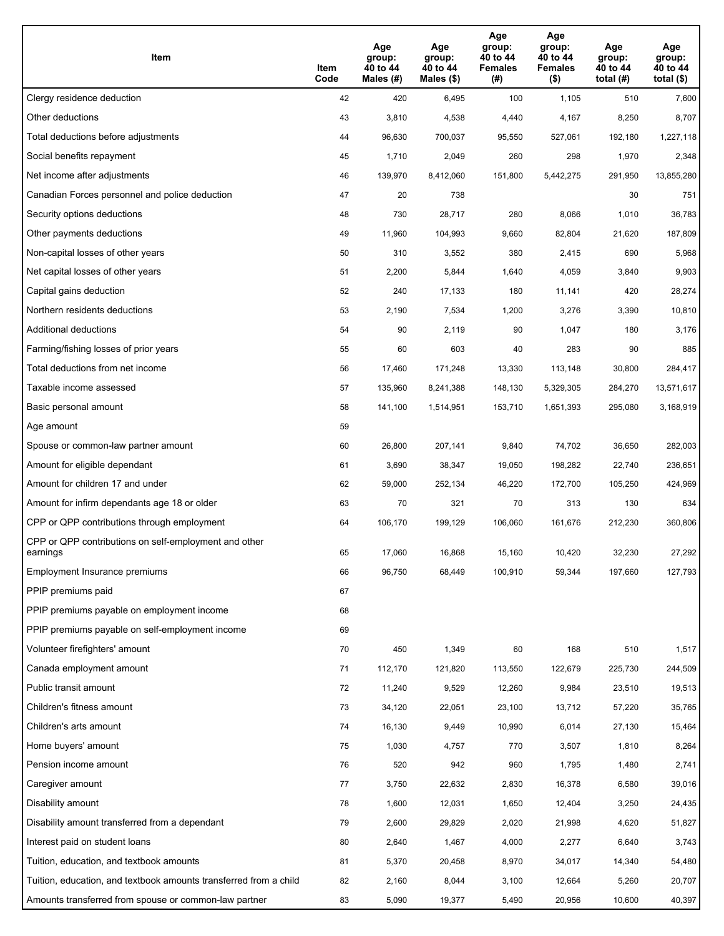| Item                                                              | Item<br>Code | Age<br>group:<br>40 to 44<br>Males (#) | Age<br>group:<br>40 to 44<br>Males (\$) | Age<br>group:<br>40 to 44<br><b>Females</b><br>(# ) | Age<br>group:<br>40 to 44<br><b>Females</b><br>$($ \$) | Age<br>group:<br>40 to 44<br>total $(H)$ | Age<br>group:<br>40 to 44<br>total $($)$ |
|-------------------------------------------------------------------|--------------|----------------------------------------|-----------------------------------------|-----------------------------------------------------|--------------------------------------------------------|------------------------------------------|------------------------------------------|
| Clergy residence deduction                                        | 42           | 420                                    | 6,495                                   | 100                                                 | 1,105                                                  | 510                                      | 7,600                                    |
| Other deductions                                                  | 43           | 3,810                                  | 4,538                                   | 4,440                                               | 4,167                                                  | 8,250                                    | 8,707                                    |
| Total deductions before adjustments                               | 44           | 96,630                                 | 700,037                                 | 95,550                                              | 527,061                                                | 192,180                                  | 1,227,118                                |
| Social benefits repayment                                         | 45           | 1,710                                  | 2,049                                   | 260                                                 | 298                                                    | 1,970                                    | 2,348                                    |
| Net income after adjustments                                      | 46           | 139,970                                | 8,412,060                               | 151,800                                             | 5,442,275                                              | 291,950                                  | 13,855,280                               |
| Canadian Forces personnel and police deduction                    | 47           | 20                                     | 738                                     |                                                     |                                                        | 30                                       | 751                                      |
| Security options deductions                                       | 48           | 730                                    | 28,717                                  | 280                                                 | 8,066                                                  | 1,010                                    | 36,783                                   |
| Other payments deductions                                         | 49           | 11,960                                 | 104,993                                 | 9,660                                               | 82,804                                                 | 21,620                                   | 187,809                                  |
| Non-capital losses of other years                                 | 50           | 310                                    | 3,552                                   | 380                                                 | 2,415                                                  | 690                                      | 5,968                                    |
| Net capital losses of other years                                 | 51           | 2,200                                  | 5,844                                   | 1,640                                               | 4,059                                                  | 3,840                                    | 9,903                                    |
| Capital gains deduction                                           | 52           | 240                                    | 17,133                                  | 180                                                 | 11,141                                                 | 420                                      | 28,274                                   |
| Northern residents deductions                                     | 53           | 2,190                                  | 7,534                                   | 1,200                                               | 3,276                                                  | 3,390                                    | 10,810                                   |
| Additional deductions                                             | 54           | 90                                     | 2,119                                   | 90                                                  | 1,047                                                  | 180                                      | 3,176                                    |
| Farming/fishing losses of prior years                             | 55           | 60                                     | 603                                     | 40                                                  | 283                                                    | 90                                       | 885                                      |
| Total deductions from net income                                  | 56           | 17,460                                 | 171,248                                 | 13,330                                              | 113,148                                                | 30,800                                   | 284,417                                  |
| Taxable income assessed                                           | 57           | 135,960                                | 8,241,388                               | 148,130                                             | 5,329,305                                              | 284,270                                  | 13,571,617                               |
| Basic personal amount                                             | 58           | 141,100                                | 1,514,951                               | 153,710                                             | 1,651,393                                              | 295,080                                  | 3,168,919                                |
| Age amount                                                        | 59           |                                        |                                         |                                                     |                                                        |                                          |                                          |
| Spouse or common-law partner amount                               | 60           | 26,800                                 | 207,141                                 | 9,840                                               | 74,702                                                 | 36,650                                   | 282,003                                  |
| Amount for eligible dependant                                     | 61           | 3,690                                  | 38,347                                  | 19,050                                              | 198,282                                                | 22,740                                   | 236,651                                  |
| Amount for children 17 and under                                  | 62           | 59,000                                 | 252,134                                 | 46,220                                              | 172,700                                                | 105,250                                  | 424,969                                  |
| Amount for infirm dependants age 18 or older                      | 63           | 70                                     | 321                                     | 70                                                  | 313                                                    | 130                                      | 634                                      |
| CPP or QPP contributions through employment                       | 64           | 106,170                                | 199,129                                 | 106,060                                             | 161,676                                                | 212,230                                  | 360,806                                  |
| CPP or QPP contributions on self-employment and other<br>earnings | 65           | 17.060                                 | 16,868                                  | 15,160                                              | 10,420                                                 | 32,230                                   | 27,292                                   |
| Employment Insurance premiums                                     | 66           | 96,750                                 | 68,449                                  | 100,910                                             | 59,344                                                 | 197,660                                  | 127,793                                  |
| PPIP premiums paid                                                | 67           |                                        |                                         |                                                     |                                                        |                                          |                                          |
| PPIP premiums payable on employment income                        | 68           |                                        |                                         |                                                     |                                                        |                                          |                                          |
| PPIP premiums payable on self-employment income                   | 69           |                                        |                                         |                                                     |                                                        |                                          |                                          |
| Volunteer firefighters' amount                                    | 70           | 450                                    | 1,349                                   | 60                                                  | 168                                                    | 510                                      | 1,517                                    |
| Canada employment amount                                          | 71           | 112,170                                | 121,820                                 | 113,550                                             | 122,679                                                | 225,730                                  | 244,509                                  |
| Public transit amount                                             | 72           | 11,240                                 | 9,529                                   | 12,260                                              | 9,984                                                  | 23,510                                   | 19,513                                   |
| Children's fitness amount                                         | 73           | 34,120                                 | 22,051                                  | 23,100                                              | 13,712                                                 | 57,220                                   | 35,765                                   |
| Children's arts amount                                            | 74           | 16,130                                 | 9,449                                   | 10,990                                              | 6,014                                                  | 27,130                                   | 15,464                                   |
| Home buyers' amount                                               | 75           | 1,030                                  | 4,757                                   | 770                                                 | 3,507                                                  | 1,810                                    | 8,264                                    |
| Pension income amount                                             | 76           | 520                                    | 942                                     | 960                                                 | 1,795                                                  | 1,480                                    | 2,741                                    |
| Caregiver amount                                                  | $77\,$       | 3,750                                  | 22,632                                  | 2,830                                               | 16,378                                                 | 6,580                                    | 39,016                                   |
| Disability amount                                                 | 78           | 1,600                                  | 12,031                                  | 1,650                                               | 12,404                                                 | 3,250                                    | 24,435                                   |
| Disability amount transferred from a dependant                    | 79           | 2,600                                  | 29,829                                  | 2,020                                               | 21,998                                                 | 4,620                                    | 51,827                                   |
| Interest paid on student loans                                    | 80           | 2,640                                  | 1,467                                   | 4,000                                               | 2,277                                                  | 6,640                                    | 3,743                                    |
| Tuition, education, and textbook amounts                          | 81           | 5,370                                  | 20,458                                  | 8,970                                               | 34,017                                                 | 14,340                                   | 54,480                                   |
| Tuition, education, and textbook amounts transferred from a child | 82           | 2,160                                  | 8,044                                   | 3,100                                               | 12,664                                                 | 5,260                                    | 20,707                                   |
| Amounts transferred from spouse or common-law partner             | 83           | 5,090                                  | 19,377                                  | 5,490                                               | 20,956                                                 | 10,600                                   | 40,397                                   |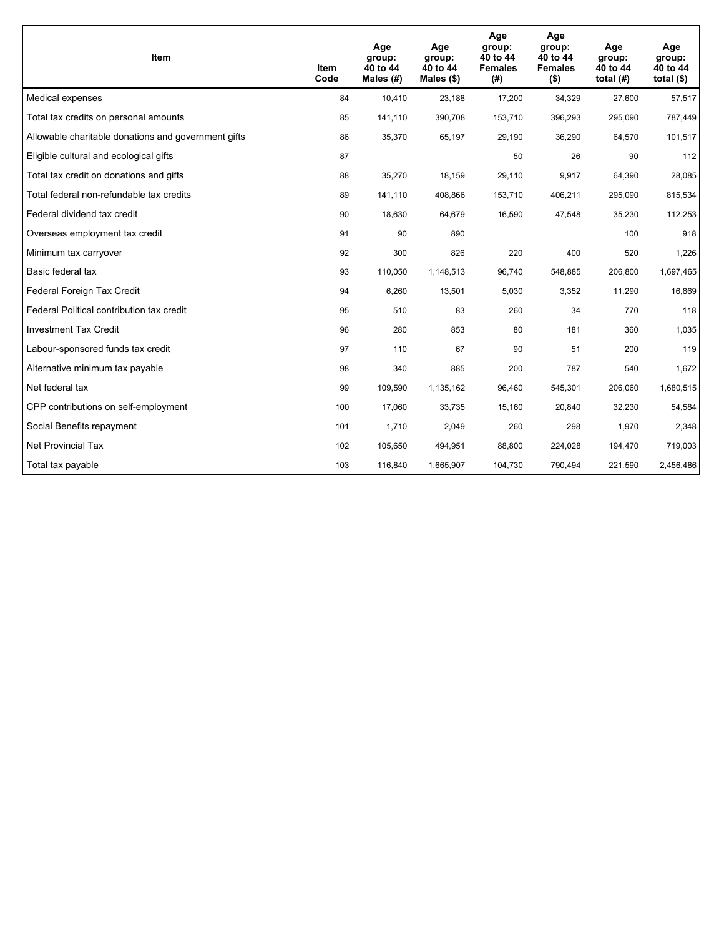| Item                                                | Item<br>Code | Age<br>group:<br>40 to 44<br>Males $(H)$ | Age<br>group:<br>40 to 44<br>Males $(\$)$ | Age<br>group:<br>40 to 44<br><b>Females</b><br>(# ) | Age<br>group:<br>40 to 44<br><b>Females</b><br>$($ \$) | Age<br>group:<br>40 to 44<br>total $(H)$ | Age<br>group:<br>40 to 44<br>total $($)$ |
|-----------------------------------------------------|--------------|------------------------------------------|-------------------------------------------|-----------------------------------------------------|--------------------------------------------------------|------------------------------------------|------------------------------------------|
| Medical expenses                                    | 84           | 10,410                                   | 23,188                                    | 17,200                                              | 34,329                                                 | 27,600                                   | 57,517                                   |
| Total tax credits on personal amounts               | 85           | 141,110                                  | 390,708                                   | 153,710                                             | 396,293                                                | 295,090                                  | 787,449                                  |
| Allowable charitable donations and government gifts | 86           | 35,370                                   | 65,197                                    | 29,190                                              | 36,290                                                 | 64,570                                   | 101,517                                  |
| Eligible cultural and ecological gifts              | 87           |                                          |                                           | 50                                                  | 26                                                     | 90                                       | 112                                      |
| Total tax credit on donations and gifts             | 88           | 35,270                                   | 18,159                                    | 29,110                                              | 9,917                                                  | 64,390                                   | 28,085                                   |
| Total federal non-refundable tax credits            | 89           | 141,110                                  | 408,866                                   | 153,710                                             | 406,211                                                | 295,090                                  | 815,534                                  |
| Federal dividend tax credit                         | 90           | 18,630                                   | 64,679                                    | 16,590                                              | 47,548                                                 | 35,230                                   | 112,253                                  |
| Overseas employment tax credit                      | 91           | 90                                       | 890                                       |                                                     |                                                        | 100                                      | 918                                      |
| Minimum tax carryover                               | 92           | 300                                      | 826                                       | 220                                                 | 400                                                    | 520                                      | 1,226                                    |
| Basic federal tax                                   | 93           | 110,050                                  | 1,148,513                                 | 96.740                                              | 548.885                                                | 206.800                                  | 1,697,465                                |
| Federal Foreign Tax Credit                          | 94           | 6,260                                    | 13,501                                    | 5,030                                               | 3,352                                                  | 11,290                                   | 16,869                                   |
| Federal Political contribution tax credit           | 95           | 510                                      | 83                                        | 260                                                 | 34                                                     | 770                                      | 118                                      |
| <b>Investment Tax Credit</b>                        | 96           | 280                                      | 853                                       | 80                                                  | 181                                                    | 360                                      | 1,035                                    |
| Labour-sponsored funds tax credit                   | 97           | 110                                      | 67                                        | 90                                                  | 51                                                     | 200                                      | 119                                      |
| Alternative minimum tax payable                     | 98           | 340                                      | 885                                       | 200                                                 | 787                                                    | 540                                      | 1,672                                    |
| Net federal tax                                     | 99           | 109,590                                  | 1,135,162                                 | 96,460                                              | 545,301                                                | 206,060                                  | 1,680,515                                |
| CPP contributions on self-employment                | 100          | 17,060                                   | 33,735                                    | 15,160                                              | 20,840                                                 | 32,230                                   | 54,584                                   |
| Social Benefits repayment                           | 101          | 1,710                                    | 2,049                                     | 260                                                 | 298                                                    | 1,970                                    | 2,348                                    |
| <b>Net Provincial Tax</b>                           | 102          | 105,650                                  | 494,951                                   | 88,800                                              | 224,028                                                | 194,470                                  | 719,003                                  |
| Total tax payable                                   | 103          | 116,840                                  | 1,665,907                                 | 104,730                                             | 790,494                                                | 221,590                                  | 2,456,486                                |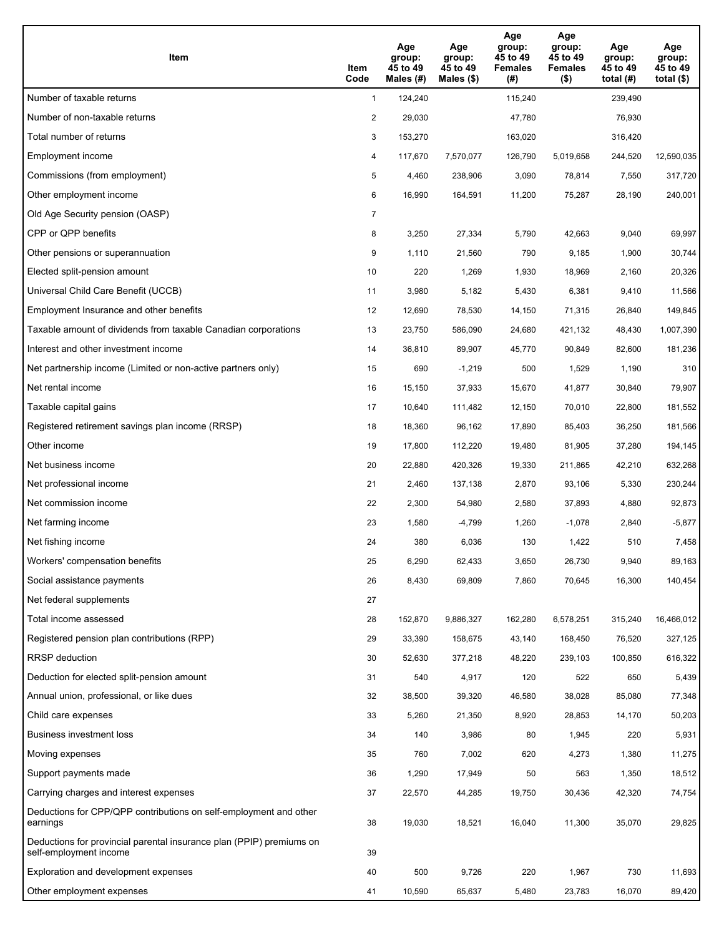| <b>Item</b>                                                                                    | Item<br>Code   | Age<br>group:<br>45 to 49<br>Males $(H)$ | Age<br>group:<br>45 to 49<br>Males (\$) | Age<br>group:<br>45 to 49<br><b>Females</b><br>(#) | Age<br>group:<br>45 to 49<br><b>Females</b><br>$($ \$) | Age<br>group:<br>45 to 49<br>total $(H)$ | Age<br>group:<br>45 to 49<br>total $(\$)$ |
|------------------------------------------------------------------------------------------------|----------------|------------------------------------------|-----------------------------------------|----------------------------------------------------|--------------------------------------------------------|------------------------------------------|-------------------------------------------|
| Number of taxable returns                                                                      | $\mathbf{1}$   | 124,240                                  |                                         | 115,240                                            |                                                        | 239,490                                  |                                           |
| Number of non-taxable returns                                                                  | $\overline{2}$ | 29,030                                   |                                         | 47,780                                             |                                                        | 76,930                                   |                                           |
| Total number of returns                                                                        | 3              | 153,270                                  |                                         | 163,020                                            |                                                        | 316,420                                  |                                           |
| Employment income                                                                              | 4              | 117,670                                  | 7,570,077                               | 126,790                                            | 5,019,658                                              | 244,520                                  | 12,590,035                                |
| Commissions (from employment)                                                                  | 5              | 4,460                                    | 238,906                                 | 3,090                                              | 78,814                                                 | 7,550                                    | 317,720                                   |
| Other employment income                                                                        | 6              | 16,990                                   | 164,591                                 | 11,200                                             | 75,287                                                 | 28,190                                   | 240,001                                   |
| Old Age Security pension (OASP)                                                                | $\overline{7}$ |                                          |                                         |                                                    |                                                        |                                          |                                           |
| CPP or QPP benefits                                                                            | 8              | 3,250                                    | 27,334                                  | 5,790                                              | 42,663                                                 | 9,040                                    | 69,997                                    |
| Other pensions or superannuation                                                               | 9              | 1,110                                    | 21,560                                  | 790                                                | 9,185                                                  | 1,900                                    | 30,744                                    |
| Elected split-pension amount                                                                   | 10             | 220                                      | 1,269                                   | 1,930                                              | 18,969                                                 | 2,160                                    | 20,326                                    |
| Universal Child Care Benefit (UCCB)                                                            | 11             | 3,980                                    | 5,182                                   | 5,430                                              | 6,381                                                  | 9,410                                    | 11,566                                    |
| Employment Insurance and other benefits                                                        | 12             | 12,690                                   | 78,530                                  | 14,150                                             | 71,315                                                 | 26,840                                   | 149,845                                   |
| Taxable amount of dividends from taxable Canadian corporations                                 | 13             | 23,750                                   | 586,090                                 | 24,680                                             | 421,132                                                | 48,430                                   | 1,007,390                                 |
| Interest and other investment income                                                           | 14             | 36,810                                   | 89,907                                  | 45,770                                             | 90,849                                                 | 82,600                                   | 181,236                                   |
| Net partnership income (Limited or non-active partners only)                                   | 15             | 690                                      | $-1,219$                                | 500                                                | 1,529                                                  | 1,190                                    | 310                                       |
| Net rental income                                                                              | 16             | 15,150                                   | 37,933                                  | 15,670                                             | 41,877                                                 | 30,840                                   | 79,907                                    |
| Taxable capital gains                                                                          | 17             | 10,640                                   | 111,482                                 | 12,150                                             | 70,010                                                 | 22,800                                   | 181,552                                   |
| Registered retirement savings plan income (RRSP)                                               | 18             | 18,360                                   | 96,162                                  | 17,890                                             | 85,403                                                 | 36,250                                   | 181,566                                   |
| Other income                                                                                   | 19             | 17,800                                   | 112,220                                 | 19,480                                             | 81,905                                                 | 37,280                                   | 194,145                                   |
| Net business income                                                                            | 20             | 22,880                                   | 420,326                                 | 19,330                                             | 211,865                                                | 42,210                                   | 632,268                                   |
| Net professional income                                                                        | 21             | 2,460                                    | 137,138                                 | 2,870                                              | 93,106                                                 | 5,330                                    | 230,244                                   |
| Net commission income                                                                          | 22             | 2,300                                    | 54,980                                  | 2,580                                              | 37,893                                                 | 4,880                                    | 92,873                                    |
| Net farming income                                                                             | 23             | 1,580                                    | $-4,799$                                | 1,260                                              | $-1,078$                                               | 2,840                                    | $-5,877$                                  |
| Net fishing income                                                                             | 24             | 380                                      | 6,036                                   | 130                                                | 1,422                                                  | 510                                      | 7,458                                     |
| Workers' compensation benefits                                                                 | 25             | 6,290                                    | 62,433                                  | 3,650                                              | 26,730                                                 | 9,940                                    | 89,163                                    |
| Social assistance payments                                                                     | 26             | 8,430                                    | 69,809                                  | 7,860                                              | 70,645                                                 | 16,300                                   | 140,454                                   |
| Net federal supplements                                                                        | 27             |                                          |                                         |                                                    |                                                        |                                          |                                           |
| Total income assessed                                                                          | 28             | 152,870                                  | 9,886,327                               | 162,280                                            | 6,578,251                                              | 315,240                                  | 16,466,012                                |
| Registered pension plan contributions (RPP)                                                    | 29             | 33,390                                   | 158,675                                 | 43,140                                             | 168,450                                                | 76,520                                   | 327,125                                   |
| RRSP deduction                                                                                 | 30             | 52,630                                   | 377,218                                 | 48,220                                             | 239,103                                                | 100,850                                  | 616,322                                   |
| Deduction for elected split-pension amount                                                     | 31             | 540                                      | 4,917                                   | 120                                                | 522                                                    | 650                                      | 5,439                                     |
| Annual union, professional, or like dues                                                       | 32             | 38,500                                   | 39,320                                  | 46,580                                             | 38,028                                                 | 85,080                                   | 77,348                                    |
| Child care expenses                                                                            | 33             | 5,260                                    | 21,350                                  | 8,920                                              | 28,853                                                 | 14,170                                   | 50,203                                    |
| Business investment loss                                                                       | 34             | 140                                      | 3,986                                   | 80                                                 | 1,945                                                  | 220                                      | 5,931                                     |
| Moving expenses                                                                                | 35             | 760                                      | 7,002                                   | 620                                                | 4,273                                                  | 1,380                                    | 11,275                                    |
| Support payments made                                                                          | 36             | 1,290                                    | 17,949                                  | 50                                                 | 563                                                    | 1,350                                    | 18,512                                    |
| Carrying charges and interest expenses                                                         | 37             | 22,570                                   | 44,285                                  | 19,750                                             | 30,436                                                 | 42,320                                   | 74,754                                    |
| Deductions for CPP/QPP contributions on self-employment and other<br>earnings                  | 38             | 19,030                                   | 18,521                                  | 16,040                                             | 11,300                                                 | 35,070                                   | 29,825                                    |
| Deductions for provincial parental insurance plan (PPIP) premiums on<br>self-employment income | 39             |                                          |                                         |                                                    |                                                        |                                          |                                           |
| Exploration and development expenses                                                           | 40             | 500                                      | 9,726                                   | 220                                                | 1,967                                                  | 730                                      | 11,693                                    |
| Other employment expenses                                                                      | 41             | 10,590                                   | 65,637                                  | 5,480                                              | 23,783                                                 | 16,070                                   | 89,420                                    |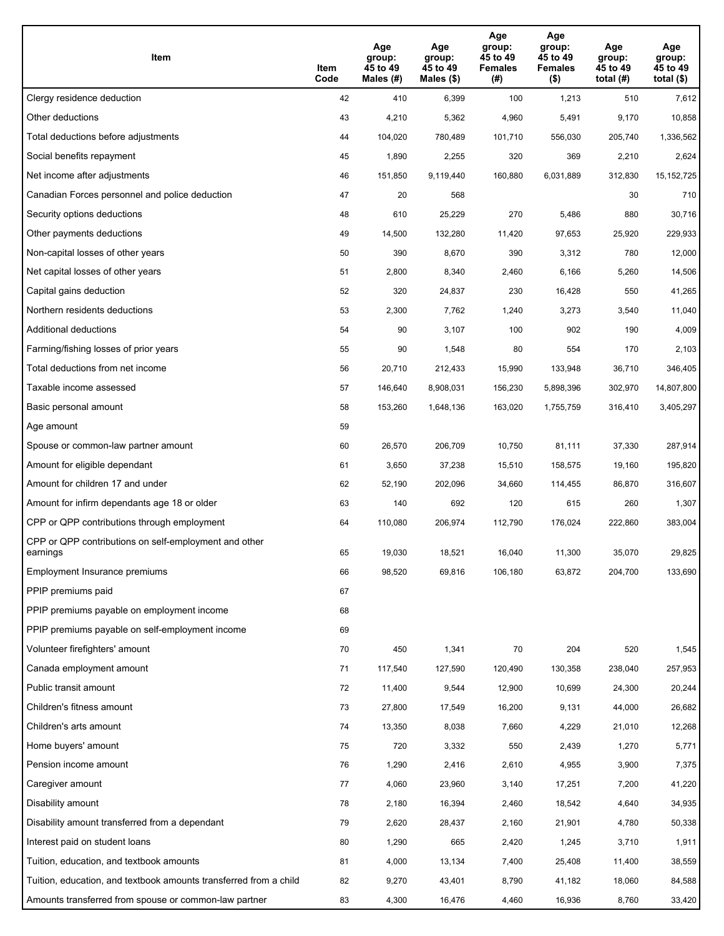| Item                                                              | Item<br>Code | Age<br>group:<br>45 to 49<br>Males (#) | Age<br>group:<br>45 to 49<br>Males (\$) | Age<br>group:<br>45 to 49<br><b>Females</b><br>(# ) | Age<br>group:<br>45 to 49<br><b>Females</b><br>$($ \$) | Age<br>group:<br>45 to 49<br>total $(#)$ | Age<br>group:<br>45 to 49<br>total $($)$ |
|-------------------------------------------------------------------|--------------|----------------------------------------|-----------------------------------------|-----------------------------------------------------|--------------------------------------------------------|------------------------------------------|------------------------------------------|
| Clergy residence deduction                                        | 42           | 410                                    | 6,399                                   | 100                                                 | 1,213                                                  | 510                                      | 7,612                                    |
| Other deductions                                                  | 43           | 4,210                                  | 5,362                                   | 4,960                                               | 5,491                                                  | 9,170                                    | 10,858                                   |
| Total deductions before adjustments                               | 44           | 104,020                                | 780,489                                 | 101,710                                             | 556,030                                                | 205,740                                  | 1,336,562                                |
| Social benefits repayment                                         | 45           | 1,890                                  | 2,255                                   | 320                                                 | 369                                                    | 2,210                                    | 2,624                                    |
| Net income after adjustments                                      | 46           | 151,850                                | 9,119,440                               | 160,880                                             | 6,031,889                                              | 312,830                                  | 15, 152, 725                             |
| Canadian Forces personnel and police deduction                    | 47           | 20                                     | 568                                     |                                                     |                                                        | 30                                       | 710                                      |
| Security options deductions                                       | 48           | 610                                    | 25,229                                  | 270                                                 | 5,486                                                  | 880                                      | 30,716                                   |
| Other payments deductions                                         | 49           | 14,500                                 | 132,280                                 | 11,420                                              | 97,653                                                 | 25,920                                   | 229,933                                  |
| Non-capital losses of other years                                 | 50           | 390                                    | 8,670                                   | 390                                                 | 3,312                                                  | 780                                      | 12,000                                   |
| Net capital losses of other years                                 | 51           | 2,800                                  | 8,340                                   | 2,460                                               | 6,166                                                  | 5,260                                    | 14,506                                   |
| Capital gains deduction                                           | 52           | 320                                    | 24,837                                  | 230                                                 | 16,428                                                 | 550                                      | 41,265                                   |
| Northern residents deductions                                     | 53           | 2,300                                  | 7,762                                   | 1,240                                               | 3,273                                                  | 3,540                                    | 11,040                                   |
| Additional deductions                                             | 54           | 90                                     | 3,107                                   | 100                                                 | 902                                                    | 190                                      | 4,009                                    |
| Farming/fishing losses of prior years                             | 55           | 90                                     | 1,548                                   | 80                                                  | 554                                                    | 170                                      | 2,103                                    |
| Total deductions from net income                                  | 56           | 20,710                                 | 212,433                                 | 15,990                                              | 133,948                                                | 36,710                                   | 346,405                                  |
| Taxable income assessed                                           | 57           | 146,640                                | 8,908,031                               | 156,230                                             | 5,898,396                                              | 302,970                                  | 14,807,800                               |
| Basic personal amount                                             | 58           | 153,260                                | 1,648,136                               | 163,020                                             | 1,755,759                                              | 316,410                                  | 3,405,297                                |
| Age amount                                                        | 59           |                                        |                                         |                                                     |                                                        |                                          |                                          |
| Spouse or common-law partner amount                               | 60           | 26,570                                 | 206,709                                 | 10,750                                              | 81,111                                                 | 37,330                                   | 287,914                                  |
| Amount for eligible dependant                                     | 61           | 3,650                                  | 37,238                                  | 15,510                                              | 158,575                                                | 19,160                                   | 195,820                                  |
| Amount for children 17 and under                                  | 62           | 52,190                                 | 202,096                                 | 34,660                                              | 114,455                                                | 86,870                                   | 316,607                                  |
| Amount for infirm dependants age 18 or older                      | 63           | 140                                    | 692                                     | 120                                                 | 615                                                    | 260                                      | 1,307                                    |
| CPP or QPP contributions through employment                       | 64           | 110,080                                | 206,974                                 | 112,790                                             | 176,024                                                | 222,860                                  | 383,004                                  |
| CPP or QPP contributions on self-employment and other<br>earnings | 65           | 19,030                                 | 18,521                                  | 16,040                                              | 11,300                                                 | 35,070                                   | 29,825                                   |
| Employment Insurance premiums                                     | 66           | 98,520                                 | 69,816                                  | 106,180                                             | 63,872                                                 | 204,700                                  | 133,690                                  |
| PPIP premiums paid                                                | 67           |                                        |                                         |                                                     |                                                        |                                          |                                          |
| PPIP premiums payable on employment income                        | 68           |                                        |                                         |                                                     |                                                        |                                          |                                          |
| PPIP premiums payable on self-employment income                   | 69           |                                        |                                         |                                                     |                                                        |                                          |                                          |
| Volunteer firefighters' amount                                    | 70           | 450                                    | 1,341                                   | 70                                                  | 204                                                    | 520                                      | 1,545                                    |
| Canada employment amount                                          | 71           | 117,540                                | 127,590                                 | 120,490                                             | 130,358                                                | 238,040                                  | 257,953                                  |
| Public transit amount                                             | 72           | 11,400                                 | 9,544                                   | 12,900                                              | 10,699                                                 | 24,300                                   | 20,244                                   |
| Children's fitness amount                                         | 73           | 27,800                                 | 17,549                                  | 16,200                                              | 9,131                                                  | 44,000                                   | 26,682                                   |
| Children's arts amount                                            | 74           | 13,350                                 | 8,038                                   | 7,660                                               | 4,229                                                  | 21,010                                   | 12,268                                   |
| Home buyers' amount                                               | 75           | 720                                    | 3,332                                   | 550                                                 | 2,439                                                  | 1,270                                    | 5,771                                    |
| Pension income amount                                             | 76           | 1,290                                  | 2,416                                   | 2,610                                               | 4,955                                                  | 3,900                                    | 7,375                                    |
| Caregiver amount                                                  | $77\,$       | 4,060                                  | 23,960                                  | 3,140                                               | 17,251                                                 | 7,200                                    | 41,220                                   |
| Disability amount                                                 | 78           | 2,180                                  | 16,394                                  | 2,460                                               | 18,542                                                 | 4,640                                    | 34,935                                   |
| Disability amount transferred from a dependant                    | 79           | 2,620                                  | 28,437                                  | 2,160                                               | 21,901                                                 | 4,780                                    | 50,338                                   |
| Interest paid on student loans                                    | 80           | 1,290                                  | 665                                     | 2,420                                               | 1,245                                                  | 3,710                                    | 1,911                                    |
| Tuition, education, and textbook amounts                          | 81           | 4,000                                  | 13,134                                  | 7,400                                               | 25,408                                                 | 11,400                                   | 38,559                                   |
| Tuition, education, and textbook amounts transferred from a child | 82           | 9,270                                  | 43,401                                  | 8,790                                               | 41,182                                                 | 18,060                                   | 84,588                                   |
| Amounts transferred from spouse or common-law partner             | 83           | 4,300                                  | 16,476                                  | 4,460                                               | 16,936                                                 | 8,760                                    | 33,420                                   |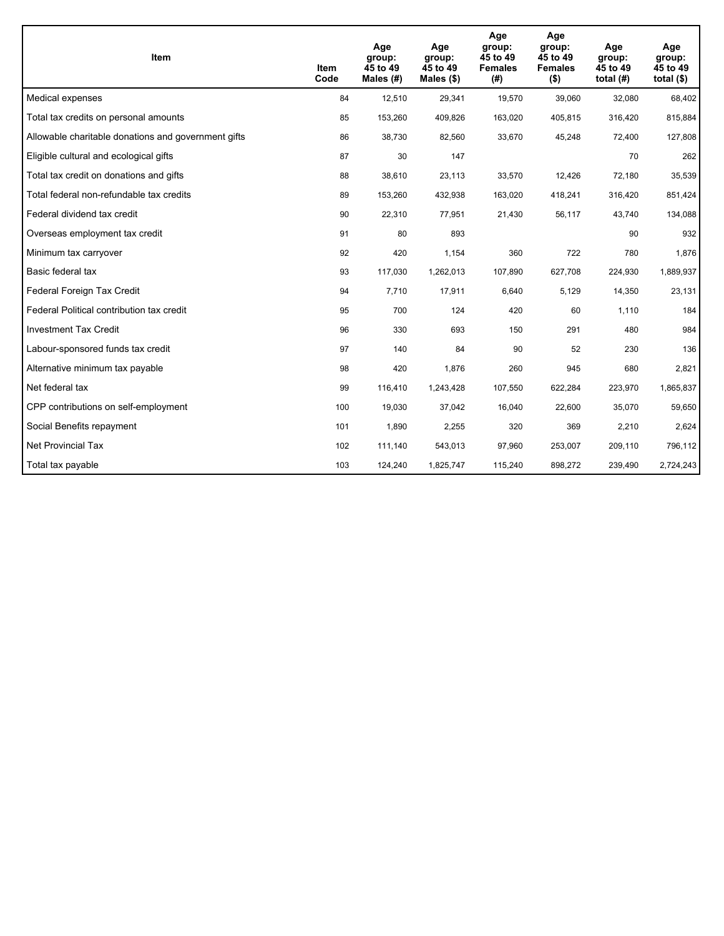| Item                                                | Item<br>Code | Age<br>group:<br>45 to 49<br>Males (#) | Age<br>group:<br>45 to 49<br>Males $(\$)$ | Age<br>group:<br>45 to 49<br><b>Females</b><br>(#) | Age<br>group:<br>45 to 49<br><b>Females</b><br>$($ \$) | Age<br>group:<br>45 to 49<br>total $(H)$ | Age<br>group:<br>45 to 49<br>total $($)$ |
|-----------------------------------------------------|--------------|----------------------------------------|-------------------------------------------|----------------------------------------------------|--------------------------------------------------------|------------------------------------------|------------------------------------------|
| Medical expenses                                    | 84           | 12,510                                 | 29,341                                    | 19,570                                             | 39,060                                                 | 32,080                                   | 68,402                                   |
| Total tax credits on personal amounts               | 85           | 153,260                                | 409,826                                   | 163,020                                            | 405,815                                                | 316,420                                  | 815,884                                  |
| Allowable charitable donations and government gifts | 86           | 38,730                                 | 82,560                                    | 33,670                                             | 45,248                                                 | 72,400                                   | 127,808                                  |
| Eligible cultural and ecological gifts              | 87           | 30                                     | 147                                       |                                                    |                                                        | 70                                       | 262                                      |
| Total tax credit on donations and gifts             | 88           | 38,610                                 | 23,113                                    | 33,570                                             | 12,426                                                 | 72,180                                   | 35,539                                   |
| Total federal non-refundable tax credits            | 89           | 153,260                                | 432,938                                   | 163,020                                            | 418,241                                                | 316,420                                  | 851,424                                  |
| Federal dividend tax credit                         | 90           | 22,310                                 | 77,951                                    | 21,430                                             | 56,117                                                 | 43,740                                   | 134,088                                  |
| Overseas employment tax credit                      | 91           | 80                                     | 893                                       |                                                    |                                                        | 90                                       | 932                                      |
| Minimum tax carryover                               | 92           | 420                                    | 1,154                                     | 360                                                | 722                                                    | 780                                      | 1,876                                    |
| Basic federal tax                                   | 93           | 117,030                                | 1,262,013                                 | 107,890                                            | 627,708                                                | 224,930                                  | 1,889,937                                |
| Federal Foreign Tax Credit                          | 94           | 7,710                                  | 17,911                                    | 6,640                                              | 5,129                                                  | 14,350                                   | 23,131                                   |
| Federal Political contribution tax credit           | 95           | 700                                    | 124                                       | 420                                                | 60                                                     | 1,110                                    | 184                                      |
| <b>Investment Tax Credit</b>                        | 96           | 330                                    | 693                                       | 150                                                | 291                                                    | 480                                      | 984                                      |
| Labour-sponsored funds tax credit                   | 97           | 140                                    | 84                                        | 90                                                 | 52                                                     | 230                                      | 136                                      |
| Alternative minimum tax payable                     | 98           | 420                                    | 1,876                                     | 260                                                | 945                                                    | 680                                      | 2,821                                    |
| Net federal tax                                     | 99           | 116,410                                | 1,243,428                                 | 107,550                                            | 622,284                                                | 223,970                                  | 1,865,837                                |
| CPP contributions on self-employment                | 100          | 19,030                                 | 37,042                                    | 16,040                                             | 22,600                                                 | 35,070                                   | 59,650                                   |
| Social Benefits repayment                           | 101          | 1,890                                  | 2,255                                     | 320                                                | 369                                                    | 2,210                                    | 2,624                                    |
| <b>Net Provincial Tax</b>                           | 102          | 111,140                                | 543,013                                   | 97,960                                             | 253,007                                                | 209,110                                  | 796,112                                  |
| Total tax payable                                   | 103          | 124,240                                | 1,825,747                                 | 115,240                                            | 898,272                                                | 239,490                                  | 2,724,243                                |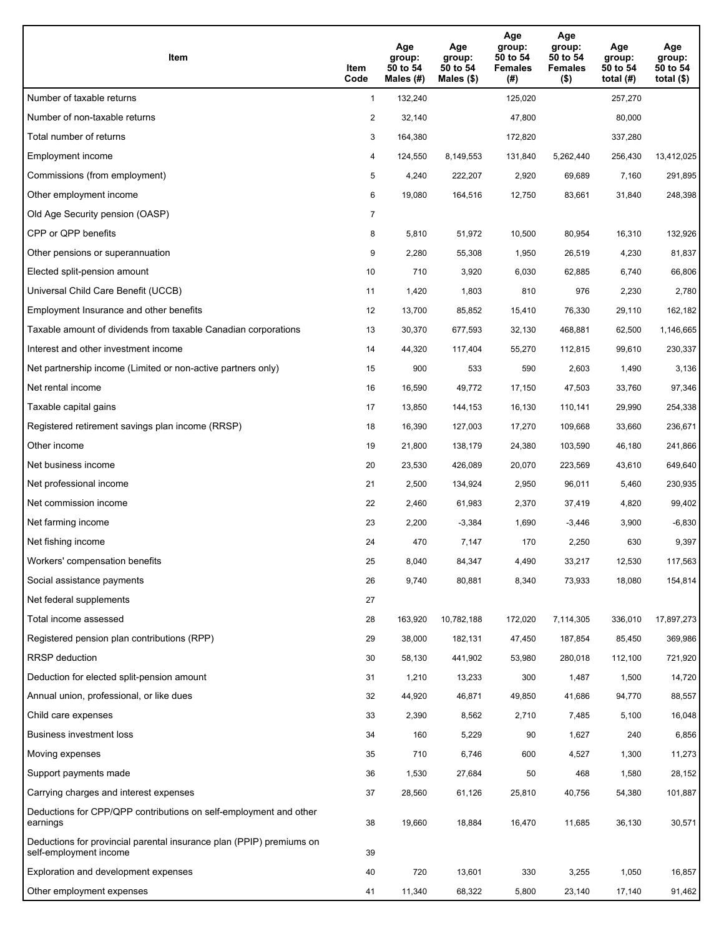| Item                                                                                           | Item<br>Code   | Age<br>group:<br>50 to 54<br>Males (#) | Age<br>group:<br>50 to 54<br>Males (\$) | Age<br>group:<br>50 to 54<br><b>Females</b><br>(#) | Age<br>group:<br>50 to 54<br><b>Females</b><br>$($ \$) | Age<br>group:<br>50 to 54<br>total $(H)$ | Age<br>group:<br>50 to 54<br>total $($)$ |
|------------------------------------------------------------------------------------------------|----------------|----------------------------------------|-----------------------------------------|----------------------------------------------------|--------------------------------------------------------|------------------------------------------|------------------------------------------|
| Number of taxable returns                                                                      | $\mathbf{1}$   | 132,240                                |                                         | 125,020                                            |                                                        | 257,270                                  |                                          |
| Number of non-taxable returns                                                                  | 2              | 32,140                                 |                                         | 47,800                                             |                                                        | 80,000                                   |                                          |
| Total number of returns                                                                        | 3              | 164,380                                |                                         | 172,820                                            |                                                        | 337,280                                  |                                          |
| Employment income                                                                              | 4              | 124,550                                | 8,149,553                               | 131,840                                            | 5,262,440                                              | 256,430                                  | 13,412,025                               |
| Commissions (from employment)                                                                  | 5              | 4,240                                  | 222,207                                 | 2,920                                              | 69,689                                                 | 7,160                                    | 291,895                                  |
| Other employment income                                                                        | 6              | 19,080                                 | 164,516                                 | 12,750                                             | 83,661                                                 | 31,840                                   | 248,398                                  |
| Old Age Security pension (OASP)                                                                | $\overline{7}$ |                                        |                                         |                                                    |                                                        |                                          |                                          |
| CPP or QPP benefits                                                                            | 8              | 5,810                                  | 51,972                                  | 10,500                                             | 80,954                                                 | 16,310                                   | 132,926                                  |
| Other pensions or superannuation                                                               | 9              | 2,280                                  | 55,308                                  | 1,950                                              | 26,519                                                 | 4,230                                    | 81,837                                   |
| Elected split-pension amount                                                                   | 10             | 710                                    | 3,920                                   | 6,030                                              | 62,885                                                 | 6,740                                    | 66,806                                   |
| Universal Child Care Benefit (UCCB)                                                            | 11             | 1,420                                  | 1,803                                   | 810                                                | 976                                                    | 2,230                                    | 2,780                                    |
| Employment Insurance and other benefits                                                        | 12             | 13,700                                 | 85,852                                  | 15,410                                             | 76,330                                                 | 29,110                                   | 162,182                                  |
| Taxable amount of dividends from taxable Canadian corporations                                 | 13             | 30,370                                 | 677,593                                 | 32,130                                             | 468,881                                                | 62,500                                   | 1,146,665                                |
| Interest and other investment income                                                           | 14             | 44,320                                 | 117,404                                 | 55,270                                             | 112,815                                                | 99,610                                   | 230,337                                  |
| Net partnership income (Limited or non-active partners only)                                   | 15             | 900                                    | 533                                     | 590                                                | 2,603                                                  | 1,490                                    | 3,136                                    |
| Net rental income                                                                              | 16             | 16,590                                 | 49,772                                  | 17,150                                             | 47,503                                                 | 33,760                                   | 97,346                                   |
| Taxable capital gains                                                                          | 17             | 13,850                                 | 144,153                                 | 16,130                                             | 110,141                                                | 29,990                                   | 254,338                                  |
| Registered retirement savings plan income (RRSP)                                               | 18             | 16,390                                 | 127,003                                 | 17,270                                             | 109,668                                                | 33,660                                   | 236,671                                  |
| Other income                                                                                   | 19             | 21,800                                 | 138,179                                 | 24,380                                             | 103,590                                                | 46,180                                   | 241,866                                  |
| Net business income                                                                            | 20             | 23,530                                 | 426,089                                 | 20,070                                             | 223,569                                                | 43,610                                   | 649,640                                  |
| Net professional income                                                                        | 21             | 2,500                                  | 134,924                                 | 2,950                                              | 96,011                                                 | 5,460                                    | 230,935                                  |
| Net commission income                                                                          | 22             | 2,460                                  | 61,983                                  | 2,370                                              | 37,419                                                 | 4,820                                    | 99,402                                   |
| Net farming income                                                                             | 23             | 2,200                                  | $-3,384$                                | 1,690                                              | $-3,446$                                               | 3,900                                    | -6,830                                   |
| Net fishing income                                                                             | 24             | 470                                    | 7,147                                   | 170                                                | 2,250                                                  | 630                                      | 9,397                                    |
| Workers' compensation benefits                                                                 | 25             | 8,040                                  | 84,347                                  | 4,490                                              | 33,217                                                 | 12,530                                   | 117,563                                  |
| Social assistance payments                                                                     | 26             | 9,740                                  | 80,881                                  | 8,340                                              | 73,933                                                 | 18,080                                   | 154,814                                  |
| Net federal supplements                                                                        | 27             |                                        |                                         |                                                    |                                                        |                                          |                                          |
| Total income assessed                                                                          | 28             | 163,920                                | 10,782,188                              | 172,020                                            | 7,114,305                                              | 336,010                                  | 17,897,273                               |
| Registered pension plan contributions (RPP)                                                    | 29             | 38,000                                 | 182,131                                 | 47,450                                             | 187,854                                                | 85,450                                   | 369,986                                  |
| RRSP deduction                                                                                 | 30             | 58,130                                 | 441,902                                 | 53,980                                             | 280,018                                                | 112,100                                  | 721,920                                  |
| Deduction for elected split-pension amount                                                     | 31             | 1,210                                  | 13,233                                  | 300                                                | 1,487                                                  | 1,500                                    | 14,720                                   |
| Annual union, professional, or like dues                                                       | 32             | 44,920                                 | 46,871                                  | 49,850                                             | 41,686                                                 | 94,770                                   | 88,557                                   |
| Child care expenses                                                                            | 33             | 2,390                                  | 8,562                                   | 2,710                                              | 7,485                                                  | 5,100                                    | 16,048                                   |
| <b>Business investment loss</b>                                                                | 34             | 160                                    | 5,229                                   | 90                                                 | 1,627                                                  | 240                                      | 6,856                                    |
| Moving expenses                                                                                | 35             | 710                                    | 6,746                                   | 600                                                | 4,527                                                  | 1,300                                    | 11,273                                   |
| Support payments made                                                                          | 36             | 1,530                                  | 27,684                                  | 50                                                 | 468                                                    | 1,580                                    | 28,152                                   |
| Carrying charges and interest expenses                                                         | 37             | 28,560                                 | 61,126                                  | 25,810                                             | 40,756                                                 | 54,380                                   | 101,887                                  |
| Deductions for CPP/QPP contributions on self-employment and other<br>earnings                  | 38             | 19,660                                 | 18,884                                  | 16,470                                             | 11,685                                                 | 36,130                                   | 30,571                                   |
| Deductions for provincial parental insurance plan (PPIP) premiums on<br>self-employment income | 39             |                                        |                                         |                                                    |                                                        |                                          |                                          |
| Exploration and development expenses                                                           | 40             | 720                                    | 13,601                                  | 330                                                | 3,255                                                  | 1,050                                    | 16,857                                   |
| Other employment expenses                                                                      | 41             | 11,340                                 | 68,322                                  | 5,800                                              | 23,140                                                 | 17,140                                   | 91,462                                   |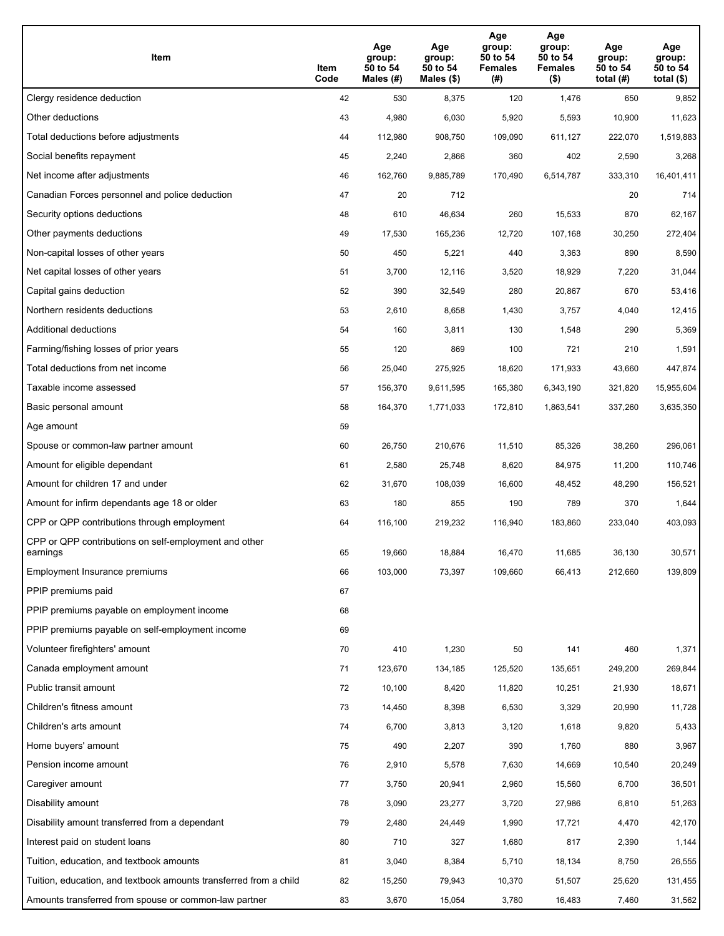| Item                                                              | Item<br>Code | Age<br>group:<br>50 to 54<br>Males (#) | Age<br>group:<br>50 to 54<br>Males (\$) | Age<br>group:<br>50 to 54<br><b>Females</b><br>(#) | Age<br>group:<br>50 to 54<br><b>Females</b><br>$($ \$) | Age<br>group:<br>50 to 54<br>total $(H)$ | Age<br>group:<br>50 to 54<br>total $($)$ |
|-------------------------------------------------------------------|--------------|----------------------------------------|-----------------------------------------|----------------------------------------------------|--------------------------------------------------------|------------------------------------------|------------------------------------------|
| Clergy residence deduction                                        | 42           | 530                                    | 8,375                                   | 120                                                | 1,476                                                  | 650                                      | 9,852                                    |
| Other deductions                                                  | 43           | 4,980                                  | 6,030                                   | 5,920                                              | 5,593                                                  | 10,900                                   | 11,623                                   |
| Total deductions before adjustments                               | 44           | 112,980                                | 908,750                                 | 109,090                                            | 611,127                                                | 222,070                                  | 1,519,883                                |
| Social benefits repayment                                         | 45           | 2,240                                  | 2,866                                   | 360                                                | 402                                                    | 2,590                                    | 3,268                                    |
| Net income after adjustments                                      | 46           | 162,760                                | 9,885,789                               | 170,490                                            | 6,514,787                                              | 333,310                                  | 16,401,411                               |
| Canadian Forces personnel and police deduction                    | 47           | 20                                     | 712                                     |                                                    |                                                        | 20                                       | 714                                      |
| Security options deductions                                       | 48           | 610                                    | 46,634                                  | 260                                                | 15,533                                                 | 870                                      | 62,167                                   |
| Other payments deductions                                         | 49           | 17,530                                 | 165,236                                 | 12,720                                             | 107,168                                                | 30,250                                   | 272,404                                  |
| Non-capital losses of other years                                 | 50           | 450                                    | 5,221                                   | 440                                                | 3,363                                                  | 890                                      | 8,590                                    |
| Net capital losses of other years                                 | 51           | 3,700                                  | 12,116                                  | 3,520                                              | 18,929                                                 | 7,220                                    | 31,044                                   |
| Capital gains deduction                                           | 52           | 390                                    | 32,549                                  | 280                                                | 20,867                                                 | 670                                      | 53,416                                   |
| Northern residents deductions                                     | 53           | 2,610                                  | 8,658                                   | 1,430                                              | 3,757                                                  | 4,040                                    | 12,415                                   |
| Additional deductions                                             | 54           | 160                                    | 3,811                                   | 130                                                | 1,548                                                  | 290                                      | 5,369                                    |
| Farming/fishing losses of prior years                             | 55           | 120                                    | 869                                     | 100                                                | 721                                                    | 210                                      | 1,591                                    |
| Total deductions from net income                                  | 56           | 25,040                                 | 275,925                                 | 18,620                                             | 171,933                                                | 43,660                                   | 447,874                                  |
| Taxable income assessed                                           | 57           | 156,370                                | 9,611,595                               | 165,380                                            | 6,343,190                                              | 321,820                                  | 15,955,604                               |
| Basic personal amount                                             | 58           | 164,370                                | 1,771,033                               | 172,810                                            | 1,863,541                                              | 337,260                                  | 3,635,350                                |
| Age amount                                                        | 59           |                                        |                                         |                                                    |                                                        |                                          |                                          |
| Spouse or common-law partner amount                               | 60           | 26,750                                 | 210,676                                 | 11,510                                             | 85,326                                                 | 38,260                                   | 296,061                                  |
| Amount for eligible dependant                                     | 61           | 2,580                                  | 25,748                                  | 8,620                                              | 84,975                                                 | 11,200                                   | 110,746                                  |
| Amount for children 17 and under                                  | 62           | 31,670                                 | 108,039                                 | 16,600                                             | 48,452                                                 | 48,290                                   | 156,521                                  |
| Amount for infirm dependants age 18 or older                      | 63           | 180                                    | 855                                     | 190                                                | 789                                                    | 370                                      | 1,644                                    |
| CPP or QPP contributions through employment                       | 64           | 116,100                                | 219,232                                 | 116,940                                            | 183,860                                                | 233,040                                  | 403,093                                  |
| CPP or QPP contributions on self-employment and other<br>earnings | 65           | 19,660                                 | 18,884                                  | 16,470                                             | 11,685                                                 | 36,130                                   | 30,571                                   |
| Employment Insurance premiums                                     | 66           | 103,000                                | 73,397                                  | 109,660                                            | 66,413                                                 | 212,660                                  | 139,809                                  |
| PPIP premiums paid                                                | 67           |                                        |                                         |                                                    |                                                        |                                          |                                          |
| PPIP premiums payable on employment income                        | 68           |                                        |                                         |                                                    |                                                        |                                          |                                          |
| PPIP premiums payable on self-employment income                   | 69           |                                        |                                         |                                                    |                                                        |                                          |                                          |
| Volunteer firefighters' amount                                    | 70           | 410                                    | 1,230                                   | 50                                                 | 141                                                    | 460                                      | 1,371                                    |
| Canada employment amount                                          | 71           | 123,670                                | 134,185                                 | 125,520                                            | 135,651                                                | 249,200                                  | 269,844                                  |
| Public transit amount                                             | 72           | 10,100                                 | 8,420                                   | 11,820                                             | 10,251                                                 | 21,930                                   | 18,671                                   |
| Children's fitness amount                                         | 73           | 14,450                                 | 8,398                                   | 6,530                                              | 3,329                                                  | 20,990                                   | 11,728                                   |
| Children's arts amount                                            | 74           | 6,700                                  | 3,813                                   | 3,120                                              | 1,618                                                  | 9,820                                    | 5,433                                    |
| Home buyers' amount                                               | 75           | 490                                    | 2,207                                   | 390                                                | 1,760                                                  | 880                                      | 3,967                                    |
| Pension income amount                                             | 76           | 2,910                                  | 5,578                                   | 7,630                                              | 14,669                                                 | 10,540                                   | 20,249                                   |
| Caregiver amount                                                  | 77           | 3,750                                  | 20,941                                  | 2,960                                              | 15,560                                                 | 6,700                                    | 36,501                                   |
| Disability amount                                                 | 78           | 3,090                                  | 23,277                                  | 3,720                                              | 27,986                                                 | 6,810                                    | 51,263                                   |
| Disability amount transferred from a dependant                    | 79           | 2,480                                  | 24,449                                  | 1,990                                              | 17,721                                                 | 4,470                                    | 42,170                                   |
| Interest paid on student loans                                    | 80           | 710                                    | 327                                     | 1,680                                              | 817                                                    | 2,390                                    | 1,144                                    |
| Tuition, education, and textbook amounts                          | 81           | 3,040                                  | 8,384                                   | 5,710                                              | 18,134                                                 | 8,750                                    | 26,555                                   |
| Tuition, education, and textbook amounts transferred from a child | 82           | 15,250                                 | 79,943                                  | 10,370                                             | 51,507                                                 | 25,620                                   | 131,455                                  |
| Amounts transferred from spouse or common-law partner             | 83           | 3,670                                  | 15,054                                  | 3,780                                              | 16,483                                                 | 7,460                                    | 31,562                                   |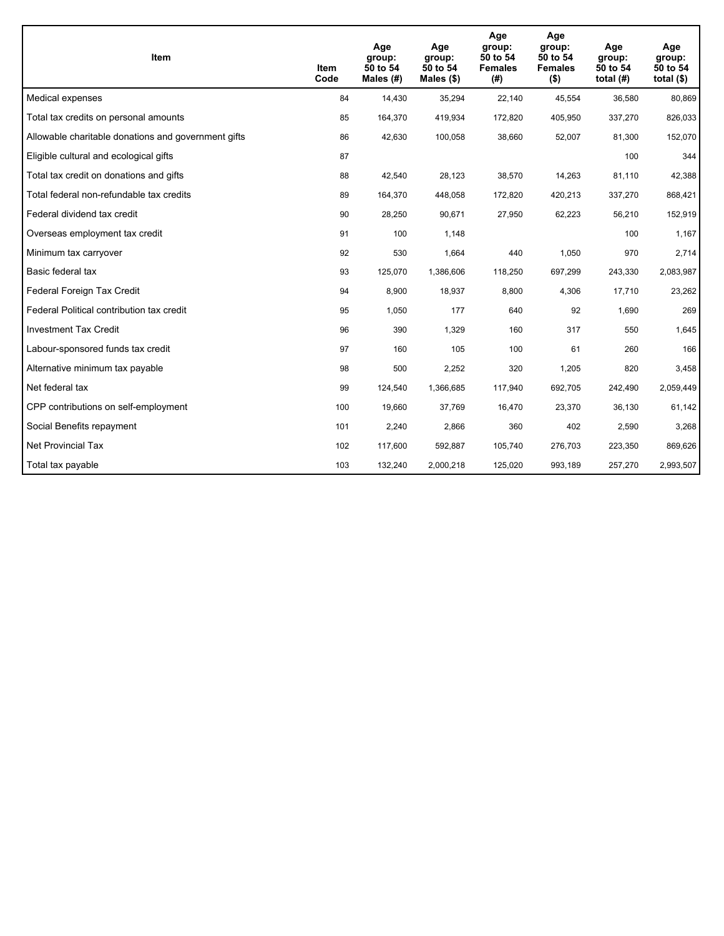| <b>Item</b>                                         | Item<br>Code | Age<br>group:<br>50 to 54<br>Males $(H)$ | Age<br>group:<br>50 to 54<br>Males $(\$)$ | Age<br>group:<br>50 to 54<br><b>Females</b><br>(#) | Age<br>group:<br>50 to 54<br><b>Females</b><br>$($ \$) | Age<br>group:<br>50 to 54<br>total $(H)$ | Age<br>group:<br>50 to 54<br>total $($)$ |
|-----------------------------------------------------|--------------|------------------------------------------|-------------------------------------------|----------------------------------------------------|--------------------------------------------------------|------------------------------------------|------------------------------------------|
| Medical expenses                                    | 84           | 14,430                                   | 35,294                                    | 22,140                                             | 45,554                                                 | 36,580                                   | 80,869                                   |
| Total tax credits on personal amounts               | 85           | 164,370                                  | 419,934                                   | 172,820                                            | 405,950                                                | 337,270                                  | 826,033                                  |
| Allowable charitable donations and government gifts | 86           | 42,630                                   | 100,058                                   | 38,660                                             | 52,007                                                 | 81,300                                   | 152,070                                  |
| Eligible cultural and ecological gifts              | 87           |                                          |                                           |                                                    |                                                        | 100                                      | 344                                      |
| Total tax credit on donations and gifts             | 88           | 42,540                                   | 28,123                                    | 38,570                                             | 14,263                                                 | 81,110                                   | 42,388                                   |
| Total federal non-refundable tax credits            | 89           | 164,370                                  | 448,058                                   | 172,820                                            | 420,213                                                | 337,270                                  | 868,421                                  |
| Federal dividend tax credit                         | 90           | 28,250                                   | 90,671                                    | 27,950                                             | 62,223                                                 | 56,210                                   | 152,919                                  |
| Overseas employment tax credit                      | 91           | 100                                      | 1,148                                     |                                                    |                                                        | 100                                      | 1,167                                    |
| Minimum tax carryover                               | 92           | 530                                      | 1,664                                     | 440                                                | 1,050                                                  | 970                                      | 2,714                                    |
| Basic federal tax                                   | 93           | 125,070                                  | 1,386,606                                 | 118,250                                            | 697,299                                                | 243,330                                  | 2,083,987                                |
| Federal Foreign Tax Credit                          | 94           | 8,900                                    | 18,937                                    | 8,800                                              | 4,306                                                  | 17,710                                   | 23,262                                   |
| Federal Political contribution tax credit           | 95           | 1,050                                    | 177                                       | 640                                                | 92                                                     | 1,690                                    | 269                                      |
| <b>Investment Tax Credit</b>                        | 96           | 390                                      | 1,329                                     | 160                                                | 317                                                    | 550                                      | 1,645                                    |
| Labour-sponsored funds tax credit                   | 97           | 160                                      | 105                                       | 100                                                | 61                                                     | 260                                      | 166                                      |
| Alternative minimum tax payable                     | 98           | 500                                      | 2,252                                     | 320                                                | 1,205                                                  | 820                                      | 3,458                                    |
| Net federal tax                                     | 99           | 124,540                                  | 1,366,685                                 | 117,940                                            | 692,705                                                | 242,490                                  | 2,059,449                                |
| CPP contributions on self-employment                | 100          | 19,660                                   | 37,769                                    | 16,470                                             | 23,370                                                 | 36,130                                   | 61,142                                   |
| Social Benefits repayment                           | 101          | 2,240                                    | 2,866                                     | 360                                                | 402                                                    | 2,590                                    | 3,268                                    |
| <b>Net Provincial Tax</b>                           | 102          | 117,600                                  | 592,887                                   | 105,740                                            | 276,703                                                | 223,350                                  | 869,626                                  |
| Total tax payable                                   | 103          | 132,240                                  | 2,000,218                                 | 125,020                                            | 993,189                                                | 257,270                                  | 2,993,507                                |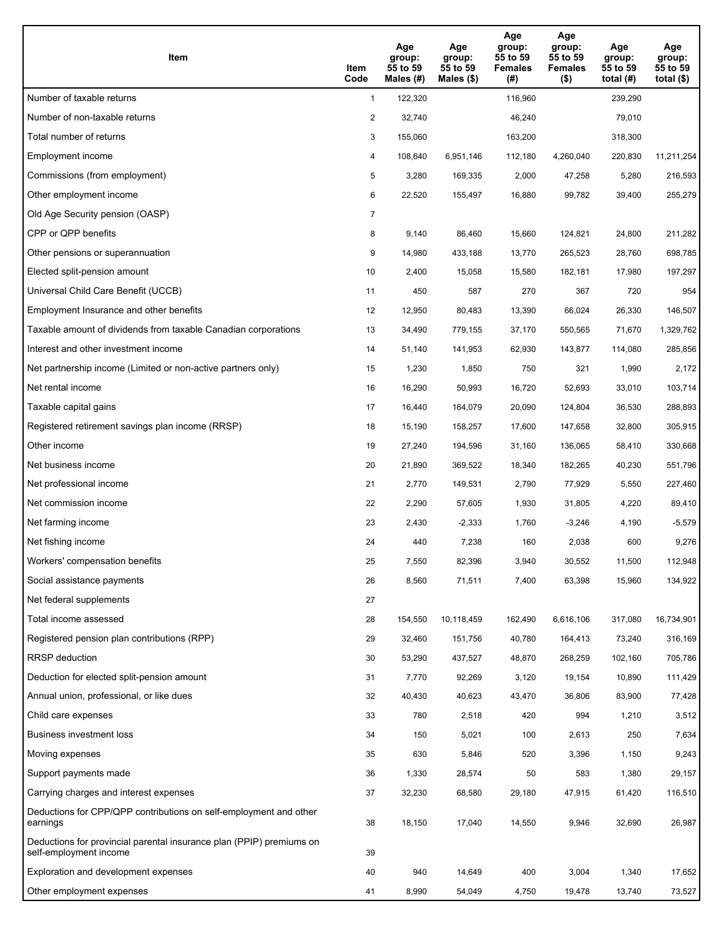| Item                                                                                           | Item<br>Code   | Age<br>group:<br>55 to 59<br>Males (#) | Age<br>group:<br>55 to 59<br>Males $(\$)$ | Age<br>group:<br>55 to 59<br><b>Females</b><br>(#) | Age<br>group:<br>55 to 59<br><b>Females</b><br>$($ \$) | Age<br>group:<br>55 to 59<br>total $(H)$ | Age<br>group:<br>55 to 59<br>total $(\$)$ |
|------------------------------------------------------------------------------------------------|----------------|----------------------------------------|-------------------------------------------|----------------------------------------------------|--------------------------------------------------------|------------------------------------------|-------------------------------------------|
| Number of taxable returns                                                                      | $\mathbf{1}$   | 122,320                                |                                           | 116,960                                            |                                                        | 239,290                                  |                                           |
| Number of non-taxable returns                                                                  | $\overline{c}$ | 32,740                                 |                                           | 46,240                                             |                                                        | 79,010                                   |                                           |
| Total number of returns                                                                        | 3              | 155,060                                |                                           | 163,200                                            |                                                        | 318,300                                  |                                           |
| Employment income                                                                              | 4              | 108,640                                | 6,951,146                                 | 112,180                                            | 4,260,040                                              | 220,830                                  | 11,211,254                                |
| Commissions (from employment)                                                                  | 5              | 3,280                                  | 169,335                                   | 2,000                                              | 47,258                                                 | 5,280                                    | 216,593                                   |
| Other employment income                                                                        | 6              | 22,520                                 | 155,497                                   | 16,880                                             | 99,782                                                 | 39,400                                   | 255,279                                   |
| Old Age Security pension (OASP)                                                                | $\overline{7}$ |                                        |                                           |                                                    |                                                        |                                          |                                           |
| CPP or QPP benefits                                                                            | 8              | 9,140                                  | 86,460                                    | 15,660                                             | 124,821                                                | 24,800                                   | 211,282                                   |
| Other pensions or superannuation                                                               | 9              | 14,980                                 | 433,188                                   | 13,770                                             | 265,523                                                | 28,760                                   | 698,785                                   |
| Elected split-pension amount                                                                   | 10             | 2,400                                  | 15,058                                    | 15,580                                             | 182,181                                                | 17,980                                   | 197,297                                   |
| Universal Child Care Benefit (UCCB)                                                            | 11             | 450                                    | 587                                       | 270                                                | 367                                                    | 720                                      | 954                                       |
| Employment Insurance and other benefits                                                        | 12             | 12,950                                 | 80,483                                    | 13,390                                             | 66,024                                                 | 26,330                                   | 146,507                                   |
| Taxable amount of dividends from taxable Canadian corporations                                 | 13             | 34,490                                 | 779,155                                   | 37,170                                             | 550,565                                                | 71,670                                   | 1,329,762                                 |
| Interest and other investment income                                                           | 14             | 51,140                                 | 141,953                                   | 62,930                                             | 143,877                                                | 114,080                                  | 285,856                                   |
| Net partnership income (Limited or non-active partners only)                                   | 15             | 1,230                                  | 1,850                                     | 750                                                | 321                                                    | 1,990                                    | 2,172                                     |
| Net rental income                                                                              | 16             | 16,290                                 | 50,993                                    | 16,720                                             | 52,693                                                 | 33,010                                   | 103,714                                   |
| Taxable capital gains                                                                          | 17             | 16,440                                 | 164,079                                   | 20,090                                             | 124,804                                                | 36,530                                   | 288,893                                   |
| Registered retirement savings plan income (RRSP)                                               | 18             | 15,190                                 | 158,257                                   | 17,600                                             | 147,658                                                | 32,800                                   | 305,915                                   |
| Other income                                                                                   | 19             | 27,240                                 | 194,596                                   | 31,160                                             | 136,065                                                | 58,410                                   | 330,668                                   |
| Net business income                                                                            | 20             | 21,890                                 | 369,522                                   | 18,340                                             | 182,265                                                | 40,230                                   | 551,796                                   |
| Net professional income                                                                        | 21             | 2,770                                  | 149,531                                   | 2,790                                              | 77,929                                                 | 5,550                                    | 227,460                                   |
| Net commission income                                                                          | 22             | 2,290                                  | 57,605                                    | 1,930                                              | 31,805                                                 | 4,220                                    | 89,410                                    |
| Net farming income                                                                             | 23             | 2,430                                  | $-2,333$                                  | 1,760                                              | $-3,246$                                               | 4,190                                    | $-5,579$                                  |
| Net fishing income                                                                             | 24             | 440                                    | 7,238                                     | 160                                                | 2,038                                                  | 600                                      | 9,276                                     |
| Workers' compensation benefits                                                                 | 25             | 7,550                                  | 82,396                                    | 3,940                                              | 30,552                                                 | 11,500                                   | 112,948                                   |
| Social assistance payments                                                                     | 26             | 8,560                                  | 71,511                                    | 7,400                                              | 63,398                                                 | 15,960                                   | 134,922                                   |
| Net federal supplements                                                                        | 27             |                                        |                                           |                                                    |                                                        |                                          |                                           |
| Total income assessed                                                                          | 28             | 154,550                                | 10,118,459                                | 162,490                                            | 6,616,106                                              | 317,080                                  | 16,734,901                                |
| Registered pension plan contributions (RPP)                                                    | 29             | 32,460                                 | 151,756                                   | 40,780                                             | 164,413                                                | 73,240                                   | 316,169                                   |
| <b>RRSP</b> deduction                                                                          | 30             | 53,290                                 | 437,527                                   | 48,870                                             | 268,259                                                | 102,160                                  | 705,786                                   |
| Deduction for elected split-pension amount                                                     | 31             | 7,770                                  | 92,269                                    | 3,120                                              | 19,154                                                 | 10,890                                   | 111,429                                   |
| Annual union, professional, or like dues                                                       | 32             | 40,430                                 | 40,623                                    | 43,470                                             | 36,806                                                 | 83,900                                   | 77,428                                    |
| Child care expenses                                                                            | 33             | 780                                    | 2,518                                     | 420                                                | 994                                                    | 1,210                                    | 3,512                                     |
| Business investment loss                                                                       | 34             | 150                                    | 5,021                                     | 100                                                | 2,613                                                  | 250                                      | 7,634                                     |
| Moving expenses                                                                                | 35             | 630                                    | 5,846                                     | 520                                                | 3,396                                                  | 1,150                                    | 9,243                                     |
| Support payments made                                                                          | 36             | 1,330                                  | 28,574                                    | 50                                                 | 583                                                    | 1,380                                    | 29,157                                    |
| Carrying charges and interest expenses                                                         | 37             | 32,230                                 | 68,580                                    | 29,180                                             | 47,915                                                 | 61,420                                   | 116,510                                   |
| Deductions for CPP/QPP contributions on self-employment and other<br>earnings                  | 38             | 18,150                                 | 17,040                                    | 14,550                                             | 9,946                                                  | 32,690                                   | 26,987                                    |
| Deductions for provincial parental insurance plan (PPIP) premiums on<br>self-employment income | 39             |                                        |                                           |                                                    |                                                        |                                          |                                           |
| Exploration and development expenses                                                           | 40             | 940                                    | 14,649                                    | 400                                                | 3,004                                                  | 1,340                                    | 17,652                                    |
| Other employment expenses                                                                      | 41             | 8,990                                  | 54,049                                    | 4,750                                              | 19,478                                                 | 13,740                                   | 73,527                                    |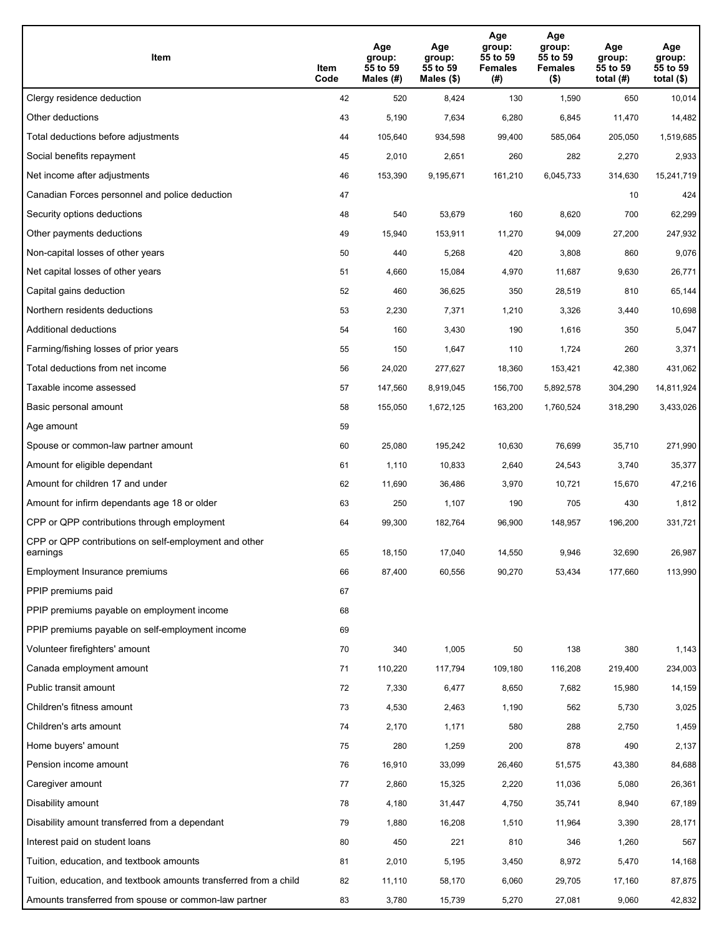| Item                                                              | Item<br>Code | Age<br>group:<br>55 to 59<br>Males (#) | Age<br>group:<br>55 to 59<br>Males (\$) | Age<br>group:<br>55 to 59<br><b>Females</b><br>(#) | Age<br>group:<br>55 to 59<br><b>Females</b><br>$($ \$) | Age<br>group:<br>55 to 59<br>total $(#)$ | Age<br>group:<br>55 to 59<br>total $($)$ |
|-------------------------------------------------------------------|--------------|----------------------------------------|-----------------------------------------|----------------------------------------------------|--------------------------------------------------------|------------------------------------------|------------------------------------------|
| Clergy residence deduction                                        | 42           | 520                                    | 8,424                                   | 130                                                | 1,590                                                  | 650                                      | 10,014                                   |
| Other deductions                                                  | 43           | 5,190                                  | 7,634                                   | 6,280                                              | 6,845                                                  | 11,470                                   | 14,482                                   |
| Total deductions before adjustments                               | 44           | 105,640                                | 934,598                                 | 99,400                                             | 585,064                                                | 205,050                                  | 1,519,685                                |
| Social benefits repayment                                         | 45           | 2,010                                  | 2,651                                   | 260                                                | 282                                                    | 2,270                                    | 2,933                                    |
| Net income after adjustments                                      | 46           | 153,390                                | 9,195,671                               | 161,210                                            | 6,045,733                                              | 314,630                                  | 15,241,719                               |
| Canadian Forces personnel and police deduction                    | 47           |                                        |                                         |                                                    |                                                        | 10                                       | 424                                      |
| Security options deductions                                       | 48           | 540                                    | 53,679                                  | 160                                                | 8,620                                                  | 700                                      | 62,299                                   |
| Other payments deductions                                         | 49           | 15,940                                 | 153,911                                 | 11,270                                             | 94,009                                                 | 27,200                                   | 247,932                                  |
| Non-capital losses of other years                                 | 50           | 440                                    | 5,268                                   | 420                                                | 3,808                                                  | 860                                      | 9,076                                    |
| Net capital losses of other years                                 | 51           | 4,660                                  | 15,084                                  | 4,970                                              | 11.687                                                 | 9,630                                    | 26,771                                   |
| Capital gains deduction                                           | 52           | 460                                    | 36,625                                  | 350                                                | 28,519                                                 | 810                                      | 65,144                                   |
| Northern residents deductions                                     | 53           | 2,230                                  | 7,371                                   | 1,210                                              | 3,326                                                  | 3,440                                    | 10,698                                   |
| Additional deductions                                             | 54           | 160                                    | 3,430                                   | 190                                                | 1,616                                                  | 350                                      | 5,047                                    |
| Farming/fishing losses of prior years                             | 55           | 150                                    | 1,647                                   | 110                                                | 1,724                                                  | 260                                      | 3,371                                    |
| Total deductions from net income                                  | 56           | 24,020                                 | 277,627                                 | 18,360                                             | 153,421                                                | 42,380                                   | 431,062                                  |
| Taxable income assessed                                           | 57           | 147,560                                | 8,919,045                               | 156,700                                            | 5,892,578                                              | 304,290                                  | 14,811,924                               |
| Basic personal amount                                             | 58           | 155,050                                | 1,672,125                               | 163,200                                            | 1,760,524                                              | 318,290                                  | 3,433,026                                |
| Age amount                                                        | 59           |                                        |                                         |                                                    |                                                        |                                          |                                          |
| Spouse or common-law partner amount                               | 60           | 25,080                                 | 195,242                                 | 10,630                                             | 76,699                                                 | 35,710                                   | 271,990                                  |
| Amount for eligible dependant                                     | 61           | 1,110                                  | 10,833                                  | 2,640                                              | 24,543                                                 | 3,740                                    | 35,377                                   |
| Amount for children 17 and under                                  | 62           | 11,690                                 | 36,486                                  | 3,970                                              | 10,721                                                 | 15,670                                   | 47,216                                   |
| Amount for infirm dependants age 18 or older                      | 63           | 250                                    | 1,107                                   | 190                                                | 705                                                    | 430                                      | 1,812                                    |
| CPP or QPP contributions through employment                       | 64           | 99,300                                 | 182,764                                 | 96,900                                             | 148,957                                                | 196,200                                  | 331,721                                  |
| CPP or QPP contributions on self-employment and other<br>earnings | 65           | 18,150                                 | 17,040                                  | 14,550                                             | 9,946                                                  | 32,690                                   | 26,987                                   |
| Employment Insurance premiums                                     | 66           | 87,400                                 | 60,556                                  | 90,270                                             | 53,434                                                 | 177,660                                  | 113,990                                  |
| PPIP premiums paid                                                | 67           |                                        |                                         |                                                    |                                                        |                                          |                                          |
| PPIP premiums payable on employment income                        | 68           |                                        |                                         |                                                    |                                                        |                                          |                                          |
| PPIP premiums payable on self-employment income                   | 69           |                                        |                                         |                                                    |                                                        |                                          |                                          |
| Volunteer firefighters' amount                                    | 70           | 340                                    | 1,005                                   | 50                                                 | 138                                                    | 380                                      | 1,143                                    |
| Canada employment amount                                          | 71           | 110,220                                | 117,794                                 | 109,180                                            | 116,208                                                | 219,400                                  | 234,003                                  |
| Public transit amount                                             | 72           | 7,330                                  | 6,477                                   | 8,650                                              | 7,682                                                  | 15,980                                   | 14,159                                   |
| Children's fitness amount                                         | 73           | 4,530                                  | 2,463                                   | 1,190                                              | 562                                                    | 5,730                                    | 3,025                                    |
| Children's arts amount                                            | 74           | 2,170                                  | 1,171                                   | 580                                                | 288                                                    | 2,750                                    | 1,459                                    |
| Home buyers' amount                                               | 75           | 280                                    | 1,259                                   | 200                                                | 878                                                    | 490                                      | 2,137                                    |
| Pension income amount                                             | 76           | 16,910                                 | 33,099                                  | 26,460                                             | 51,575                                                 | 43,380                                   | 84,688                                   |
| Caregiver amount                                                  | 77           | 2,860                                  | 15,325                                  | 2,220                                              | 11,036                                                 | 5,080                                    | 26,361                                   |
| Disability amount                                                 | 78           | 4,180                                  | 31,447                                  | 4,750                                              | 35,741                                                 | 8,940                                    | 67,189                                   |
| Disability amount transferred from a dependant                    | 79           | 1,880                                  | 16,208                                  | 1,510                                              | 11,964                                                 | 3,390                                    | 28,171                                   |
| Interest paid on student loans                                    | 80           | 450                                    | 221                                     | 810                                                | 346                                                    | 1,260                                    | 567                                      |
| Tuition, education, and textbook amounts                          | 81           | 2,010                                  | 5,195                                   | 3,450                                              | 8,972                                                  | 5,470                                    | 14,168                                   |
| Tuition, education, and textbook amounts transferred from a child | 82           | 11,110                                 | 58,170                                  | 6,060                                              | 29,705                                                 | 17,160                                   | 87,875                                   |
| Amounts transferred from spouse or common-law partner             | 83           | 3,780                                  | 15,739                                  | 5,270                                              | 27,081                                                 | 9,060                                    | 42,832                                   |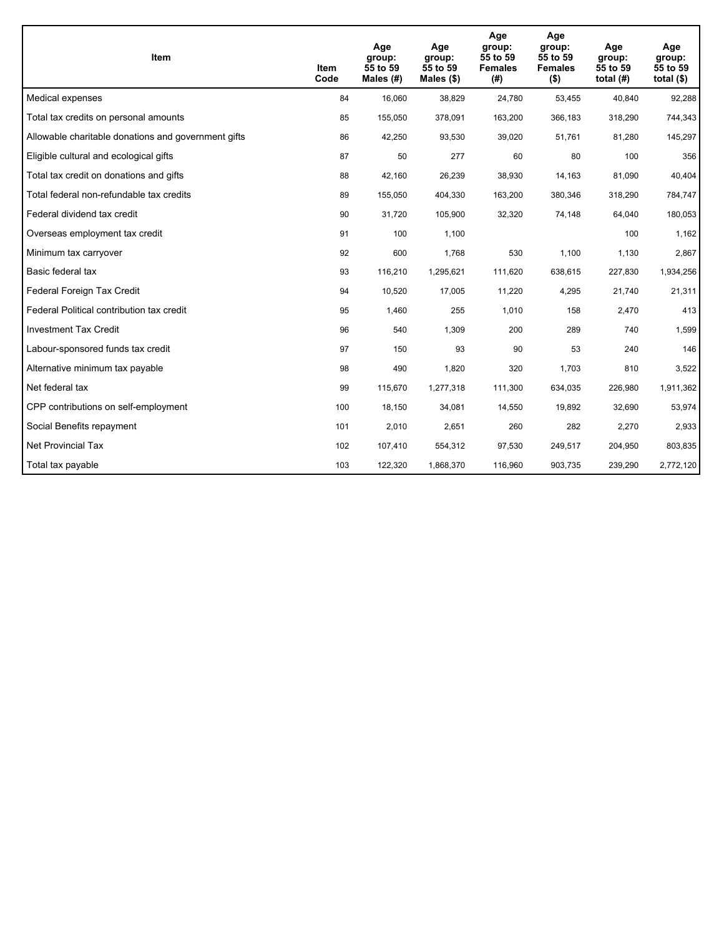| <b>Item</b>                                         | Item<br>Code | Age<br>group:<br>55 to 59<br>Males (#) | Age<br>group:<br>55 to 59<br>Males $(\$)$ | Age<br>group:<br>55 to 59<br><b>Females</b><br>(#) | Age<br>group:<br>55 to 59<br><b>Females</b><br>$($ \$) | Age<br>group:<br>55 to 59<br>total $(H)$ | Age<br>group:<br>55 to 59<br>total $($)$ |
|-----------------------------------------------------|--------------|----------------------------------------|-------------------------------------------|----------------------------------------------------|--------------------------------------------------------|------------------------------------------|------------------------------------------|
| Medical expenses                                    | 84           | 16,060                                 | 38,829                                    | 24,780                                             | 53,455                                                 | 40,840                                   | 92,288                                   |
| Total tax credits on personal amounts               | 85           | 155,050                                | 378,091                                   | 163,200                                            | 366,183                                                | 318,290                                  | 744,343                                  |
| Allowable charitable donations and government gifts | 86           | 42,250                                 | 93,530                                    | 39,020                                             | 51,761                                                 | 81,280                                   | 145,297                                  |
| Eligible cultural and ecological gifts              | 87           | 50                                     | 277                                       | 60                                                 | 80                                                     | 100                                      | 356                                      |
| Total tax credit on donations and gifts             | 88           | 42,160                                 | 26,239                                    | 38,930                                             | 14,163                                                 | 81,090                                   | 40,404                                   |
| Total federal non-refundable tax credits            | 89           | 155,050                                | 404,330                                   | 163,200                                            | 380,346                                                | 318,290                                  | 784,747                                  |
| Federal dividend tax credit                         | 90           | 31,720                                 | 105,900                                   | 32,320                                             | 74,148                                                 | 64,040                                   | 180,053                                  |
| Overseas employment tax credit                      | 91           | 100                                    | 1,100                                     |                                                    |                                                        | 100                                      | 1,162                                    |
| Minimum tax carryover                               | 92           | 600                                    | 1,768                                     | 530                                                | 1,100                                                  | 1,130                                    | 2,867                                    |
| Basic federal tax                                   | 93           | 116,210                                | 1,295,621                                 | 111,620                                            | 638.615                                                | 227,830                                  | 1,934,256                                |
| Federal Foreign Tax Credit                          | 94           | 10,520                                 | 17,005                                    | 11,220                                             | 4,295                                                  | 21,740                                   | 21,311                                   |
| Federal Political contribution tax credit           | 95           | 1,460                                  | 255                                       | 1,010                                              | 158                                                    | 2,470                                    | 413                                      |
| <b>Investment Tax Credit</b>                        | 96           | 540                                    | 1,309                                     | 200                                                | 289                                                    | 740                                      | 1,599                                    |
| Labour-sponsored funds tax credit                   | 97           | 150                                    | 93                                        | 90                                                 | 53                                                     | 240                                      | 146                                      |
| Alternative minimum tax payable                     | 98           | 490                                    | 1,820                                     | 320                                                | 1,703                                                  | 810                                      | 3,522                                    |
| Net federal tax                                     | 99           | 115,670                                | 1,277,318                                 | 111,300                                            | 634,035                                                | 226,980                                  | 1,911,362                                |
| CPP contributions on self-employment                | 100          | 18,150                                 | 34,081                                    | 14,550                                             | 19,892                                                 | 32,690                                   | 53,974                                   |
| Social Benefits repayment                           | 101          | 2,010                                  | 2,651                                     | 260                                                | 282                                                    | 2,270                                    | 2,933                                    |
| <b>Net Provincial Tax</b>                           | 102          | 107,410                                | 554,312                                   | 97,530                                             | 249,517                                                | 204,950                                  | 803,835                                  |
| Total tax payable                                   | 103          | 122,320                                | 1,868,370                                 | 116,960                                            | 903,735                                                | 239,290                                  | 2,772,120                                |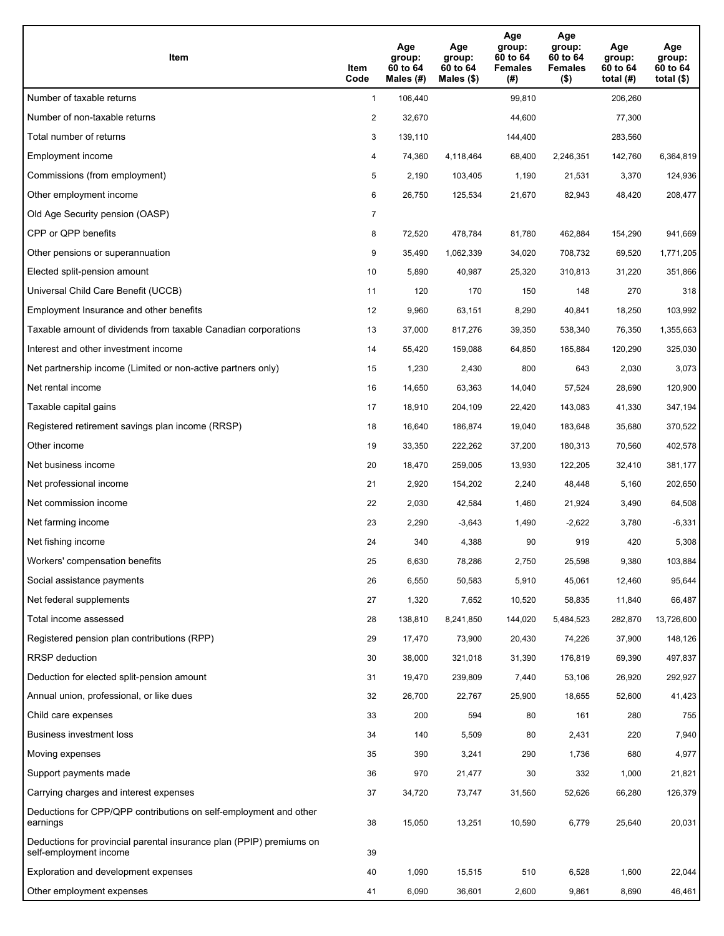| Item                                                                                           | Item<br>Code   | Age<br>group:<br>60 to 64<br>Males $(H)$ | Age<br>group:<br>60 to 64<br>Males (\$) | Age<br>group:<br>60 to 64<br><b>Females</b><br>(#) | Age<br>group:<br>60 to 64<br><b>Females</b><br>$($ \$) | Age<br>group:<br>60 to 64<br>total $(H)$ | Age<br>group:<br>60 to 64<br>total $($)$ |
|------------------------------------------------------------------------------------------------|----------------|------------------------------------------|-----------------------------------------|----------------------------------------------------|--------------------------------------------------------|------------------------------------------|------------------------------------------|
| Number of taxable returns                                                                      | $\mathbf{1}$   | 106,440                                  |                                         | 99,810                                             |                                                        | 206,260                                  |                                          |
| Number of non-taxable returns                                                                  | $\overline{2}$ | 32,670                                   |                                         | 44,600                                             |                                                        | 77,300                                   |                                          |
| Total number of returns                                                                        | 3              | 139,110                                  |                                         | 144,400                                            |                                                        | 283,560                                  |                                          |
| Employment income                                                                              | 4              | 74,360                                   | 4,118,464                               | 68,400                                             | 2,246,351                                              | 142,760                                  | 6,364,819                                |
| Commissions (from employment)                                                                  | 5              | 2,190                                    | 103,405                                 | 1,190                                              | 21,531                                                 | 3,370                                    | 124,936                                  |
| Other employment income                                                                        | 6              | 26,750                                   | 125,534                                 | 21,670                                             | 82,943                                                 | 48,420                                   | 208,477                                  |
| Old Age Security pension (OASP)                                                                | $\overline{7}$ |                                          |                                         |                                                    |                                                        |                                          |                                          |
| CPP or QPP benefits                                                                            | 8              | 72,520                                   | 478,784                                 | 81,780                                             | 462,884                                                | 154,290                                  | 941,669                                  |
| Other pensions or superannuation                                                               | 9              | 35,490                                   | 1,062,339                               | 34,020                                             | 708,732                                                | 69,520                                   | 1,771,205                                |
| Elected split-pension amount                                                                   | 10             | 5,890                                    | 40,987                                  | 25,320                                             | 310,813                                                | 31,220                                   | 351,866                                  |
| Universal Child Care Benefit (UCCB)                                                            | 11             | 120                                      | 170                                     | 150                                                | 148                                                    | 270                                      | 318                                      |
| Employment Insurance and other benefits                                                        | 12             | 9,960                                    | 63,151                                  | 8,290                                              | 40,841                                                 | 18,250                                   | 103,992                                  |
| Taxable amount of dividends from taxable Canadian corporations                                 | 13             | 37,000                                   | 817,276                                 | 39,350                                             | 538,340                                                | 76,350                                   | 1,355,663                                |
| Interest and other investment income                                                           | 14             | 55,420                                   | 159,088                                 | 64,850                                             | 165,884                                                | 120,290                                  | 325,030                                  |
| Net partnership income (Limited or non-active partners only)                                   | 15             | 1,230                                    | 2,430                                   | 800                                                | 643                                                    | 2,030                                    | 3,073                                    |
| Net rental income                                                                              | 16             | 14,650                                   | 63,363                                  | 14,040                                             | 57,524                                                 | 28,690                                   | 120,900                                  |
| Taxable capital gains                                                                          | 17             | 18,910                                   | 204,109                                 | 22,420                                             | 143,083                                                | 41,330                                   | 347,194                                  |
| Registered retirement savings plan income (RRSP)                                               | 18             | 16,640                                   | 186,874                                 | 19,040                                             | 183,648                                                | 35,680                                   | 370,522                                  |
| Other income                                                                                   | 19             | 33,350                                   | 222,262                                 | 37,200                                             | 180,313                                                | 70,560                                   | 402,578                                  |
| Net business income                                                                            | 20             | 18,470                                   | 259,005                                 | 13,930                                             | 122,205                                                | 32,410                                   | 381,177                                  |
| Net professional income                                                                        | 21             | 2,920                                    | 154,202                                 | 2,240                                              | 48,448                                                 | 5,160                                    | 202,650                                  |
| Net commission income                                                                          | 22             | 2,030                                    | 42,584                                  | 1,460                                              | 21,924                                                 | 3,490                                    | 64,508                                   |
| Net farming income                                                                             | 23             | 2,290                                    | $-3,643$                                | 1,490                                              | $-2,622$                                               | 3,780                                    | $-6,331$                                 |
| Net fishing income                                                                             | 24             | 340                                      | 4,388                                   | 90                                                 | 919                                                    | 420                                      | 5,308                                    |
| Workers' compensation benefits                                                                 | 25             | 6,630                                    | 78,286                                  | 2,750                                              | 25,598                                                 | 9,380                                    | 103,884                                  |
| Social assistance payments                                                                     | 26             | 6,550                                    | 50,583                                  | 5,910                                              | 45,061                                                 | 12,460                                   | 95,644                                   |
| Net federal supplements                                                                        | 27             | 1,320                                    | 7,652                                   | 10,520                                             | 58,835                                                 | 11,840                                   | 66,487                                   |
| Total income assessed                                                                          | 28             | 138,810                                  | 8,241,850                               | 144,020                                            | 5,484,523                                              | 282,870                                  | 13,726,600                               |
| Registered pension plan contributions (RPP)                                                    | 29             | 17,470                                   | 73,900                                  | 20,430                                             | 74,226                                                 | 37,900                                   | 148,126                                  |
| RRSP deduction                                                                                 | 30             | 38,000                                   | 321,018                                 | 31,390                                             | 176,819                                                | 69,390                                   | 497,837                                  |
| Deduction for elected split-pension amount                                                     | 31             | 19,470                                   | 239,809                                 | 7,440                                              | 53,106                                                 | 26,920                                   | 292,927                                  |
| Annual union, professional, or like dues                                                       | 32             | 26,700                                   | 22,767                                  | 25,900                                             | 18,655                                                 | 52,600                                   | 41,423                                   |
| Child care expenses                                                                            | 33             | 200                                      | 594                                     | 80                                                 | 161                                                    | 280                                      | 755                                      |
| Business investment loss                                                                       | 34             | 140                                      | 5,509                                   | 80                                                 | 2,431                                                  | 220                                      | 7,940                                    |
| Moving expenses                                                                                | 35             | 390                                      | 3,241                                   | 290                                                | 1,736                                                  | 680                                      | 4,977                                    |
| Support payments made                                                                          | 36             | 970                                      | 21,477                                  | 30                                                 | 332                                                    | 1,000                                    | 21,821                                   |
| Carrying charges and interest expenses                                                         | 37             | 34,720                                   | 73,747                                  | 31,560                                             | 52,626                                                 | 66,280                                   | 126,379                                  |
| Deductions for CPP/QPP contributions on self-employment and other<br>earnings                  | 38             | 15,050                                   | 13,251                                  | 10,590                                             | 6,779                                                  | 25,640                                   | 20,031                                   |
| Deductions for provincial parental insurance plan (PPIP) premiums on<br>self-employment income | 39             |                                          |                                         |                                                    |                                                        |                                          |                                          |
| Exploration and development expenses                                                           | 40             | 1,090                                    | 15,515                                  | 510                                                | 6,528                                                  | 1,600                                    | 22,044                                   |
| Other employment expenses                                                                      | 41             | 6,090                                    | 36,601                                  | 2,600                                              | 9,861                                                  | 8,690                                    | 46,461                                   |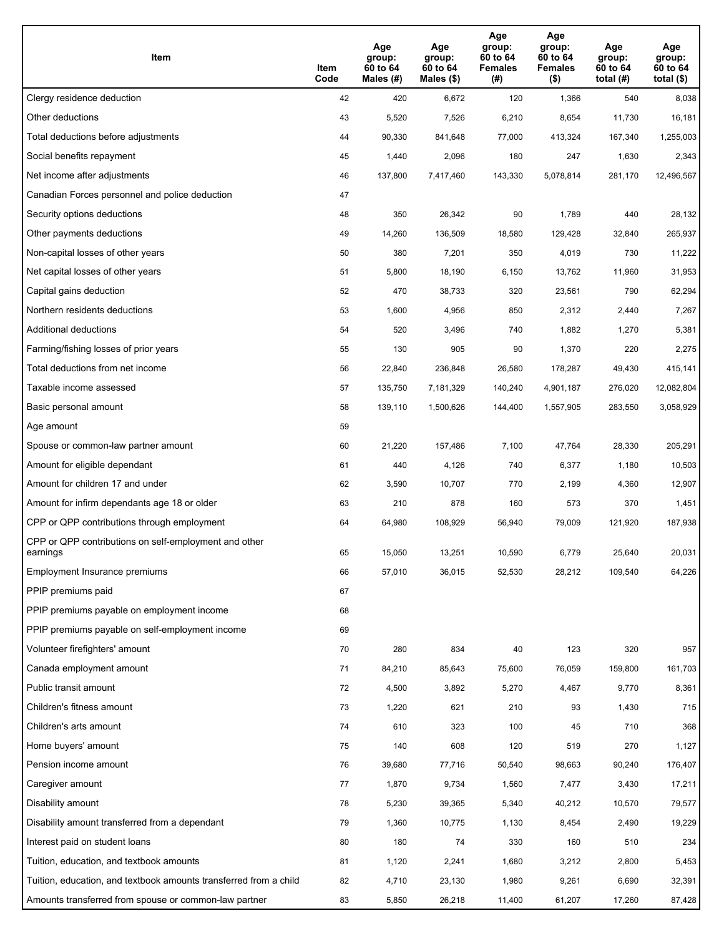| Item                                                              | Item<br>Code | Age<br>group:<br>60 to 64<br>Males (#) | Age<br>group:<br>60 to 64<br>Males (\$) | Age<br>group:<br>60 to 64<br><b>Females</b><br>(#) | Age<br>group:<br>60 to 64<br><b>Females</b><br>$($ \$) | Age<br>group:<br>60 to 64<br>total $(H)$ | Age<br>group:<br>60 to 64<br>total $($)$ |
|-------------------------------------------------------------------|--------------|----------------------------------------|-----------------------------------------|----------------------------------------------------|--------------------------------------------------------|------------------------------------------|------------------------------------------|
| Clergy residence deduction                                        | 42           | 420                                    | 6,672                                   | 120                                                | 1,366                                                  | 540                                      | 8,038                                    |
| Other deductions                                                  | 43           | 5,520                                  | 7,526                                   | 6,210                                              | 8,654                                                  | 11,730                                   | 16,181                                   |
| Total deductions before adjustments                               | 44           | 90,330                                 | 841,648                                 | 77,000                                             | 413,324                                                | 167,340                                  | 1,255,003                                |
| Social benefits repayment                                         | 45           | 1,440                                  | 2,096                                   | 180                                                | 247                                                    | 1,630                                    | 2,343                                    |
| Net income after adjustments                                      | 46           | 137,800                                | 7,417,460                               | 143,330                                            | 5,078,814                                              | 281,170                                  | 12,496,567                               |
| Canadian Forces personnel and police deduction                    | 47           |                                        |                                         |                                                    |                                                        |                                          |                                          |
| Security options deductions                                       | 48           | 350                                    | 26,342                                  | 90                                                 | 1,789                                                  | 440                                      | 28,132                                   |
| Other payments deductions                                         | 49           | 14,260                                 | 136,509                                 | 18,580                                             | 129,428                                                | 32,840                                   | 265,937                                  |
| Non-capital losses of other years                                 | 50           | 380                                    | 7,201                                   | 350                                                | 4,019                                                  | 730                                      | 11,222                                   |
| Net capital losses of other years                                 | 51           | 5,800                                  | 18,190                                  | 6,150                                              | 13,762                                                 | 11,960                                   | 31,953                                   |
| Capital gains deduction                                           | 52           | 470                                    | 38,733                                  | 320                                                | 23,561                                                 | 790                                      | 62,294                                   |
| Northern residents deductions                                     | 53           | 1,600                                  | 4,956                                   | 850                                                | 2,312                                                  | 2,440                                    | 7,267                                    |
| Additional deductions                                             | 54           | 520                                    | 3,496                                   | 740                                                | 1,882                                                  | 1,270                                    | 5,381                                    |
| Farming/fishing losses of prior years                             | 55           | 130                                    | 905                                     | 90                                                 | 1,370                                                  | 220                                      | 2,275                                    |
| Total deductions from net income                                  | 56           | 22,840                                 | 236,848                                 | 26,580                                             | 178,287                                                | 49,430                                   | 415,141                                  |
| Taxable income assessed                                           | 57           | 135,750                                | 7,181,329                               | 140,240                                            | 4,901,187                                              | 276,020                                  | 12,082,804                               |
| Basic personal amount                                             | 58           | 139,110                                | 1,500,626                               | 144,400                                            | 1,557,905                                              | 283,550                                  | 3,058,929                                |
| Age amount                                                        | 59           |                                        |                                         |                                                    |                                                        |                                          |                                          |
| Spouse or common-law partner amount                               | 60           | 21,220                                 | 157,486                                 | 7,100                                              | 47,764                                                 | 28,330                                   | 205,291                                  |
| Amount for eligible dependant                                     | 61           | 440                                    | 4,126                                   | 740                                                | 6,377                                                  | 1,180                                    | 10,503                                   |
| Amount for children 17 and under                                  | 62           | 3,590                                  | 10,707                                  | 770                                                | 2,199                                                  | 4,360                                    | 12,907                                   |
| Amount for infirm dependants age 18 or older                      | 63           | 210                                    | 878                                     | 160                                                | 573                                                    | 370                                      | 1,451                                    |
| CPP or QPP contributions through employment                       | 64           | 64,980                                 | 108,929                                 | 56,940                                             | 79,009                                                 | 121,920                                  | 187,938                                  |
| CPP or QPP contributions on self-employment and other<br>earnings | 65           | 15,050                                 | 13,251                                  | 10,590                                             | 6,779                                                  | 25,640                                   | 20,031                                   |
| Employment Insurance premiums                                     | 66           | 57,010                                 | 36,015                                  | 52,530                                             | 28,212                                                 | 109,540                                  | 64,226                                   |
| PPIP premiums paid                                                | 67           |                                        |                                         |                                                    |                                                        |                                          |                                          |
| PPIP premiums payable on employment income                        | 68           |                                        |                                         |                                                    |                                                        |                                          |                                          |
| PPIP premiums payable on self-employment income                   | 69           |                                        |                                         |                                                    |                                                        |                                          |                                          |
| Volunteer firefighters' amount                                    | 70           | 280                                    | 834                                     | 40                                                 | 123                                                    | 320                                      | 957                                      |
| Canada employment amount                                          | 71           | 84,210                                 | 85,643                                  | 75,600                                             | 76,059                                                 | 159,800                                  | 161,703                                  |
| Public transit amount                                             | 72           | 4,500                                  | 3,892                                   | 5,270                                              | 4,467                                                  | 9,770                                    | 8,361                                    |
| Children's fitness amount                                         | 73           | 1,220                                  | 621                                     | 210                                                | 93                                                     | 1,430                                    | 715                                      |
| Children's arts amount                                            | 74           | 610                                    | 323                                     | 100                                                | 45                                                     | 710                                      | 368                                      |
| Home buyers' amount                                               | 75           | 140                                    | 608                                     | 120                                                | 519                                                    | 270                                      | 1,127                                    |
| Pension income amount                                             | 76           | 39,680                                 | 77,716                                  | 50,540                                             | 98,663                                                 | 90,240                                   | 176,407                                  |
| Caregiver amount                                                  | 77           | 1,870                                  | 9,734                                   | 1,560                                              | 7,477                                                  | 3,430                                    | 17,211                                   |
| Disability amount                                                 | 78           | 5,230                                  | 39,365                                  | 5,340                                              | 40,212                                                 | 10,570                                   | 79,577                                   |
| Disability amount transferred from a dependant                    | 79           | 1,360                                  | 10,775                                  | 1,130                                              | 8,454                                                  | 2,490                                    | 19,229                                   |
| Interest paid on student loans                                    | 80           | 180                                    | 74                                      | 330                                                | 160                                                    | 510                                      | 234                                      |
| Tuition, education, and textbook amounts                          | 81           | 1,120                                  | 2,241                                   | 1,680                                              | 3,212                                                  | 2,800                                    | 5,453                                    |
| Tuition, education, and textbook amounts transferred from a child | 82           | 4,710                                  | 23,130                                  | 1,980                                              | 9,261                                                  | 6,690                                    | 32,391                                   |
| Amounts transferred from spouse or common-law partner             | 83           | 5,850                                  | 26,218                                  | 11,400                                             | 61,207                                                 | 17,260                                   | 87,428                                   |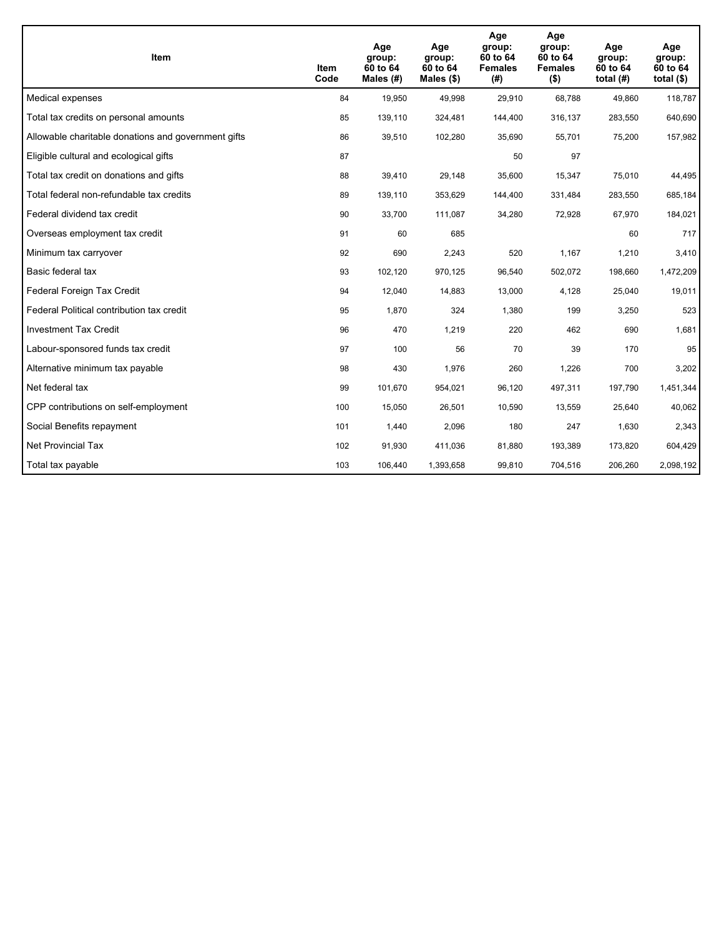| <b>Item</b>                                         | Item<br>Code | Age<br>group:<br>60 to 64<br>Males (#) | Age<br>group:<br>60 to 64<br>Males $(\$)$ | Age<br>group:<br>60 to 64<br><b>Females</b><br>(#) | Age<br>group:<br>60 to 64<br><b>Females</b><br>$($ \$) | Age<br>group:<br>60 to 64<br>total $(H)$ | Age<br>group:<br>60 to 64<br>total $($)$ |
|-----------------------------------------------------|--------------|----------------------------------------|-------------------------------------------|----------------------------------------------------|--------------------------------------------------------|------------------------------------------|------------------------------------------|
| Medical expenses                                    | 84           | 19,950                                 | 49,998                                    | 29,910                                             | 68,788                                                 | 49,860                                   | 118,787                                  |
| Total tax credits on personal amounts               | 85           | 139,110                                | 324,481                                   | 144,400                                            | 316,137                                                | 283,550                                  | 640,690                                  |
| Allowable charitable donations and government gifts | 86           | 39,510                                 | 102,280                                   | 35,690                                             | 55,701                                                 | 75,200                                   | 157,982                                  |
| Eligible cultural and ecological gifts              | 87           |                                        |                                           | 50                                                 | 97                                                     |                                          |                                          |
| Total tax credit on donations and gifts             | 88           | 39,410                                 | 29,148                                    | 35,600                                             | 15,347                                                 | 75,010                                   | 44,495                                   |
| Total federal non-refundable tax credits            | 89           | 139,110                                | 353,629                                   | 144,400                                            | 331,484                                                | 283,550                                  | 685,184                                  |
| Federal dividend tax credit                         | 90           | 33,700                                 | 111,087                                   | 34,280                                             | 72,928                                                 | 67,970                                   | 184,021                                  |
| Overseas employment tax credit                      | 91           | 60                                     | 685                                       |                                                    |                                                        | 60                                       | 717                                      |
| Minimum tax carryover                               | 92           | 690                                    | 2,243                                     | 520                                                | 1,167                                                  | 1,210                                    | 3,410                                    |
| Basic federal tax                                   | 93           | 102,120                                | 970,125                                   | 96,540                                             | 502,072                                                | 198,660                                  | 1,472,209                                |
| Federal Foreign Tax Credit                          | 94           | 12,040                                 | 14,883                                    | 13,000                                             | 4,128                                                  | 25,040                                   | 19,011                                   |
| Federal Political contribution tax credit           | 95           | 1,870                                  | 324                                       | 1,380                                              | 199                                                    | 3,250                                    | 523                                      |
| <b>Investment Tax Credit</b>                        | 96           | 470                                    | 1,219                                     | 220                                                | 462                                                    | 690                                      | 1,681                                    |
| Labour-sponsored funds tax credit                   | 97           | 100                                    | 56                                        | 70                                                 | 39                                                     | 170                                      | 95                                       |
| Alternative minimum tax payable                     | 98           | 430                                    | 1,976                                     | 260                                                | 1,226                                                  | 700                                      | 3,202                                    |
| Net federal tax                                     | 99           | 101,670                                | 954,021                                   | 96,120                                             | 497,311                                                | 197,790                                  | 1,451,344                                |
| CPP contributions on self-employment                | 100          | 15,050                                 | 26,501                                    | 10,590                                             | 13,559                                                 | 25,640                                   | 40,062                                   |
| Social Benefits repayment                           | 101          | 1,440                                  | 2,096                                     | 180                                                | 247                                                    | 1,630                                    | 2,343                                    |
| Net Provincial Tax                                  | 102          | 91,930                                 | 411,036                                   | 81,880                                             | 193,389                                                | 173,820                                  | 604,429                                  |
| Total tax payable                                   | 103          | 106,440                                | 1,393,658                                 | 99,810                                             | 704,516                                                | 206,260                                  | 2,098,192                                |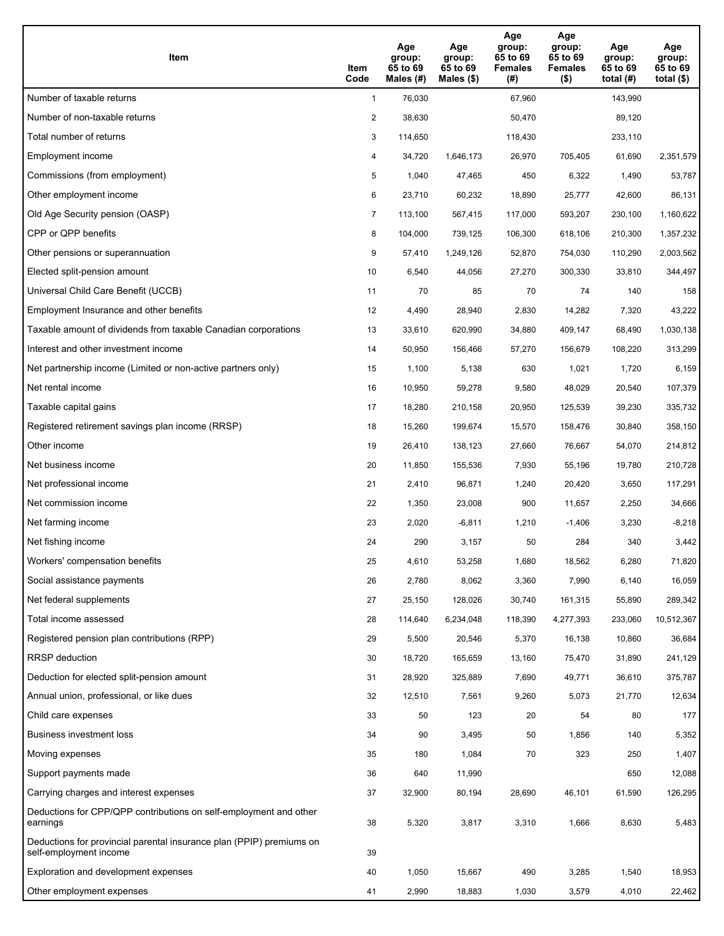| <b>Item</b>                                                                                    | Item<br>Code   | Age<br>group:<br>65 to 69<br>Males $(H)$ | Age<br>group:<br>65 to 69<br>Males (\$) | Age<br>group:<br>65 to 69<br><b>Females</b><br>(#) | Age<br>group:<br>65 to 69<br><b>Females</b><br>$($ \$) | Age<br>group:<br>65 to 69<br>total $(H)$ | Age<br>group:<br>65 to 69<br>total $(\$)$ |
|------------------------------------------------------------------------------------------------|----------------|------------------------------------------|-----------------------------------------|----------------------------------------------------|--------------------------------------------------------|------------------------------------------|-------------------------------------------|
| Number of taxable returns                                                                      | $\mathbf{1}$   | 76,030                                   |                                         | 67,960                                             |                                                        | 143,990                                  |                                           |
| Number of non-taxable returns                                                                  | $\overline{2}$ | 38,630                                   |                                         | 50,470                                             |                                                        | 89,120                                   |                                           |
| Total number of returns                                                                        | 3              | 114,650                                  |                                         | 118,430                                            |                                                        | 233,110                                  |                                           |
| Employment income                                                                              | 4              | 34,720                                   | 1.646.173                               | 26,970                                             | 705.405                                                | 61,690                                   | 2,351,579                                 |
| Commissions (from employment)                                                                  | 5              | 1,040                                    | 47,465                                  | 450                                                | 6,322                                                  | 1,490                                    | 53,787                                    |
| Other employment income                                                                        | 6              | 23,710                                   | 60,232                                  | 18,890                                             | 25,777                                                 | 42,600                                   | 86,131                                    |
| Old Age Security pension (OASP)                                                                | $\overline{7}$ | 113,100                                  | 567,415                                 | 117,000                                            | 593,207                                                | 230,100                                  | 1,160,622                                 |
| CPP or QPP benefits                                                                            | 8              | 104,000                                  | 739,125                                 | 106,300                                            | 618,106                                                | 210,300                                  | 1,357,232                                 |
| Other pensions or superannuation                                                               | 9              | 57,410                                   | 1,249,126                               | 52,870                                             | 754,030                                                | 110,290                                  | 2,003,562                                 |
| Elected split-pension amount                                                                   | 10             | 6,540                                    | 44,056                                  | 27,270                                             | 300,330                                                | 33,810                                   | 344,497                                   |
| Universal Child Care Benefit (UCCB)                                                            | 11             | 70                                       | 85                                      | 70                                                 | 74                                                     | 140                                      | 158                                       |
| Employment Insurance and other benefits                                                        | 12             | 4,490                                    | 28,940                                  | 2,830                                              | 14,282                                                 | 7,320                                    | 43,222                                    |
| Taxable amount of dividends from taxable Canadian corporations                                 | 13             | 33,610                                   | 620,990                                 | 34,880                                             | 409,147                                                | 68,490                                   | 1,030,138                                 |
| Interest and other investment income                                                           | 14             | 50,950                                   | 156,466                                 | 57,270                                             | 156,679                                                | 108,220                                  | 313,299                                   |
| Net partnership income (Limited or non-active partners only)                                   | 15             | 1,100                                    | 5,138                                   | 630                                                | 1,021                                                  | 1,720                                    | 6,159                                     |
| Net rental income                                                                              | 16             | 10,950                                   | 59,278                                  | 9,580                                              | 48,029                                                 | 20,540                                   | 107,379                                   |
| Taxable capital gains                                                                          | 17             | 18,280                                   | 210,158                                 | 20,950                                             | 125,539                                                | 39,230                                   | 335,732                                   |
| Registered retirement savings plan income (RRSP)                                               | 18             | 15,260                                   | 199,674                                 | 15,570                                             | 158,476                                                | 30,840                                   | 358,150                                   |
| Other income                                                                                   | 19             | 26,410                                   | 138,123                                 | 27,660                                             | 76,667                                                 | 54,070                                   | 214,812                                   |
| Net business income                                                                            | 20             | 11,850                                   | 155,536                                 | 7,930                                              | 55,196                                                 | 19,780                                   | 210,728                                   |
| Net professional income                                                                        | 21             | 2,410                                    | 96,871                                  | 1,240                                              | 20,420                                                 | 3,650                                    | 117,291                                   |
| Net commission income                                                                          | 22             | 1,350                                    | 23,008                                  | 900                                                | 11,657                                                 | 2,250                                    | 34,666                                    |
| Net farming income                                                                             | 23             | 2,020                                    | $-6,811$                                | 1,210                                              | $-1,406$                                               | 3,230                                    | $-8,218$                                  |
| Net fishing income                                                                             | 24             | 290                                      | 3,157                                   | 50                                                 | 284                                                    | 340                                      | 3,442                                     |
| Workers' compensation benefits                                                                 | 25             | 4,610                                    | 53,258                                  | 1,680                                              | 18,562                                                 | 6,280                                    | 71,820                                    |
| Social assistance payments                                                                     | 26             | 2,780                                    | 8,062                                   | 3,360                                              | 7,990                                                  | 6,140                                    | 16,059                                    |
| Net federal supplements                                                                        | 27             | 25,150                                   | 128,026                                 | 30,740                                             | 161,315                                                | 55,890                                   | 289,342                                   |
| Total income assessed                                                                          | 28             | 114,640                                  | 6,234,048                               | 118,390                                            | 4,277,393                                              | 233,060                                  | 10,512,367                                |
| Registered pension plan contributions (RPP)                                                    | 29             | 5,500                                    | 20,546                                  | 5,370                                              | 16,138                                                 | 10,860                                   | 36,684                                    |
| RRSP deduction                                                                                 | 30             | 18,720                                   | 165,659                                 | 13,160                                             | 75,470                                                 | 31,890                                   | 241,129                                   |
| Deduction for elected split-pension amount                                                     | 31             | 28,920                                   | 325,889                                 | 7,690                                              | 49,771                                                 | 36,610                                   | 375,787                                   |
| Annual union, professional, or like dues                                                       | 32             | 12,510                                   | 7,561                                   | 9,260                                              | 5,073                                                  | 21,770                                   | 12,634                                    |
| Child care expenses                                                                            | 33             | 50                                       | 123                                     | 20                                                 | 54                                                     | 80                                       | 177                                       |
| Business investment loss                                                                       | 34             | 90                                       | 3,495                                   | 50                                                 | 1,856                                                  | 140                                      | 5,352                                     |
| Moving expenses                                                                                | 35             | 180                                      | 1,084                                   | 70                                                 | 323                                                    | 250                                      | 1,407                                     |
| Support payments made                                                                          | 36             | 640                                      | 11,990                                  |                                                    |                                                        | 650                                      | 12,088                                    |
| Carrying charges and interest expenses                                                         | 37             | 32,900                                   | 80,194                                  | 28,690                                             | 46,101                                                 | 61,590                                   | 126,295                                   |
| Deductions for CPP/QPP contributions on self-employment and other<br>earnings                  | 38             | 5,320                                    | 3,817                                   | 3,310                                              | 1,666                                                  | 8,630                                    | 5,483                                     |
| Deductions for provincial parental insurance plan (PPIP) premiums on<br>self-employment income | 39             |                                          |                                         |                                                    |                                                        |                                          |                                           |
| Exploration and development expenses                                                           | 40             | 1,050                                    | 15,667                                  | 490                                                | 3,285                                                  | 1,540                                    | 18,953                                    |
| Other employment expenses                                                                      | 41             | 2,990                                    | 18,883                                  | 1,030                                              | 3,579                                                  | 4,010                                    | 22,462                                    |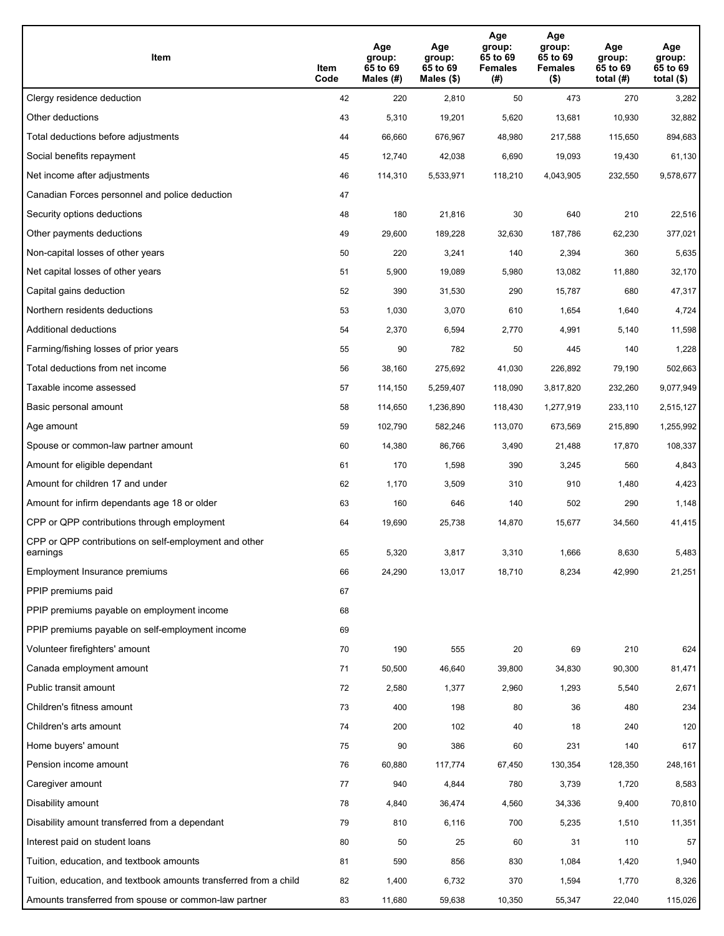| Item                                                              | Item<br>Code | Age<br>group:<br>65 to 69<br>Males (#) | Age<br>group:<br>65 to 69<br>Males (\$) | Age<br>group:<br>65 to 69<br><b>Females</b><br>(# ) | Age<br>group:<br>65 to 69<br><b>Females</b><br>$($ \$) | Age<br>group:<br>65 to 69<br>total $(H)$ | Age<br>group:<br>65 to 69<br>total $($)$ |
|-------------------------------------------------------------------|--------------|----------------------------------------|-----------------------------------------|-----------------------------------------------------|--------------------------------------------------------|------------------------------------------|------------------------------------------|
| Clergy residence deduction                                        | 42           | 220                                    | 2,810                                   | 50                                                  | 473                                                    | 270                                      | 3,282                                    |
| Other deductions                                                  | 43           | 5,310                                  | 19,201                                  | 5,620                                               | 13,681                                                 | 10,930                                   | 32,882                                   |
| Total deductions before adjustments                               | 44           | 66,660                                 | 676,967                                 | 48,980                                              | 217,588                                                | 115,650                                  | 894,683                                  |
| Social benefits repayment                                         | 45           | 12,740                                 | 42,038                                  | 6,690                                               | 19,093                                                 | 19,430                                   | 61,130                                   |
| Net income after adjustments                                      | 46           | 114,310                                | 5,533,971                               | 118,210                                             | 4,043,905                                              | 232,550                                  | 9,578,677                                |
| Canadian Forces personnel and police deduction                    | 47           |                                        |                                         |                                                     |                                                        |                                          |                                          |
| Security options deductions                                       | 48           | 180                                    | 21,816                                  | 30                                                  | 640                                                    | 210                                      | 22,516                                   |
| Other payments deductions                                         | 49           | 29,600                                 | 189,228                                 | 32,630                                              | 187,786                                                | 62,230                                   | 377,021                                  |
| Non-capital losses of other years                                 | 50           | 220                                    | 3,241                                   | 140                                                 | 2,394                                                  | 360                                      | 5,635                                    |
| Net capital losses of other years                                 | 51           | 5,900                                  | 19,089                                  | 5,980                                               | 13,082                                                 | 11,880                                   | 32,170                                   |
| Capital gains deduction                                           | 52           | 390                                    | 31,530                                  | 290                                                 | 15,787                                                 | 680                                      | 47,317                                   |
| Northern residents deductions                                     | 53           | 1,030                                  | 3,070                                   | 610                                                 | 1,654                                                  | 1,640                                    | 4,724                                    |
| Additional deductions                                             | 54           | 2,370                                  | 6,594                                   | 2,770                                               | 4,991                                                  | 5,140                                    | 11,598                                   |
| Farming/fishing losses of prior years                             | 55           | 90                                     | 782                                     | 50                                                  | 445                                                    | 140                                      | 1,228                                    |
| Total deductions from net income                                  | 56           | 38,160                                 | 275,692                                 | 41,030                                              | 226,892                                                | 79,190                                   | 502,663                                  |
| Taxable income assessed                                           | 57           | 114,150                                | 5,259,407                               | 118,090                                             | 3,817,820                                              | 232,260                                  | 9,077,949                                |
| Basic personal amount                                             | 58           | 114,650                                | 1,236,890                               | 118,430                                             | 1,277,919                                              | 233,110                                  | 2,515,127                                |
| Age amount                                                        | 59           | 102,790                                | 582,246                                 | 113,070                                             | 673,569                                                | 215,890                                  | 1,255,992                                |
| Spouse or common-law partner amount                               | 60           | 14,380                                 | 86,766                                  | 3,490                                               | 21,488                                                 | 17,870                                   | 108,337                                  |
| Amount for eligible dependant                                     | 61           | 170                                    | 1,598                                   | 390                                                 | 3,245                                                  | 560                                      | 4,843                                    |
| Amount for children 17 and under                                  | 62           | 1,170                                  | 3,509                                   | 310                                                 | 910                                                    | 1,480                                    | 4,423                                    |
| Amount for infirm dependants age 18 or older                      | 63           | 160                                    | 646                                     | 140                                                 | 502                                                    | 290                                      | 1,148                                    |
| CPP or QPP contributions through employment                       | 64           | 19,690                                 | 25,738                                  | 14,870                                              | 15,677                                                 | 34,560                                   | 41,415                                   |
| CPP or QPP contributions on self-employment and other<br>earnings | 65           | 5,320                                  | 3,817                                   | 3,310                                               | 1,666                                                  | 8,630                                    | 5,483                                    |
| Employment Insurance premiums                                     | 66           | 24,290                                 | 13,017                                  | 18,710                                              | 8,234                                                  | 42,990                                   | 21,251                                   |
| PPIP premiums paid                                                | 67           |                                        |                                         |                                                     |                                                        |                                          |                                          |
| PPIP premiums payable on employment income                        | 68           |                                        |                                         |                                                     |                                                        |                                          |                                          |
| PPIP premiums payable on self-employment income                   | 69           |                                        |                                         |                                                     |                                                        |                                          |                                          |
| Volunteer firefighters' amount                                    | 70           | 190                                    | 555                                     | 20                                                  | 69                                                     | 210                                      | 624                                      |
| Canada employment amount                                          | 71           | 50,500                                 | 46,640                                  | 39,800                                              | 34,830                                                 | 90,300                                   | 81,471                                   |
| Public transit amount                                             | 72           | 2,580                                  | 1,377                                   | 2,960                                               | 1,293                                                  | 5,540                                    | 2,671                                    |
| Children's fitness amount                                         | 73           | 400                                    | 198                                     | 80                                                  | 36                                                     | 480                                      | 234                                      |
| Children's arts amount                                            | 74           | 200                                    | 102                                     | 40                                                  | 18                                                     | 240                                      | 120                                      |
| Home buyers' amount                                               | 75           | 90                                     | 386                                     | 60                                                  | 231                                                    | 140                                      | 617                                      |
| Pension income amount                                             | 76           | 60,880                                 | 117,774                                 | 67,450                                              | 130,354                                                | 128,350                                  | 248,161                                  |
| Caregiver amount                                                  | 77           | 940                                    | 4,844                                   | 780                                                 | 3,739                                                  | 1,720                                    | 8,583                                    |
| Disability amount                                                 | 78           | 4,840                                  | 36,474                                  | 4,560                                               | 34,336                                                 | 9,400                                    | 70,810                                   |
| Disability amount transferred from a dependant                    | 79           | 810                                    | 6,116                                   | 700                                                 | 5,235                                                  | 1,510                                    | 11,351                                   |
| Interest paid on student loans                                    | 80           | 50                                     | 25                                      | 60                                                  | 31                                                     | 110                                      | 57                                       |
| Tuition, education, and textbook amounts                          | 81           | 590                                    | 856                                     | 830                                                 | 1,084                                                  | 1,420                                    | 1,940                                    |
| Tuition, education, and textbook amounts transferred from a child | 82           | 1,400                                  | 6,732                                   | 370                                                 | 1,594                                                  | 1,770                                    | 8,326                                    |
| Amounts transferred from spouse or common-law partner             | 83           | 11,680                                 | 59,638                                  | 10,350                                              | 55,347                                                 | 22,040                                   | 115,026                                  |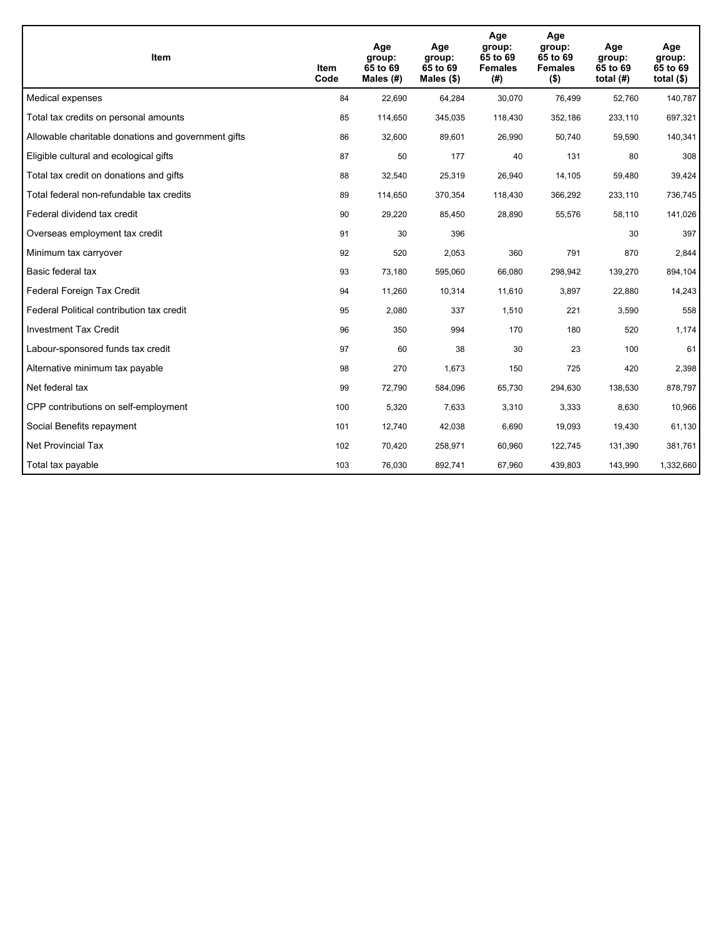| <b>Item</b>                                         | Item<br>Code | Age<br>group:<br>65 to 69<br>Males (#) | Age<br>group:<br>65 to 69<br>Males $(\$)$ | Age<br>group:<br>65 to 69<br><b>Females</b><br>(#) | Age<br>group:<br>65 to 69<br><b>Females</b><br>$($ \$) | Age<br>group:<br>65 to 69<br>total $(H)$ | Age<br>group:<br>65 to 69<br>total $($)$ |
|-----------------------------------------------------|--------------|----------------------------------------|-------------------------------------------|----------------------------------------------------|--------------------------------------------------------|------------------------------------------|------------------------------------------|
| Medical expenses                                    | 84           | 22,690                                 | 64,284                                    | 30,070                                             | 76,499                                                 | 52,760                                   | 140,787                                  |
| Total tax credits on personal amounts               | 85           | 114,650                                | 345,035                                   | 118,430                                            | 352,186                                                | 233,110                                  | 697,321                                  |
| Allowable charitable donations and government gifts | 86           | 32,600                                 | 89,601                                    | 26,990                                             | 50,740                                                 | 59,590                                   | 140,341                                  |
| Eligible cultural and ecological gifts              | 87           | 50                                     | 177                                       | 40                                                 | 131                                                    | 80                                       | 308                                      |
| Total tax credit on donations and gifts             | 88           | 32,540                                 | 25,319                                    | 26,940                                             | 14,105                                                 | 59,480                                   | 39,424                                   |
| Total federal non-refundable tax credits            | 89           | 114,650                                | 370,354                                   | 118,430                                            | 366,292                                                | 233,110                                  | 736,745                                  |
| Federal dividend tax credit                         | 90           | 29,220                                 | 85,450                                    | 28,890                                             | 55,576                                                 | 58,110                                   | 141,026                                  |
| Overseas employment tax credit                      | 91           | 30                                     | 396                                       |                                                    |                                                        | 30                                       | 397                                      |
| Minimum tax carryover                               | 92           | 520                                    | 2,053                                     | 360                                                | 791                                                    | 870                                      | 2,844                                    |
| Basic federal tax                                   | 93           | 73,180                                 | 595,060                                   | 66,080                                             | 298,942                                                | 139,270                                  | 894,104                                  |
| Federal Foreign Tax Credit                          | 94           | 11,260                                 | 10,314                                    | 11,610                                             | 3,897                                                  | 22,880                                   | 14,243                                   |
| Federal Political contribution tax credit           | 95           | 2,080                                  | 337                                       | 1,510                                              | 221                                                    | 3,590                                    | 558                                      |
| <b>Investment Tax Credit</b>                        | 96           | 350                                    | 994                                       | 170                                                | 180                                                    | 520                                      | 1,174                                    |
| Labour-sponsored funds tax credit                   | 97           | 60                                     | 38                                        | 30                                                 | 23                                                     | 100                                      | 61                                       |
| Alternative minimum tax payable                     | 98           | 270                                    | 1,673                                     | 150                                                | 725                                                    | 420                                      | 2,398                                    |
| Net federal tax                                     | 99           | 72,790                                 | 584,096                                   | 65,730                                             | 294,630                                                | 138,530                                  | 878,797                                  |
| CPP contributions on self-employment                | 100          | 5,320                                  | 7,633                                     | 3,310                                              | 3,333                                                  | 8,630                                    | 10,966                                   |
| Social Benefits repayment                           | 101          | 12,740                                 | 42,038                                    | 6,690                                              | 19,093                                                 | 19,430                                   | 61,130                                   |
| Net Provincial Tax                                  | 102          | 70,420                                 | 258,971                                   | 60,960                                             | 122,745                                                | 131,390                                  | 381,761                                  |
| Total tax payable                                   | 103          | 76,030                                 | 892,741                                   | 67,960                                             | 439,803                                                | 143,990                                  | 1,332,660                                |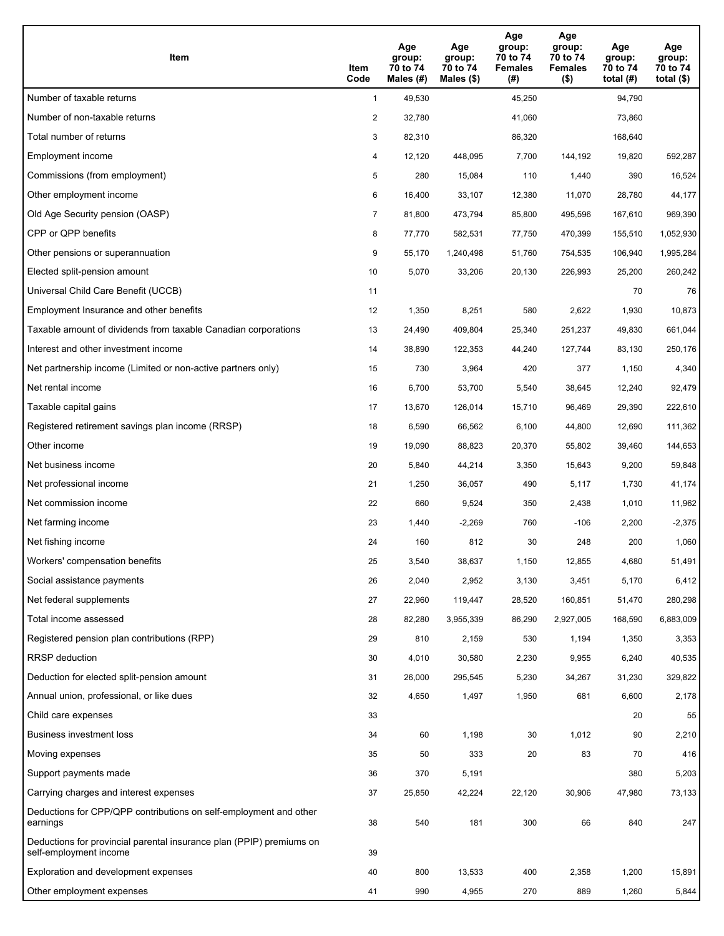| Item                                                                                           | Item<br>Code   | Age<br>group:<br>70 to 74<br>Males (#) | Age<br>group:<br>70 to 74<br>Males $(\$)$ | Age<br>group:<br>70 to 74<br><b>Females</b><br>(#) | Age<br>group:<br>70 to 74<br><b>Females</b><br>$($ \$) | Age<br>group:<br>70 to 74<br>total $(H)$ | Age<br>group:<br>70 to 74<br>total $($)$ |
|------------------------------------------------------------------------------------------------|----------------|----------------------------------------|-------------------------------------------|----------------------------------------------------|--------------------------------------------------------|------------------------------------------|------------------------------------------|
| Number of taxable returns                                                                      | $\mathbf{1}$   | 49,530                                 |                                           | 45,250                                             |                                                        | 94,790                                   |                                          |
| Number of non-taxable returns                                                                  | $\overline{2}$ | 32,780                                 |                                           | 41,060                                             |                                                        | 73,860                                   |                                          |
| Total number of returns                                                                        | 3              | 82,310                                 |                                           | 86,320                                             |                                                        | 168,640                                  |                                          |
| Employment income                                                                              | 4              | 12,120                                 | 448,095                                   | 7,700                                              | 144,192                                                | 19,820                                   | 592,287                                  |
| Commissions (from employment)                                                                  | 5              | 280                                    | 15,084                                    | 110                                                | 1,440                                                  | 390                                      | 16,524                                   |
| Other employment income                                                                        | 6              | 16,400                                 | 33,107                                    | 12,380                                             | 11,070                                                 | 28,780                                   | 44,177                                   |
| Old Age Security pension (OASP)                                                                | 7              | 81,800                                 | 473,794                                   | 85,800                                             | 495,596                                                | 167,610                                  | 969,390                                  |
| CPP or QPP benefits                                                                            | 8              | 77,770                                 | 582,531                                   | 77,750                                             | 470,399                                                | 155,510                                  | 1,052,930                                |
| Other pensions or superannuation                                                               | 9              | 55,170                                 | 1,240,498                                 | 51,760                                             | 754,535                                                | 106,940                                  | 1,995,284                                |
| Elected split-pension amount                                                                   | 10             | 5,070                                  | 33,206                                    | 20,130                                             | 226,993                                                | 25,200                                   | 260,242                                  |
| Universal Child Care Benefit (UCCB)                                                            | 11             |                                        |                                           |                                                    |                                                        | 70                                       | 76                                       |
| Employment Insurance and other benefits                                                        | 12             | 1,350                                  | 8,251                                     | 580                                                | 2,622                                                  | 1,930                                    | 10,873                                   |
| Taxable amount of dividends from taxable Canadian corporations                                 | 13             | 24,490                                 | 409,804                                   | 25,340                                             | 251,237                                                | 49,830                                   | 661,044                                  |
| Interest and other investment income                                                           | 14             | 38,890                                 | 122,353                                   | 44,240                                             | 127,744                                                | 83,130                                   | 250,176                                  |
| Net partnership income (Limited or non-active partners only)                                   | 15             | 730                                    | 3,964                                     | 420                                                | 377                                                    | 1,150                                    | 4,340                                    |
| Net rental income                                                                              | 16             | 6,700                                  | 53,700                                    | 5,540                                              | 38,645                                                 | 12,240                                   | 92,479                                   |
| Taxable capital gains                                                                          | 17             | 13,670                                 | 126,014                                   | 15,710                                             | 96,469                                                 | 29,390                                   | 222,610                                  |
| Registered retirement savings plan income (RRSP)                                               | 18             | 6,590                                  | 66,562                                    | 6,100                                              | 44,800                                                 | 12,690                                   | 111,362                                  |
| Other income                                                                                   | 19             | 19,090                                 | 88,823                                    | 20,370                                             | 55,802                                                 | 39,460                                   | 144,653                                  |
| Net business income                                                                            | 20             | 5,840                                  | 44,214                                    | 3,350                                              | 15,643                                                 | 9,200                                    | 59,848                                   |
| Net professional income                                                                        | 21             | 1,250                                  | 36,057                                    | 490                                                | 5,117                                                  | 1,730                                    | 41,174                                   |
| Net commission income                                                                          | 22             | 660                                    | 9,524                                     | 350                                                | 2,438                                                  | 1,010                                    | 11,962                                   |
| Net farming income                                                                             | 23             | 1,440                                  | $-2,269$                                  | 760                                                | $-106$                                                 | 2,200                                    | $-2,375$                                 |
| Net fishing income                                                                             | 24             | 160                                    | 812                                       | 30                                                 | 248                                                    | 200                                      | 1,060                                    |
| Workers' compensation benefits                                                                 | 25             | 3,540                                  | 38,637                                    | 1,150                                              | 12,855                                                 | 4,680                                    | 51,491                                   |
| Social assistance payments                                                                     | 26             | 2,040                                  | 2,952                                     | 3,130                                              | 3,451                                                  | 5,170                                    | 6,412                                    |
| Net federal supplements                                                                        | 27             | 22,960                                 | 119,447                                   | 28,520                                             | 160,851                                                | 51,470                                   | 280,298                                  |
| Total income assessed                                                                          | 28             | 82,280                                 | 3,955,339                                 | 86,290                                             | 2,927,005                                              | 168,590                                  | 6,883,009                                |
| Registered pension plan contributions (RPP)                                                    | 29             | 810                                    | 2,159                                     | 530                                                | 1,194                                                  | 1,350                                    | 3,353                                    |
| RRSP deduction                                                                                 | 30             | 4,010                                  | 30,580                                    | 2,230                                              | 9,955                                                  | 6,240                                    | 40,535                                   |
| Deduction for elected split-pension amount                                                     | 31             | 26,000                                 | 295,545                                   | 5,230                                              | 34,267                                                 | 31,230                                   | 329,822                                  |
| Annual union, professional, or like dues                                                       | 32             | 4,650                                  | 1,497                                     | 1,950                                              | 681                                                    | 6,600                                    | 2,178                                    |
| Child care expenses                                                                            | 33             |                                        |                                           |                                                    |                                                        | 20                                       | 55                                       |
| Business investment loss                                                                       | 34             | 60                                     | 1,198                                     | 30                                                 | 1,012                                                  | 90                                       | 2,210                                    |
| Moving expenses                                                                                | 35             | 50                                     | 333                                       | 20                                                 | 83                                                     | 70                                       | 416                                      |
| Support payments made                                                                          | 36             | 370                                    | 5,191                                     |                                                    |                                                        | 380                                      | 5,203                                    |
| Carrying charges and interest expenses                                                         | 37             | 25,850                                 | 42,224                                    | 22,120                                             | 30,906                                                 | 47,980                                   | 73,133                                   |
| Deductions for CPP/QPP contributions on self-employment and other<br>earnings                  | 38             | 540                                    | 181                                       | 300                                                | 66                                                     | 840                                      | 247                                      |
| Deductions for provincial parental insurance plan (PPIP) premiums on<br>self-employment income | 39             |                                        |                                           |                                                    |                                                        |                                          |                                          |
| Exploration and development expenses                                                           | 40             | 800                                    | 13,533                                    | 400                                                | 2,358                                                  | 1,200                                    | 15,891                                   |
| Other employment expenses                                                                      | 41             | 990                                    | 4,955                                     | 270                                                | 889                                                    | 1,260                                    | 5,844                                    |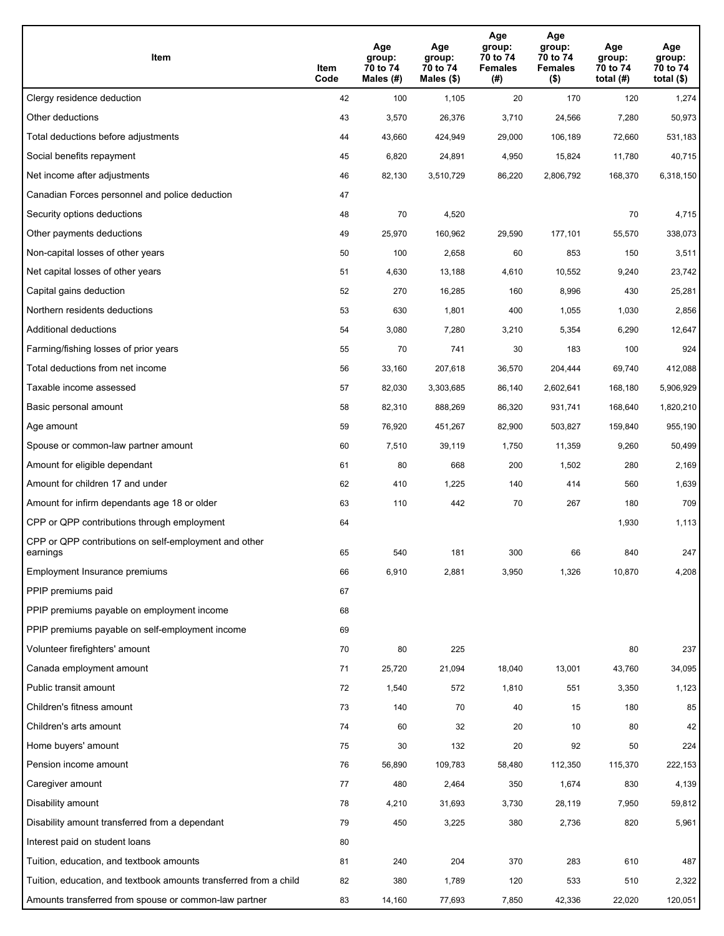| Item                                                              | Item<br>Code | Age<br>group:<br>70 to 74<br>Males (#) | Age<br>group:<br>70 to 74<br>Males (\$) | Age<br>group:<br>70 to 74<br><b>Females</b><br>(#) | Age<br>group:<br>70 to 74<br><b>Females</b><br>$($ \$) | Age<br>group:<br>70 to 74<br>total $(H)$ | Age<br>group:<br>70 to 74<br>total $($)$ |
|-------------------------------------------------------------------|--------------|----------------------------------------|-----------------------------------------|----------------------------------------------------|--------------------------------------------------------|------------------------------------------|------------------------------------------|
| Clergy residence deduction                                        | 42           | 100                                    | 1,105                                   | 20                                                 | 170                                                    | 120                                      | 1,274                                    |
| Other deductions                                                  | 43           | 3,570                                  | 26,376                                  | 3,710                                              | 24,566                                                 | 7,280                                    | 50,973                                   |
| Total deductions before adjustments                               | 44           | 43,660                                 | 424,949                                 | 29,000                                             | 106,189                                                | 72,660                                   | 531,183                                  |
| Social benefits repayment                                         | 45           | 6,820                                  | 24,891                                  | 4,950                                              | 15,824                                                 | 11,780                                   | 40,715                                   |
| Net income after adjustments                                      | 46           | 82,130                                 | 3,510,729                               | 86,220                                             | 2,806,792                                              | 168,370                                  | 6,318,150                                |
| Canadian Forces personnel and police deduction                    | 47           |                                        |                                         |                                                    |                                                        |                                          |                                          |
| Security options deductions                                       | 48           | 70                                     | 4,520                                   |                                                    |                                                        | 70                                       | 4,715                                    |
| Other payments deductions                                         | 49           | 25,970                                 | 160,962                                 | 29,590                                             | 177,101                                                | 55,570                                   | 338,073                                  |
| Non-capital losses of other years                                 | 50           | 100                                    | 2,658                                   | 60                                                 | 853                                                    | 150                                      | 3,511                                    |
| Net capital losses of other years                                 | 51           | 4,630                                  | 13,188                                  | 4,610                                              | 10,552                                                 | 9,240                                    | 23,742                                   |
| Capital gains deduction                                           | 52           | 270                                    | 16,285                                  | 160                                                | 8,996                                                  | 430                                      | 25,281                                   |
| Northern residents deductions                                     | 53           | 630                                    | 1,801                                   | 400                                                | 1,055                                                  | 1,030                                    | 2,856                                    |
| Additional deductions                                             | 54           | 3,080                                  | 7,280                                   | 3,210                                              | 5,354                                                  | 6,290                                    | 12,647                                   |
| Farming/fishing losses of prior years                             | 55           | 70                                     | 741                                     | 30                                                 | 183                                                    | 100                                      | 924                                      |
| Total deductions from net income                                  | 56           | 33,160                                 | 207,618                                 | 36,570                                             | 204,444                                                | 69,740                                   | 412,088                                  |
| Taxable income assessed                                           | 57           | 82,030                                 | 3,303,685                               | 86,140                                             | 2,602,641                                              | 168,180                                  | 5,906,929                                |
| Basic personal amount                                             | 58           | 82,310                                 | 888,269                                 | 86,320                                             | 931,741                                                | 168,640                                  | 1,820,210                                |
| Age amount                                                        | 59           | 76,920                                 | 451,267                                 | 82,900                                             | 503,827                                                | 159,840                                  | 955,190                                  |
| Spouse or common-law partner amount                               | 60           | 7,510                                  | 39,119                                  | 1,750                                              | 11,359                                                 | 9,260                                    | 50,499                                   |
| Amount for eligible dependant                                     | 61           | 80                                     | 668                                     | 200                                                | 1,502                                                  | 280                                      | 2,169                                    |
| Amount for children 17 and under                                  | 62           | 410                                    | 1,225                                   | 140                                                | 414                                                    | 560                                      | 1,639                                    |
| Amount for infirm dependants age 18 or older                      | 63           | 110                                    | 442                                     | 70                                                 | 267                                                    | 180                                      | 709                                      |
| CPP or QPP contributions through employment                       | 64           |                                        |                                         |                                                    |                                                        | 1,930                                    | 1,113                                    |
| CPP or QPP contributions on self-employment and other<br>earnings | 65           | 540                                    | 181                                     | 300                                                | 66                                                     | 840                                      | 247                                      |
| Employment Insurance premiums                                     | 66           | 6,910                                  | 2,881                                   | 3,950                                              | 1,326                                                  | 10,870                                   | 4,208                                    |
| PPIP premiums paid                                                | 67           |                                        |                                         |                                                    |                                                        |                                          |                                          |
| PPIP premiums payable on employment income                        | 68           |                                        |                                         |                                                    |                                                        |                                          |                                          |
| PPIP premiums payable on self-employment income                   | 69           |                                        |                                         |                                                    |                                                        |                                          |                                          |
| Volunteer firefighters' amount                                    | 70           | 80                                     | 225                                     |                                                    |                                                        | 80                                       | 237                                      |
| Canada employment amount                                          | 71           | 25,720                                 | 21,094                                  | 18,040                                             | 13,001                                                 | 43,760                                   | 34,095                                   |
| Public transit amount                                             | 72           | 1,540                                  | 572                                     | 1,810                                              | 551                                                    | 3,350                                    | 1,123                                    |
| Children's fitness amount                                         | 73           | 140                                    | 70                                      | 40                                                 | 15                                                     | 180                                      | 85                                       |
| Children's arts amount                                            | 74           | 60                                     | 32                                      | 20                                                 | 10                                                     | 80                                       | 42                                       |
| Home buyers' amount                                               | 75           | 30                                     | 132                                     | 20                                                 | 92                                                     | 50                                       | 224                                      |
| Pension income amount                                             | 76           | 56,890                                 | 109,783                                 | 58,480                                             | 112,350                                                | 115,370                                  | 222,153                                  |
| Caregiver amount                                                  | 77           | 480                                    | 2,464                                   | 350                                                | 1,674                                                  | 830                                      | 4,139                                    |
| Disability amount                                                 | 78           | 4,210                                  | 31,693                                  | 3,730                                              | 28,119                                                 | 7,950                                    | 59,812                                   |
| Disability amount transferred from a dependant                    | 79           | 450                                    | 3,225                                   | 380                                                | 2,736                                                  | 820                                      | 5,961                                    |
| Interest paid on student loans                                    | 80           |                                        |                                         |                                                    |                                                        |                                          |                                          |
| Tuition, education, and textbook amounts                          | 81           | 240                                    | 204                                     | 370                                                | 283                                                    | 610                                      | 487                                      |
| Tuition, education, and textbook amounts transferred from a child | 82           | 380                                    | 1,789                                   | 120                                                | 533                                                    | 510                                      | 2,322                                    |
| Amounts transferred from spouse or common-law partner             | 83           | 14,160                                 | 77,693                                  | 7,850                                              | 42,336                                                 | 22,020                                   | 120,051                                  |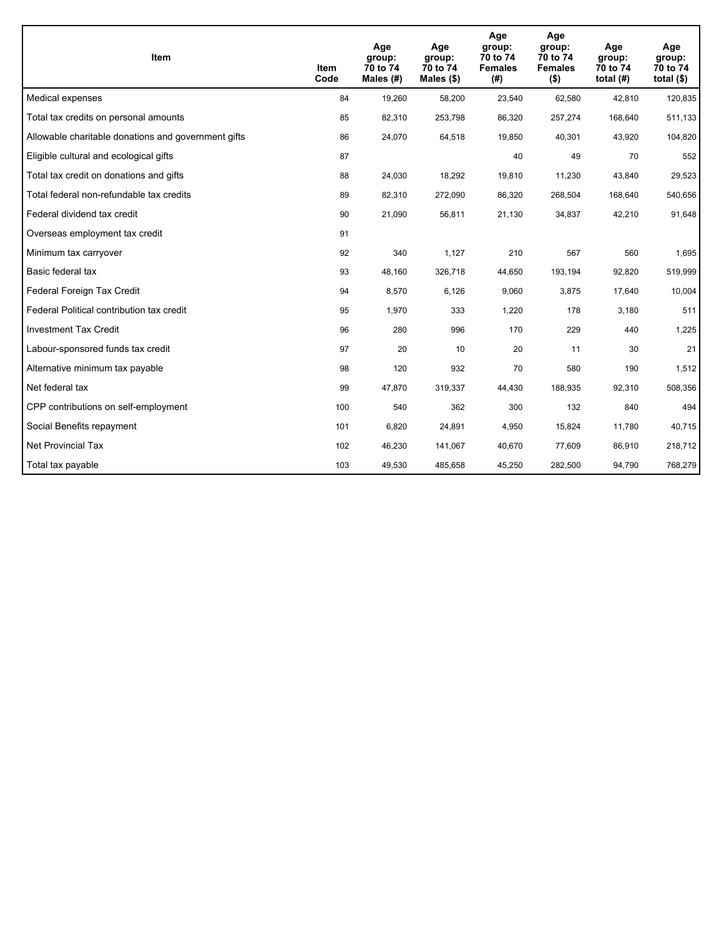| <b>Item</b>                                         | Item<br>Code | Age<br>group:<br>70 to 74<br>Males (#) | Age<br>group:<br>70 to 74<br>Males $(\$)$ | Age<br>group:<br>70 to 74<br><b>Females</b><br>(#) | Age<br>group:<br>70 to 74<br><b>Females</b><br>$($ \$) | Age<br>group:<br>70 to 74<br>total $(H)$ | Age<br>group:<br>70 to 74<br>total $($)$ |
|-----------------------------------------------------|--------------|----------------------------------------|-------------------------------------------|----------------------------------------------------|--------------------------------------------------------|------------------------------------------|------------------------------------------|
| Medical expenses                                    | 84           | 19,260                                 | 58,200                                    | 23,540                                             | 62,580                                                 | 42,810                                   | 120,835                                  |
| Total tax credits on personal amounts               | 85           | 82,310                                 | 253,798                                   | 86,320                                             | 257,274                                                | 168,640                                  | 511,133                                  |
| Allowable charitable donations and government gifts | 86           | 24,070                                 | 64,518                                    | 19,850                                             | 40,301                                                 | 43,920                                   | 104,820                                  |
| Eligible cultural and ecological gifts              | 87           |                                        |                                           | 40                                                 | 49                                                     | 70                                       | 552                                      |
| Total tax credit on donations and gifts             | 88           | 24,030                                 | 18,292                                    | 19,810                                             | 11,230                                                 | 43,840                                   | 29,523                                   |
| Total federal non-refundable tax credits            | 89           | 82,310                                 | 272,090                                   | 86,320                                             | 268,504                                                | 168,640                                  | 540,656                                  |
| Federal dividend tax credit                         | 90           | 21,090                                 | 56,811                                    | 21,130                                             | 34,837                                                 | 42,210                                   | 91,648                                   |
| Overseas employment tax credit                      | 91           |                                        |                                           |                                                    |                                                        |                                          |                                          |
| Minimum tax carryover                               | 92           | 340                                    | 1,127                                     | 210                                                | 567                                                    | 560                                      | 1,695                                    |
| Basic federal tax                                   | 93           | 48,160                                 | 326,718                                   | 44.650                                             | 193,194                                                | 92,820                                   | 519,999                                  |
| Federal Foreign Tax Credit                          | 94           | 8,570                                  | 6,126                                     | 9,060                                              | 3,875                                                  | 17,640                                   | 10,004                                   |
| Federal Political contribution tax credit           | 95           | 1,970                                  | 333                                       | 1,220                                              | 178                                                    | 3,180                                    | 511                                      |
| <b>Investment Tax Credit</b>                        | 96           | 280                                    | 996                                       | 170                                                | 229                                                    | 440                                      | 1,225                                    |
| Labour-sponsored funds tax credit                   | 97           | 20                                     | 10                                        | 20                                                 | 11                                                     | 30                                       | 21                                       |
| Alternative minimum tax payable                     | 98           | 120                                    | 932                                       | 70                                                 | 580                                                    | 190                                      | 1,512                                    |
| Net federal tax                                     | 99           | 47,870                                 | 319,337                                   | 44,430                                             | 188,935                                                | 92,310                                   | 508,356                                  |
| CPP contributions on self-employment                | 100          | 540                                    | 362                                       | 300                                                | 132                                                    | 840                                      | 494                                      |
| Social Benefits repayment                           | 101          | 6,820                                  | 24,891                                    | 4,950                                              | 15,824                                                 | 11,780                                   | 40,715                                   |
| <b>Net Provincial Tax</b>                           | 102          | 46,230                                 | 141,067                                   | 40,670                                             | 77.609                                                 | 86,910                                   | 218,712                                  |
| Total tax payable                                   | 103          | 49,530                                 | 485,658                                   | 45,250                                             | 282,500                                                | 94,790                                   | 768,279                                  |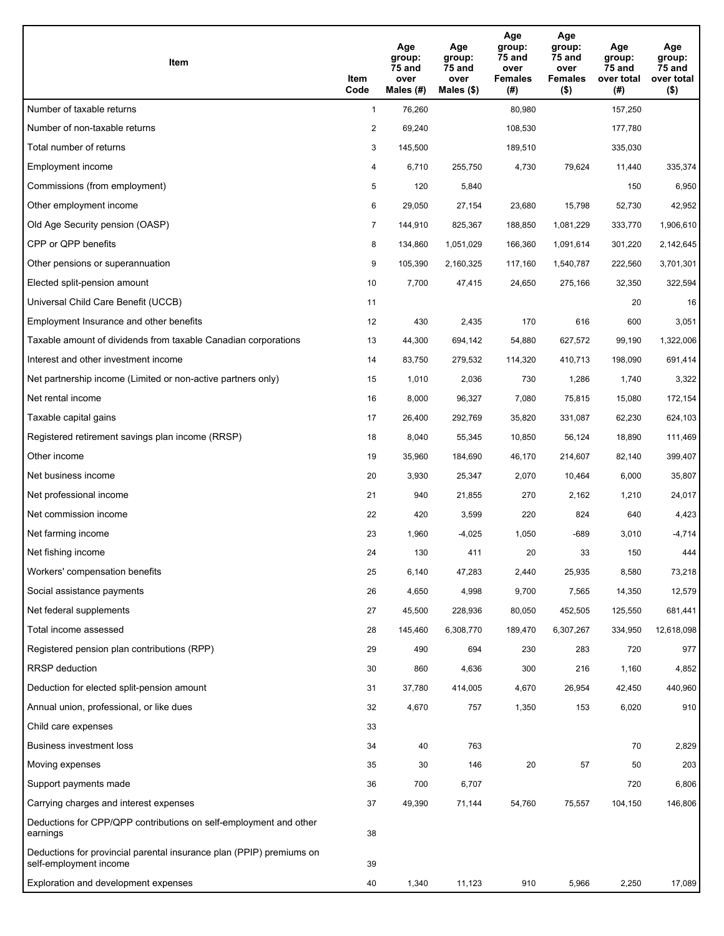| Item                                                                                           | Item<br>Code   | Age<br>group:<br>75 and<br>over<br>Males (#) | Age<br>group:<br>75 and<br>over<br>Males (\$) | Age<br>group:<br><b>75 and</b><br>over<br><b>Females</b><br>(#) | Age<br>group:<br>75 and<br>over<br><b>Females</b><br>$($ \$) | Age<br>group:<br>75 and<br>over total<br>(#) | Age<br>group:<br>75 and<br>over total<br>$($ \$) |
|------------------------------------------------------------------------------------------------|----------------|----------------------------------------------|-----------------------------------------------|-----------------------------------------------------------------|--------------------------------------------------------------|----------------------------------------------|--------------------------------------------------|
| Number of taxable returns                                                                      | $\mathbf{1}$   | 76,260                                       |                                               | 80,980                                                          |                                                              | 157,250                                      |                                                  |
| Number of non-taxable returns                                                                  | $\overline{2}$ | 69,240                                       |                                               | 108,530                                                         |                                                              | 177,780                                      |                                                  |
| Total number of returns                                                                        | 3              | 145,500                                      |                                               | 189,510                                                         |                                                              | 335,030                                      |                                                  |
| Employment income                                                                              | 4              | 6,710                                        | 255,750                                       | 4,730                                                           | 79,624                                                       | 11,440                                       | 335,374                                          |
| Commissions (from employment)                                                                  | 5              | 120                                          | 5,840                                         |                                                                 |                                                              | 150                                          | 6,950                                            |
| Other employment income                                                                        | 6              | 29,050                                       | 27,154                                        | 23,680                                                          | 15,798                                                       | 52,730                                       | 42,952                                           |
| Old Age Security pension (OASP)                                                                | $\overline{7}$ | 144,910                                      | 825,367                                       | 188,850                                                         | 1,081,229                                                    | 333,770                                      | 1,906,610                                        |
| CPP or QPP benefits                                                                            | 8              | 134,860                                      | 1,051,029                                     | 166,360                                                         | 1,091,614                                                    | 301,220                                      | 2,142,645                                        |
| Other pensions or superannuation                                                               | 9              | 105,390                                      | 2,160,325                                     | 117,160                                                         | 1,540,787                                                    | 222,560                                      | 3,701,301                                        |
| Elected split-pension amount                                                                   | 10             | 7,700                                        | 47,415                                        | 24,650                                                          | 275,166                                                      | 32,350                                       | 322,594                                          |
| Universal Child Care Benefit (UCCB)                                                            | 11             |                                              |                                               |                                                                 |                                                              | 20                                           | 16                                               |
| Employment Insurance and other benefits                                                        | 12             | 430                                          | 2,435                                         | 170                                                             | 616                                                          | 600                                          | 3,051                                            |
| Taxable amount of dividends from taxable Canadian corporations                                 | 13             | 44,300                                       | 694,142                                       | 54,880                                                          | 627,572                                                      | 99,190                                       | 1,322,006                                        |
| Interest and other investment income                                                           | 14             | 83,750                                       | 279,532                                       | 114,320                                                         | 410,713                                                      | 198,090                                      | 691,414                                          |
| Net partnership income (Limited or non-active partners only)                                   | 15             | 1,010                                        | 2,036                                         | 730                                                             | 1,286                                                        | 1,740                                        | 3,322                                            |
| Net rental income                                                                              | 16             | 8,000                                        | 96,327                                        | 7,080                                                           | 75,815                                                       | 15,080                                       | 172,154                                          |
| Taxable capital gains                                                                          | 17             | 26,400                                       | 292,769                                       | 35,820                                                          | 331,087                                                      | 62,230                                       | 624,103                                          |
| Registered retirement savings plan income (RRSP)                                               | 18             | 8,040                                        | 55,345                                        | 10,850                                                          | 56,124                                                       | 18,890                                       | 111,469                                          |
| Other income                                                                                   | 19             | 35,960                                       | 184,690                                       | 46,170                                                          | 214,607                                                      | 82,140                                       | 399,407                                          |
| Net business income                                                                            | 20             | 3,930                                        | 25,347                                        | 2,070                                                           | 10,464                                                       | 6,000                                        | 35,807                                           |
| Net professional income                                                                        | 21             | 940                                          | 21,855                                        | 270                                                             | 2,162                                                        | 1,210                                        | 24,017                                           |
| Net commission income                                                                          | 22             | 420                                          | 3,599                                         | 220                                                             | 824                                                          | 640                                          | 4,423                                            |
| Net farming income                                                                             | 23             | 1,960                                        | $-4,025$                                      | 1,050                                                           | $-689$                                                       | 3,010                                        | $-4,714$                                         |
| Net fishing income                                                                             | 24             | 130                                          | 411                                           | 20                                                              | 33                                                           | 150                                          | 444                                              |
| Workers' compensation benefits                                                                 | 25             | 6,140                                        | 47,283                                        | 2,440                                                           | 25,935                                                       | 8,580                                        | 73,218                                           |
| Social assistance payments                                                                     | 26             | 4,650                                        | 4,998                                         | 9,700                                                           | 7,565                                                        | 14,350                                       | 12,579                                           |
| Net federal supplements                                                                        | 27             | 45,500                                       | 228,936                                       | 80,050                                                          | 452,505                                                      | 125,550                                      | 681,441                                          |
| Total income assessed                                                                          | 28             | 145,460                                      | 6,308,770                                     | 189,470                                                         | 6,307,267                                                    | 334,950                                      | 12,618,098                                       |
| Registered pension plan contributions (RPP)                                                    | 29             | 490                                          | 694                                           | 230                                                             | 283                                                          | 720                                          | 977                                              |
| <b>RRSP</b> deduction                                                                          | 30             | 860                                          | 4,636                                         | 300                                                             | 216                                                          | 1,160                                        | 4,852                                            |
| Deduction for elected split-pension amount                                                     | 31             | 37,780                                       | 414,005                                       | 4,670                                                           | 26,954                                                       | 42,450                                       | 440,960                                          |
| Annual union, professional, or like dues                                                       | 32             | 4,670                                        | 757                                           | 1,350                                                           | 153                                                          | 6,020                                        | 910                                              |
| Child care expenses                                                                            | 33             |                                              |                                               |                                                                 |                                                              |                                              |                                                  |
| <b>Business investment loss</b>                                                                | 34             | 40                                           | 763                                           |                                                                 |                                                              | 70                                           | 2,829                                            |
| Moving expenses                                                                                | 35             | 30                                           | 146                                           | 20                                                              | 57                                                           | 50                                           | 203                                              |
| Support payments made                                                                          | 36             | 700                                          | 6,707                                         |                                                                 |                                                              | 720                                          | 6,806                                            |
| Carrying charges and interest expenses                                                         | 37             | 49,390                                       | 71,144                                        | 54,760                                                          | 75,557                                                       | 104,150                                      | 146,806                                          |
| Deductions for CPP/QPP contributions on self-employment and other<br>earnings                  | 38             |                                              |                                               |                                                                 |                                                              |                                              |                                                  |
| Deductions for provincial parental insurance plan (PPIP) premiums on<br>self-employment income | 39             |                                              |                                               |                                                                 |                                                              |                                              |                                                  |
| Exploration and development expenses                                                           | 40             | 1,340                                        | 11,123                                        | 910                                                             | 5,966                                                        | 2,250                                        | 17,089                                           |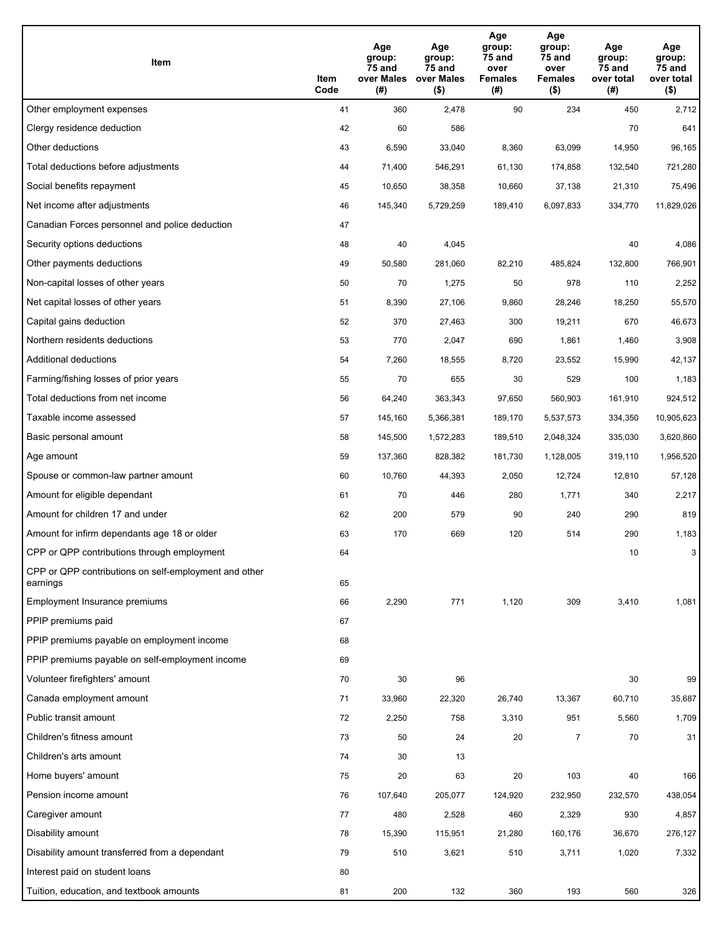| Item                                                              | Item<br>Code | Age<br>group:<br>75 and<br>over Males<br>(#) | Age<br>group:<br>75 and<br>over Males<br>$($ \$) | Age<br>group:<br>75 and<br>over<br>Females<br>(#) | Age<br>group:<br>75 and<br>over<br><b>Females</b><br>$($ \$) | Age<br>group:<br>75 and<br>over total<br>(#) | Age<br>group:<br>75 and<br>over total<br>$($ \$) |
|-------------------------------------------------------------------|--------------|----------------------------------------------|--------------------------------------------------|---------------------------------------------------|--------------------------------------------------------------|----------------------------------------------|--------------------------------------------------|
| Other employment expenses                                         | 41           | 360                                          | 2,478                                            | 90                                                | 234                                                          | 450                                          | 2,712                                            |
| Clergy residence deduction                                        | 42           | 60                                           | 586                                              |                                                   |                                                              | 70                                           | 641                                              |
| Other deductions                                                  | 43           | 6,590                                        | 33,040                                           | 8,360                                             | 63,099                                                       | 14,950                                       | 96,165                                           |
| Total deductions before adjustments                               | 44           | 71,400                                       | 546,291                                          | 61,130                                            | 174,858                                                      | 132,540                                      | 721,280                                          |
| Social benefits repayment                                         | 45           | 10,650                                       | 38,358                                           | 10,660                                            | 37,138                                                       | 21,310                                       | 75,496                                           |
| Net income after adjustments                                      | 46           | 145,340                                      | 5,729,259                                        | 189,410                                           | 6,097,833                                                    | 334,770                                      | 11,829,026                                       |
| Canadian Forces personnel and police deduction                    | 47           |                                              |                                                  |                                                   |                                                              |                                              |                                                  |
| Security options deductions                                       | 48           | 40                                           | 4,045                                            |                                                   |                                                              | 40                                           | 4,086                                            |
| Other payments deductions                                         | 49           | 50,580                                       | 281,060                                          | 82,210                                            | 485,824                                                      | 132,800                                      | 766,901                                          |
| Non-capital losses of other years                                 | 50           | 70                                           | 1,275                                            | 50                                                | 978                                                          | 110                                          | 2,252                                            |
| Net capital losses of other years                                 | 51           | 8,390                                        | 27,106                                           | 9,860                                             | 28,246                                                       | 18,250                                       | 55,570                                           |
| Capital gains deduction                                           | 52           | 370                                          | 27,463                                           | 300                                               | 19,211                                                       | 670                                          | 46,673                                           |
| Northern residents deductions                                     | 53           | 770                                          | 2,047                                            | 690                                               | 1,861                                                        | 1,460                                        | 3,908                                            |
| Additional deductions                                             | 54           | 7,260                                        | 18,555                                           | 8,720                                             | 23,552                                                       | 15,990                                       | 42,137                                           |
| Farming/fishing losses of prior years                             | 55           | 70                                           | 655                                              | 30                                                | 529                                                          | 100                                          | 1,183                                            |
| Total deductions from net income                                  | 56           | 64,240                                       | 363,343                                          | 97,650                                            | 560,903                                                      | 161,910                                      | 924,512                                          |
| Taxable income assessed                                           | 57           | 145,160                                      | 5,366,381                                        | 189,170                                           | 5,537,573                                                    | 334,350                                      | 10,905,623                                       |
| Basic personal amount                                             | 58           | 145,500                                      | 1,572,283                                        | 189,510                                           | 2,048,324                                                    | 335,030                                      | 3,620,860                                        |
| Age amount                                                        | 59           | 137,360                                      | 828,382                                          | 181,730                                           | 1,128,005                                                    | 319,110                                      | 1,956,520                                        |
| Spouse or common-law partner amount                               | 60           | 10,760                                       | 44,393                                           | 2,050                                             | 12,724                                                       | 12,810                                       | 57,128                                           |
| Amount for eligible dependant                                     | 61           | 70                                           | 446                                              | 280                                               | 1,771                                                        | 340                                          | 2,217                                            |
| Amount for children 17 and under                                  | 62           | 200                                          | 579                                              | 90                                                | 240                                                          | 290                                          | 819                                              |
| Amount for infirm dependants age 18 or older                      | 63           | 170                                          | 669                                              | 120                                               | 514                                                          | 290                                          | 1,183                                            |
| CPP or QPP contributions through employment                       | 64           |                                              |                                                  |                                                   |                                                              | 10                                           | 3                                                |
| CPP or QPP contributions on self-employment and other<br>earnings | 65           |                                              |                                                  |                                                   |                                                              |                                              |                                                  |
| Employment Insurance premiums                                     | 66           | 2,290                                        | 771                                              | 1,120                                             | 309                                                          | 3,410                                        | 1,081                                            |
| PPIP premiums paid                                                | 67           |                                              |                                                  |                                                   |                                                              |                                              |                                                  |
| PPIP premiums payable on employment income                        | 68           |                                              |                                                  |                                                   |                                                              |                                              |                                                  |
| PPIP premiums payable on self-employment income                   | 69           |                                              |                                                  |                                                   |                                                              |                                              |                                                  |
| Volunteer firefighters' amount                                    | 70           | 30                                           | 96                                               |                                                   |                                                              | 30                                           | 99                                               |
| Canada employment amount                                          | 71           | 33,960                                       | 22,320                                           | 26,740                                            | 13,367                                                       | 60,710                                       | 35,687                                           |
| Public transit amount                                             | 72           | 2,250                                        | 758                                              | 3,310                                             | 951                                                          | 5,560                                        | 1,709                                            |
| Children's fitness amount                                         | 73           | 50                                           | 24                                               | 20                                                | $\overline{7}$                                               | 70                                           | 31                                               |
| Children's arts amount                                            | 74           | 30                                           | 13                                               |                                                   |                                                              |                                              |                                                  |
| Home buyers' amount                                               | 75           | 20                                           | 63                                               | 20                                                | 103                                                          | 40                                           | 166                                              |
| Pension income amount                                             | 76           | 107,640                                      | 205,077                                          | 124,920                                           | 232,950                                                      | 232,570                                      | 438,054                                          |
| Caregiver amount                                                  | 77           | 480                                          | 2,528                                            | 460                                               | 2,329                                                        | 930                                          | 4,857                                            |
| Disability amount                                                 | 78           | 15,390                                       | 115,951                                          | 21,280                                            | 160,176                                                      | 36,670                                       | 276,127                                          |
| Disability amount transferred from a dependant                    | 79           | 510                                          | 3,621                                            | 510                                               | 3,711                                                        | 1,020                                        | 7,332                                            |
| Interest paid on student loans                                    | 80           |                                              |                                                  |                                                   |                                                              |                                              |                                                  |
| Tuition, education, and textbook amounts                          | 81           | 200                                          | 132                                              | 360                                               | 193                                                          | 560                                          | 326                                              |